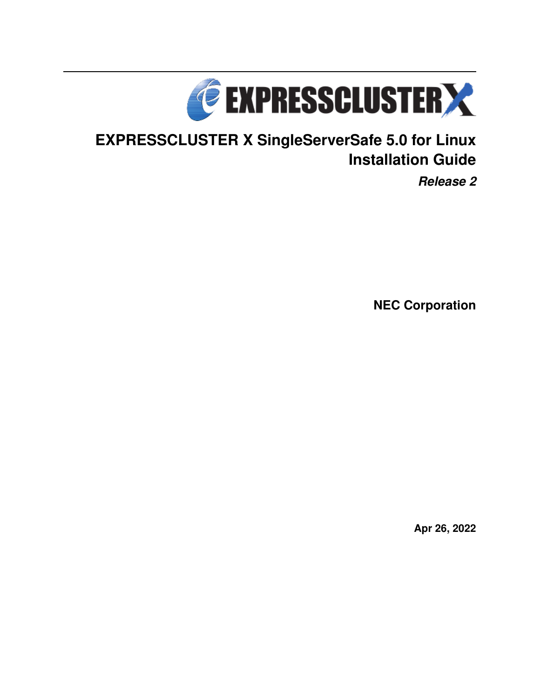

# **EXPRESSCLUSTER X SingleServerSafe 5.0 for Linux Installation Guide**

*Release 2*

**NEC Corporation**

**Apr 26, 2022**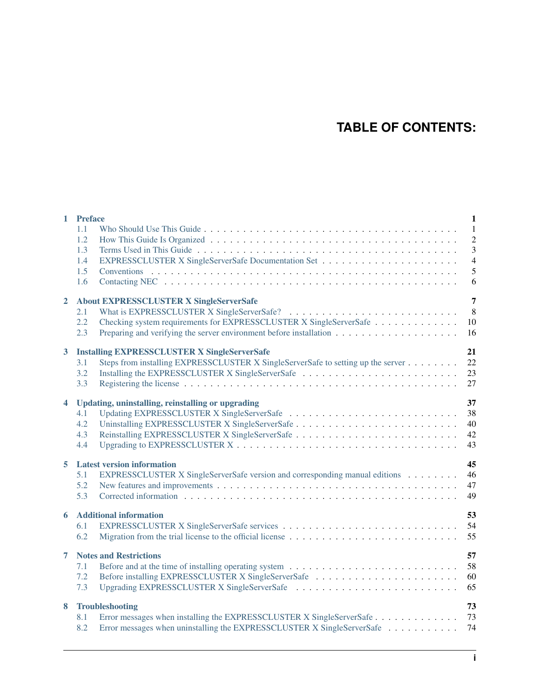## **TABLE OF CONTENTS:**

|                      | 1 Preface<br>1.1<br>1.2<br>1.3<br>1.4<br>1.5<br>1.6                                                                                                                                                                                                   | $\mathbf{1}$<br>$\mathbf{1}$<br>$\overline{c}$<br>$\overline{3}$<br>$\overline{4}$<br>5<br>6 |
|----------------------|-------------------------------------------------------------------------------------------------------------------------------------------------------------------------------------------------------------------------------------------------------|----------------------------------------------------------------------------------------------|
| $\overline{2}$       | <b>About EXPRESSCLUSTER X SingleServerSafe</b><br>2.1<br>2.2<br>Checking system requirements for EXPRESSCLUSTER X SingleServerSafe<br>2.3<br>Preparing and verifying the server environment before installation $\dots \dots \dots \dots \dots \dots$ | 7<br>8<br>10<br>16                                                                           |
| 3                    | <b>Installing EXPRESSCLUSTER X SingleServerSafe</b><br>Steps from installing EXPRESSCLUSTER X SingleServerSafe to setting up the server<br>3.1<br>3.2<br>3.3                                                                                          | 21<br>22<br>23<br>27                                                                         |
| $\blacktriangleleft$ | Updating, uninstalling, reinstalling or upgrading<br>4.1<br>4.2<br>4.3<br>4.4                                                                                                                                                                         | 37<br>38<br>40<br>42<br>43                                                                   |
| 5                    | <b>Latest version information</b><br>EXPRESSCLUSTER X SingleServerSafe version and corresponding manual editions<br>5.1<br>5.2<br>5.3                                                                                                                 | 45<br>46<br>47<br>49                                                                         |
| 6                    | <b>Additional information</b><br>6.1<br>6.2                                                                                                                                                                                                           | 53<br>54<br>55                                                                               |
| 7                    | <b>Notes and Restrictions</b><br>7.1<br>Before installing EXPRESSCLUSTER X SingleServerSafe<br>7.2<br>7.3                                                                                                                                             | 57<br>58<br>60<br>65                                                                         |
| 8                    | Troubleshooting<br>Error messages when installing the EXPRESSCLUSTER X SingleServerSafe<br>8.1<br>Error messages when uninstalling the EXPRESSCLUSTER X SingleServerSafe<br>8.2                                                                       | 73<br>73<br>74                                                                               |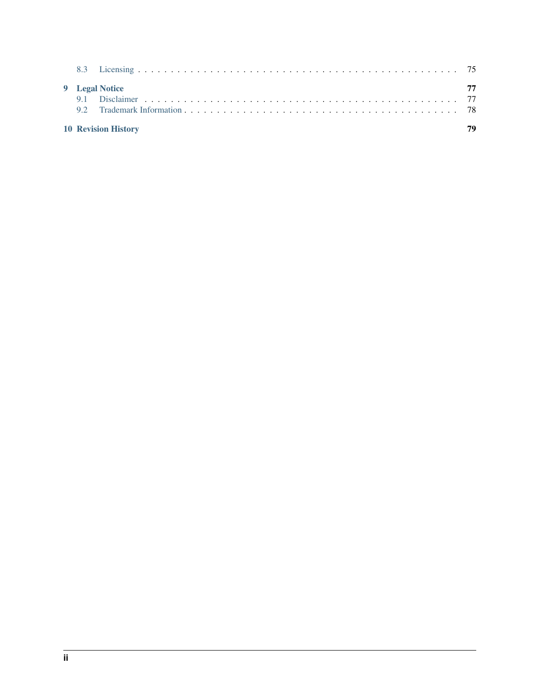| 9 Legal Notice |  |    |
|----------------|--|----|
|                |  | 77 |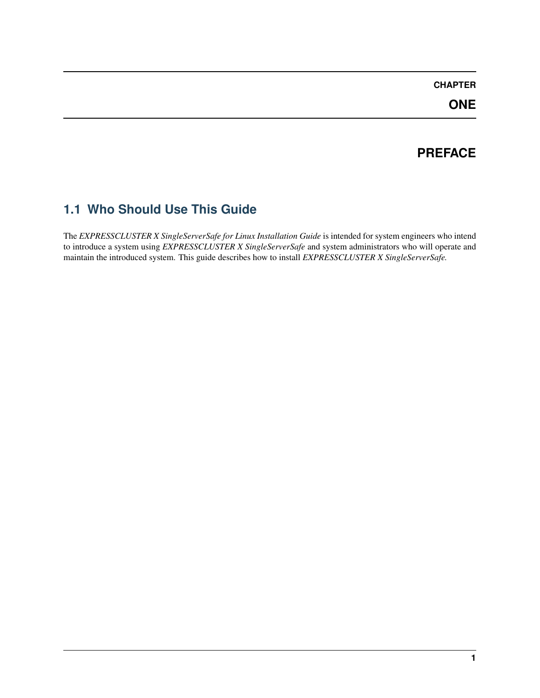## **CHAPTER**

**ONE**

## **PREFACE**

## <span id="page-4-1"></span><span id="page-4-0"></span>**1.1 Who Should Use This Guide**

The *EXPRESSCLUSTER X SingleServerSafe for Linux Installation Guide* is intended for system engineers who intend to introduce a system using *EXPRESSCLUSTER X SingleServerSafe* and system administrators who will operate and maintain the introduced system. This guide describes how to install *EXPRESSCLUSTER X SingleServerSafe.*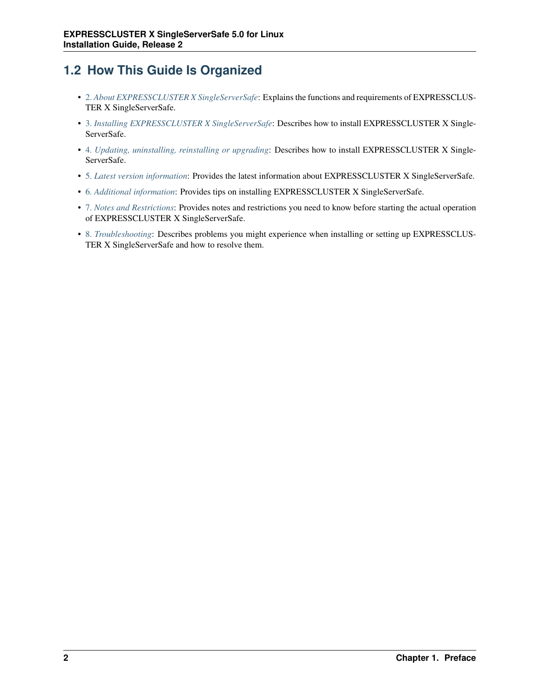## <span id="page-5-0"></span>**1.2 How This Guide Is Organized**

- [2.](#page-10-0) *[About EXPRESSCLUSTER X SingleServerSafe](#page-10-0)*: Explains the functions and requirements of EXPRESSCLUS-TER X SingleServerSafe.
- [3.](#page-24-0) *[Installing EXPRESSCLUSTER X SingleServerSafe](#page-24-0)*: Describes how to install EXPRESSCLUSTER X Single-ServerSafe.
- [4.](#page-40-0) *[Updating, uninstalling, reinstalling or upgrading](#page-40-0)*: Describes how to install EXPRESSCLUSTER X Single-ServerSafe.
- [5.](#page-48-0) *[Latest version information](#page-48-0)*: Provides the latest information about EXPRESSCLUSTER X SingleServerSafe.
- [6.](#page-56-0) *[Additional information](#page-56-0)*: Provides tips on installing EXPRESSCLUSTER X SingleServerSafe.
- [7.](#page-60-0) *[Notes and Restrictions](#page-60-0)*: Provides notes and restrictions you need to know before starting the actual operation of EXPRESSCLUSTER X SingleServerSafe.
- [8.](#page-76-0) *[Troubleshooting](#page-76-0)*: Describes problems you might experience when installing or setting up EXPRESSCLUS-TER X SingleServerSafe and how to resolve them.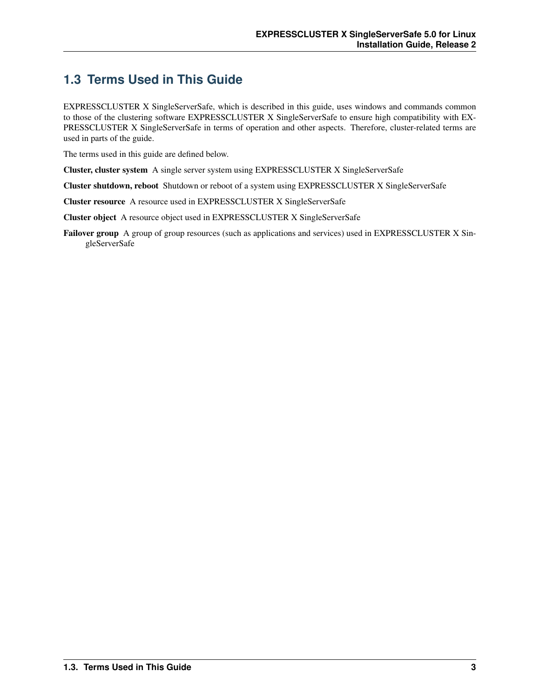## <span id="page-6-0"></span>**1.3 Terms Used in This Guide**

EXPRESSCLUSTER X SingleServerSafe, which is described in this guide, uses windows and commands common to those of the clustering software EXPRESSCLUSTER X SingleServerSafe to ensure high compatibility with EX-PRESSCLUSTER X SingleServerSafe in terms of operation and other aspects. Therefore, cluster-related terms are used in parts of the guide.

The terms used in this guide are defined below.

Cluster, cluster system A single server system using EXPRESSCLUSTER X SingleServerSafe

Cluster shutdown, reboot Shutdown or reboot of a system using EXPRESSCLUSTER X SingleServerSafe

Cluster resource A resource used in EXPRESSCLUSTER X SingleServerSafe

Cluster object A resource object used in EXPRESSCLUSTER X SingleServerSafe

Failover group A group of group resources (such as applications and services) used in EXPRESSCLUSTER X SingleServerSafe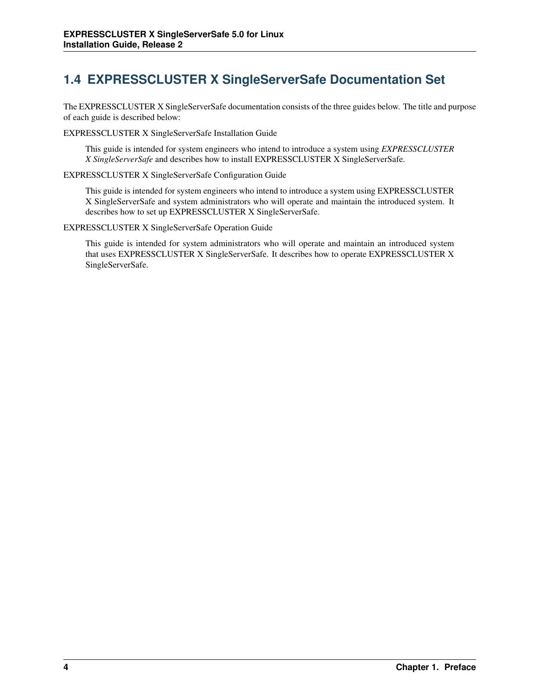## <span id="page-7-0"></span>**1.4 EXPRESSCLUSTER X SingleServerSafe Documentation Set**

The EXPRESSCLUSTER X SingleServerSafe documentation consists of the three guides below. The title and purpose of each guide is described below:

EXPRESSCLUSTER X SingleServerSafe Installation Guide

This guide is intended for system engineers who intend to introduce a system using *EXPRESSCLUSTER X SingleServerSafe* and describes how to install EXPRESSCLUSTER X SingleServerSafe.

EXPRESSCLUSTER X SingleServerSafe Configuration Guide

This guide is intended for system engineers who intend to introduce a system using EXPRESSCLUSTER X SingleServerSafe and system administrators who will operate and maintain the introduced system. It describes how to set up EXPRESSCLUSTER X SingleServerSafe.

EXPRESSCLUSTER X SingleServerSafe Operation Guide

This guide is intended for system administrators who will operate and maintain an introduced system that uses EXPRESSCLUSTER X SingleServerSafe. It describes how to operate EXPRESSCLUSTER X SingleServerSafe.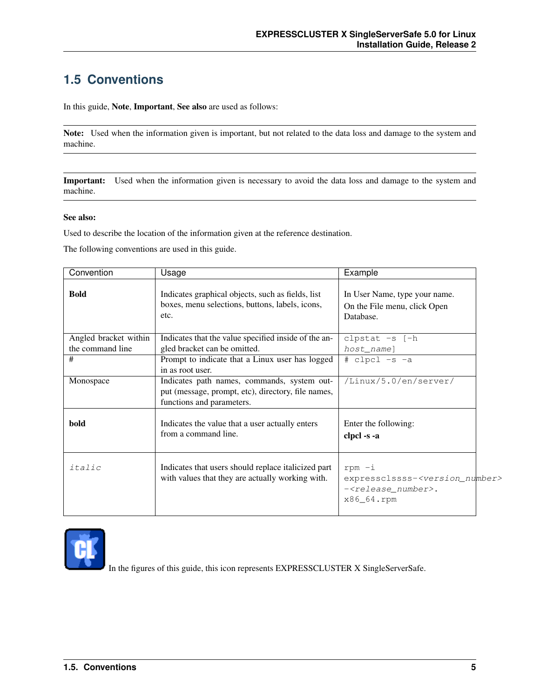## <span id="page-8-0"></span>**1.5 Conventions**

In this guide, Note, Important, See also are used as follows:

Note: Used when the information given is important, but not related to the data loss and damage to the system and machine.

Important: Used when the information given is necessary to avoid the data loss and damage to the system and machine.

### See also:

Used to describe the location of the information given at the reference destination.

The following conventions are used in this guide.

| Convention            | Usage                                                                                                                          | Example                                                                                                                |
|-----------------------|--------------------------------------------------------------------------------------------------------------------------------|------------------------------------------------------------------------------------------------------------------------|
| <b>Bold</b>           | Indicates graphical objects, such as fields, list<br>boxes, menu selections, buttons, labels, icons,<br>etc.                   | In User Name, type your name.<br>On the File menu, click Open<br>Database.                                             |
| Angled bracket within | Indicates that the value specified inside of the an-                                                                           | clpstat -s [-h                                                                                                         |
| the command line      | gled bracket can be omitted.                                                                                                   | host_name]                                                                                                             |
| #                     | Prompt to indicate that a Linux user has logged<br>in as root user.                                                            | # clpcl -s -a                                                                                                          |
| Monospace             | Indicates path names, commands, system out-<br>put (message, prompt, etc), directory, file names,<br>functions and parameters. | $\overline{\text{/Linux/5.0}}$ /en/server/                                                                             |
| bold                  | Indicates the value that a user actually enters<br>from a command line.                                                        | Enter the following:<br>clpcl -s -a                                                                                    |
| italic                | Indicates that users should replace italicized part<br>with values that they are actually working with.                        | $r$ pm $-i$<br>expressclssss- <version_number><br/>-<release_number>.<br/>x86_64.rpm</release_number></version_number> |



In the figures of this guide, this icon represents EXPRESSCLUSTER X SingleServerSafe.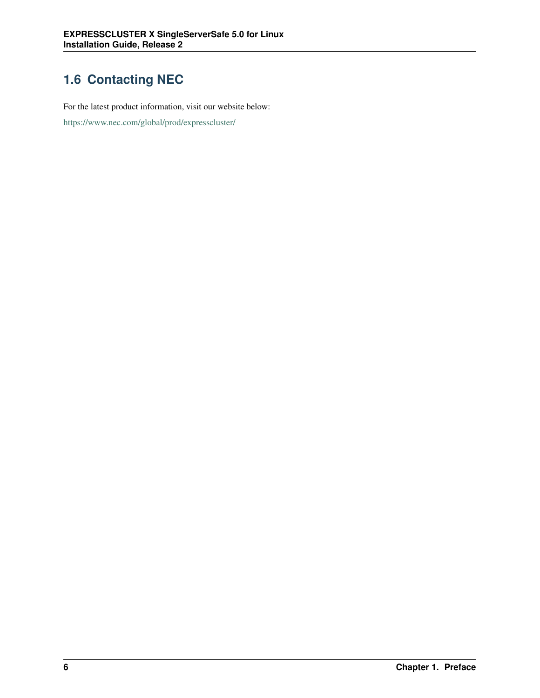## <span id="page-9-0"></span>**1.6 Contacting NEC**

For the latest product information, visit our website below:

<https://www.nec.com/global/prod/expresscluster/>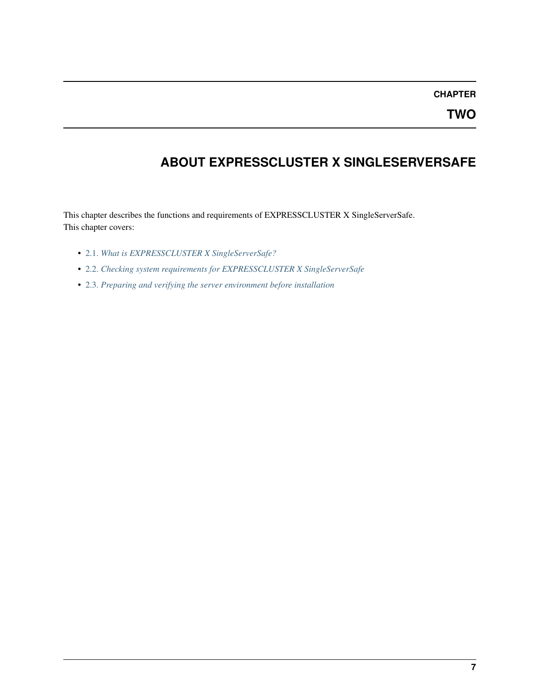## **CHAPTER**

## <span id="page-10-0"></span>**ABOUT EXPRESSCLUSTER X SINGLESERVERSAFE**

This chapter describes the functions and requirements of EXPRESSCLUSTER X SingleServerSafe. This chapter covers:

- [2.1.](#page-11-0) *[What is EXPRESSCLUSTER X SingleServerSafe?](#page-11-0)*
- [2.2.](#page-13-0) *[Checking system requirements for EXPRESSCLUSTER X SingleServerSafe](#page-13-0)*
- [2.3.](#page-19-0) *[Preparing and verifying the server environment before installation](#page-19-0)*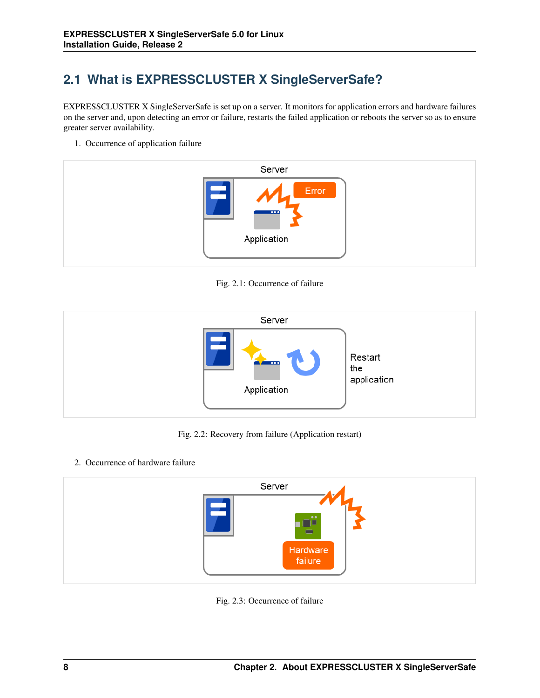## <span id="page-11-0"></span>**2.1 What is EXPRESSCLUSTER X SingleServerSafe?**

EXPRESSCLUSTER X SingleServerSafe is set up on a server. It monitors for application errors and hardware failures on the server and, upon detecting an error or failure, restarts the failed application or reboots the server so as to ensure greater server availability.

1. Occurrence of application failure



Fig. 2.1: Occurrence of failure



Fig. 2.2: Recovery from failure (Application restart)

2. Occurrence of hardware failure



Fig. 2.3: Occurrence of failure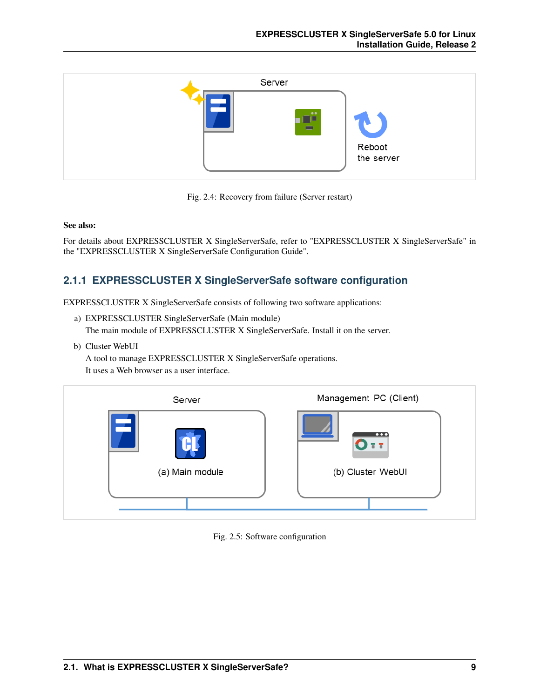



### See also:

For details about EXPRESSCLUSTER X SingleServerSafe, refer to "EXPRESSCLUSTER X SingleServerSafe" in the "EXPRESSCLUSTER X SingleServerSafe Configuration Guide".

### **2.1.1 EXPRESSCLUSTER X SingleServerSafe software configuration**

EXPRESSCLUSTER X SingleServerSafe consists of following two software applications:

a) EXPRESSCLUSTER SingleServerSafe (Main module) The main module of EXPRESSCLUSTER X SingleServerSafe. Install it on the server.

b) Cluster WebUI

A tool to manage EXPRESSCLUSTER X SingleServerSafe operations. It uses a Web browser as a user interface.

| Server          | Management PC (Client)       |
|-----------------|------------------------------|
|                 | $\overline{\mathbf{a}}$<br>п |
| (a) Main module | (b) Cluster WebUI            |
|                 |                              |

Fig. 2.5: Software configuration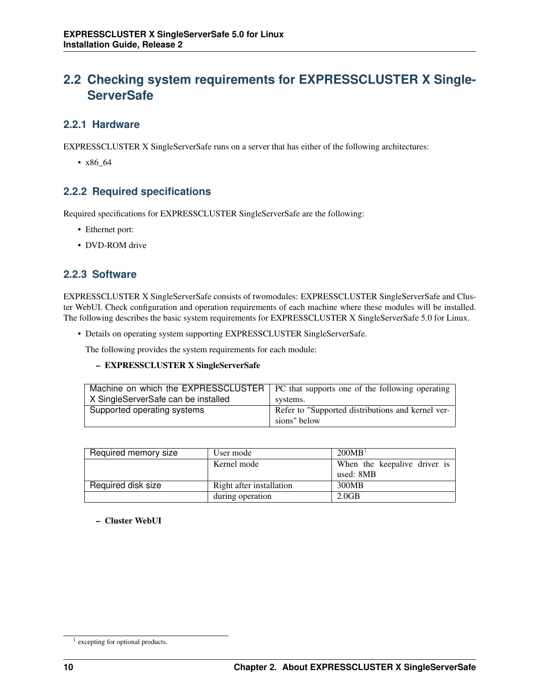## <span id="page-13-0"></span>**2.2 Checking system requirements for EXPRESSCLUSTER X Single-ServerSafe**

## **2.2.1 Hardware**

EXPRESSCLUSTER X SingleServerSafe runs on a server that has either of the following architectures:

• x86\_64

## **2.2.2 Required specifications**

Required specifications for EXPRESSCLUSTER SingleServerSafe are the following:

- Ethernet port:
- DVD-ROM drive

### **2.2.3 Software**

EXPRESSCLUSTER X SingleServerSafe consists of twomodules: EXPRESSCLUSTER SingleServerSafe and Cluster WebUI. Check configuration and operation requirements of each machine where these modules will be installed. The following describes the basic system requirements for EXPRESSCLUSTER X SingleServerSafe 5.0 for Linux.

• Details on operating system supporting EXPRESSCLUSTER SingleServerSafe.

The following provides the system requirements for each module:

### – EXPRESSCLUSTER X SingleServerSafe

|                                     | Machine on which the EXPRESSCLUSTER   PC that supports one of the following operating |
|-------------------------------------|---------------------------------------------------------------------------------------|
| X SingleServerSafe can be installed | systems.                                                                              |
| Supported operating systems         | Refer to "Supported distributions and kernel ver-                                     |
|                                     | sions" below                                                                          |

| Required memory size | User mode                | 200MB <sup>1</sup>           |
|----------------------|--------------------------|------------------------------|
|                      | Kernel mode              | When the keepalive driver is |
|                      |                          | used: 8MB                    |
| Required disk size   | Right after installation | 300MB                        |
|                      | during operation         | 2.0 <sub>GB</sub>            |

### – Cluster WebUI

<span id="page-13-1"></span><sup>&</sup>lt;sup>1</sup> excepting for optional products.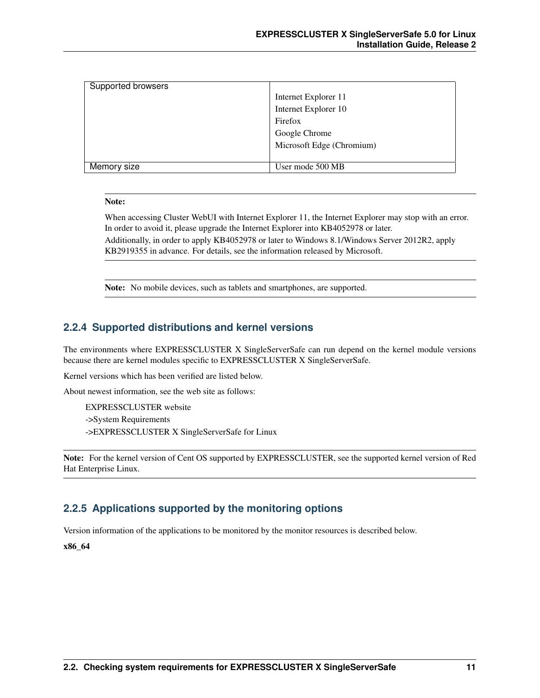| Supported browsers |                           |
|--------------------|---------------------------|
|                    | Internet Explorer 11      |
|                    | Internet Explorer 10      |
|                    | Firefox                   |
|                    | Google Chrome             |
|                    | Microsoft Edge (Chromium) |
|                    |                           |
| Memory size        | User mode 500 MB          |

#### Note:

When accessing Cluster WebUI with Internet Explorer 11, the Internet Explorer may stop with an error. In order to avoid it, please upgrade the Internet Explorer into KB4052978 or later.

Additionally, in order to apply KB4052978 or later to Windows 8.1/Windows Server 2012R2, apply KB2919355 in advance. For details, see the information released by Microsoft.

Note: No mobile devices, such as tablets and smartphones, are supported.

### **2.2.4 Supported distributions and kernel versions**

The environments where EXPRESSCLUSTER X SingleServerSafe can run depend on the kernel module versions because there are kernel modules specific to EXPRESSCLUSTER X SingleServerSafe.

Kernel versions which has been verified are listed below.

About newest information, see the web site as follows:

EXPRESSCLUSTER website ->System Requirements ->EXPRESSCLUSTER X SingleServerSafe for Linux

Note: For the kernel version of Cent OS supported by EXPRESSCLUSTER, see the supported kernel version of Red Hat Enterprise Linux.

### **2.2.5 Applications supported by the monitoring options**

Version information of the applications to be monitored by the monitor resources is described below.

x86\_64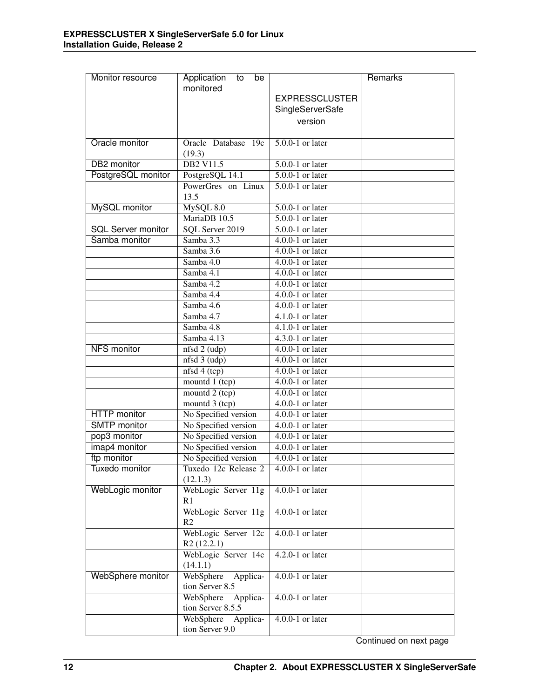| Monitor resource          | Application<br>to<br>be           |                                | Remarks |
|---------------------------|-----------------------------------|--------------------------------|---------|
|                           | monitored                         |                                |         |
|                           |                                   | <b>EXPRESSCLUSTER</b>          |         |
|                           |                                   | SingleServerSafe               |         |
|                           |                                   | version                        |         |
| Oracle monitor            | Oracle Database 19c               | $5.0.0 - 1$ or later           |         |
|                           | (19.3)                            |                                |         |
| <b>DB2</b> monitor        | <b>DB2 V11.5</b>                  | $5.0.0 - 1$ or later           |         |
| PostgreSQL monitor        | PostgreSQL 14.1                   | $5.0.0 - 1$ or later           |         |
|                           | PowerGres on Linux                | $5.0.0 - 1$ or later           |         |
|                           | 13.5                              |                                |         |
| <b>MySQL</b> monitor      | MySQL 8.0                         | $5.0.0 - 1$ or later           |         |
|                           | MariaDB 10.5                      | $5.0.0 - 1$ or later           |         |
| <b>SQL Server monitor</b> | SQL Server 2019                   | $5.0.0 - 1$ or later           |         |
| Samba monitor             | Samba 3.3                         | $4.0.0 - 1$ or later           |         |
|                           | Samba 3.6                         | $4.0.0-1$ or later             |         |
|                           | Samba 4.0                         | $4.0.0 - 1$ or later           |         |
|                           | Samba 4.1                         | $4.0.0-1$ or later             |         |
|                           | Samba 4.2                         | $4.0.0 - 1$ or later           |         |
|                           | Samba 4.4                         | $4.0.0-1$ or later             |         |
|                           | Samba $4.6$                       | $4.0.0 - 1$ or later           |         |
|                           | Samba 4.7                         | $4.1.0 - 1$ or later           |         |
|                           | Samba 4.8                         | $4.1.0 - 1$ or later           |         |
|                           | Samba 4.13                        | $\overline{4.3.0-1}$ or later  |         |
| <b>NFS</b> monitor        | nfsd 2 (udp)                      | $4.0.0 - 1$ or later           |         |
|                           | nfsd 3 (udp)                      | 4.0.0-1 or later               |         |
|                           | nfsd4(tcp)                        | $4.0.0-1$ or later             |         |
|                           | mountd 1 (tcp)                    | $\overline{4.0.0-1}$ or later  |         |
|                           | mountd $2(tcp)$                   | $4.0.0 - 1$ or later           |         |
|                           | mountd $3$ (tcp)                  | $4.0.0 - 1$ or later           |         |
| <b>HTTP</b> monitor       | No Specified version              | $4.0.0-1$ or later             |         |
| <b>SMTP</b> monitor       | No Specified version              | $4.0.0-1$ or later             |         |
| pop3 monitor              | No Specified version              | $4.0.0-1$ or later             |         |
| imap4 monitor             | No Specified version              | $4.0.0 - 1$ or later           |         |
| ftp monitor               | No Specified version              | $4.0.0-1$ or later             |         |
| Tuxedo monitor            | Tuxedo 12c Release 2<br>(12.1.3)  | $\overline{4.0.0}$ -1 or later |         |
| WebLogic monitor          | WebLogic Server 11g               | $4.0.0 - 1$ or later           |         |
|                           | R <sub>1</sub>                    |                                |         |
|                           | WebLogic Server 11g               | $4.0.0-1$ or later             |         |
|                           | R <sub>2</sub>                    |                                |         |
|                           | WebLogic Server 12c<br>R2(12.2.1) | $4.0.0-1$ or later             |         |
|                           | WebLogic Server 14c               | $4.2.0 - 1$ or later           |         |
|                           | (14.1.1)                          |                                |         |
| WebSphere monitor         | WebSphere<br>Applica-             | $4.0.0 - 1$ or later           |         |
|                           | tion Server 8.5                   |                                |         |
|                           | WebSphere<br>Applica-             | $4.0.0 - 1$ or later           |         |
|                           | tion Server 8.5.5                 |                                |         |
|                           | WebSphere<br>Applica-             | $4.0.0-1$ or later             |         |
|                           | tion Server 9.0                   |                                |         |

Continued on next page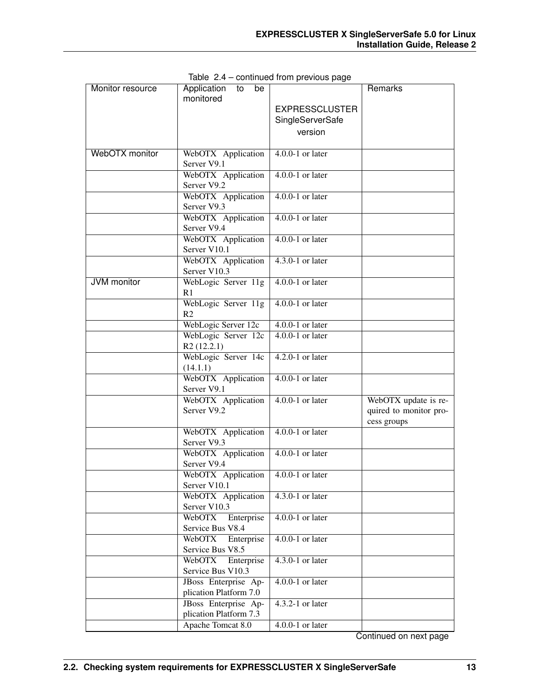| Monitor resource   | Application<br>to<br>be                                     | iaoa irom provioao pago | Remarks                |
|--------------------|-------------------------------------------------------------|-------------------------|------------------------|
|                    | monitored                                                   |                         |                        |
|                    |                                                             | <b>EXPRESSCLUSTER</b>   |                        |
|                    |                                                             | SingleServerSafe        |                        |
|                    |                                                             | version                 |                        |
|                    |                                                             |                         |                        |
| WebOTX monitor     | WebOTX Application                                          | $4.0.0-1$ or later      |                        |
|                    | Server V9.1                                                 |                         |                        |
|                    | WebOTX Application                                          | $4.0.0-1$ or later      |                        |
|                    | Server V9.2                                                 | $4.0.0-1$ or later      |                        |
|                    | WebOTX Application<br>Server V9.3                           |                         |                        |
|                    | WebOTX Application                                          | $4.0.0-1$ or later      |                        |
|                    | Server V9.4                                                 |                         |                        |
|                    | WebOTX Application                                          | $4.0.0-1$ or later      |                        |
|                    | Server V10.1                                                |                         |                        |
|                    | WebOTX Application                                          | $4.3.0 - 1$ or later    |                        |
|                    | Server V10.3                                                |                         |                        |
| <b>JVM</b> monitor | WebLogic Server 11g                                         | $4.0.0-1$ or later      |                        |
|                    | R <sub>1</sub>                                              |                         |                        |
|                    | WebLogic Server 11g                                         | $4.0.0-1$ or later      |                        |
|                    | R <sub>2</sub>                                              |                         |                        |
|                    | WebLogic Server 12c                                         | $4.0.0-1$ or later      |                        |
|                    | WebLogic Server 12c                                         | $4.0.0-1$ or later      |                        |
|                    | R2(12.2.1)<br>WebLogic Server 14c                           | $4.2.0 - 1$ or later    |                        |
|                    | (14.1.1)                                                    |                         |                        |
|                    | WebOTX Application                                          | $4.0.0 - 1$ or later    |                        |
|                    | Server V9.1                                                 |                         |                        |
|                    | WebOTX Application                                          | $4.0.0-1$ or later      | WebOTX update is re-   |
|                    | Server V9.2                                                 |                         | quired to monitor pro- |
|                    |                                                             |                         | cess groups            |
|                    | WebOTX Application                                          | $4.0.0-1$ or later      |                        |
|                    | Server V9.3                                                 |                         |                        |
|                    | WebOTX Application                                          | $4.0.0 - 1$ or later    |                        |
|                    | Server V9.4                                                 |                         |                        |
|                    | WebOTX Application $\vert$ 4.0.0-1 or later<br>Server V10.1 |                         |                        |
|                    | WebOTX Application                                          | 4.3.0-1 or later        |                        |
|                    | Server V10.3                                                |                         |                        |
|                    | WebOTX<br>Enterprise                                        | $4.0.0-1$ or later      |                        |
|                    | Service Bus V8.4                                            |                         |                        |
|                    | WebOTX<br>Enterprise                                        | $4.0.0-1$ or later      |                        |
|                    | Service Bus V8.5                                            |                         |                        |
|                    | WebOTX<br>Enterprise                                        | $4.3.0 - 1$ or later    |                        |
|                    | Service Bus V10.3                                           |                         |                        |
|                    | JBoss Enterprise Ap-                                        | $4.0.0-1$ or later      |                        |
|                    | plication Platform 7.0                                      |                         |                        |
|                    | JBoss Enterprise Ap-                                        | $4.3.2 - 1$ or later    |                        |
|                    | plication Platform 7.3<br>Apache Tomcat 8.0                 | $4.0.0-1$ or later      |                        |
|                    |                                                             |                         |                        |

Table 2.4 – continued from previous page

Continued on next page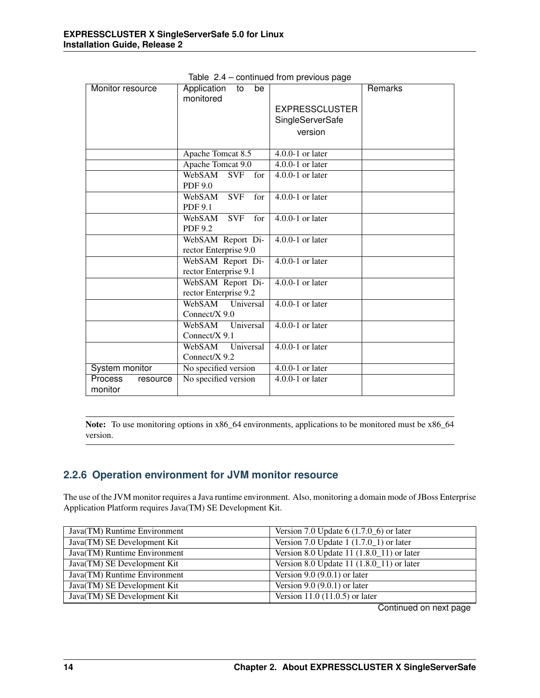| Monitor resource               | Application<br>be<br>to<br>monitored | sont naoa nom provisao pago    | Remarks |
|--------------------------------|--------------------------------------|--------------------------------|---------|
|                                |                                      | <b>EXPRESSCLUSTER</b>          |         |
|                                |                                      | SingleServerSafe               |         |
|                                |                                      | version                        |         |
|                                |                                      |                                |         |
|                                | Apache Tomcat 8.5                    | $4.0.0 - 1$ or later           |         |
|                                | Apache Tomcat 9.0                    | $4.0.0 - 1$ or later           |         |
|                                | WebSAM<br><b>SVF</b><br>for          | $4.0.0-1$ or later             |         |
|                                | <b>PDF 9.0</b>                       |                                |         |
|                                | <b>SVF</b><br>WebSAM<br>for          | $4.0.0 - 1$ or later           |         |
|                                | <b>PDF 9.1</b>                       |                                |         |
|                                | WebSAM<br>SVF<br>for                 | $4.0.0-1$ or later             |         |
|                                | <b>PDF 9.2</b>                       |                                |         |
|                                | WebSAM Report Di-                    | $4.0.0-1$ or later             |         |
|                                | rector Enterprise 9.0                |                                |         |
|                                | WebSAM Report Di-                    | $4.0.0 - 1$ or later           |         |
|                                | rector Enterprise 9.1                |                                |         |
|                                | WebSAM Report Di-                    | $4.0.0 - 1$ or later           |         |
|                                | rector Enterprise 9.2                |                                |         |
|                                | WebSAM Universal                     | $4.0.0 - 1$ or later           |         |
|                                | Connect/X 9.0                        |                                |         |
|                                | WebSAM Universal                     | $4.0.0-1$ or later             |         |
|                                | Connect/ $X$ 9.1                     |                                |         |
|                                | Universal<br>WebSAM                  | $4.0.0-1$ or later             |         |
|                                | Connect/X 9.2                        |                                |         |
| System monitor                 | No specified version                 | $4.0.0 - 1$ or later           |         |
| Process<br>resource<br>monitor | No specified version                 | $\overline{4.0.0}$ -1 or later |         |

Table 2.4 – continued from previous page

Note: To use monitoring options in x86\_64 environments, applications to be monitored must be x86\_64 version.

### **2.2.6 Operation environment for JVM monitor resource**

The use of the JVM monitor requires a Java runtime environment. Also, monitoring a domain mode of JBoss Enterprise Application Platform requires Java(TM) SE Development Kit.

| Java(TM) Runtime Environment | Version 7.0 Update $6(1.7.0\text{ m})$ or later |
|------------------------------|-------------------------------------------------|
| Java(TM) SE Development Kit  | Version 7.0 Update $1(1.7.0\_1)$ or later       |
| Java(TM) Runtime Environment | Version 8.0 Update 11 $(1.8.0 \_11)$ or later   |
| Java(TM) SE Development Kit  | Version 8.0 Update 11 $(1.8.0 \_11)$ or later   |
| Java(TM) Runtime Environment | Version $9.0 (9.0.1)$ or later                  |
| Java(TM) SE Development Kit  | Version $9.0 (9.0.1)$ or later                  |
| Java(TM) SE Development Kit  | Version 11.0 $(11.0.5)$ or later                |

Continued on next page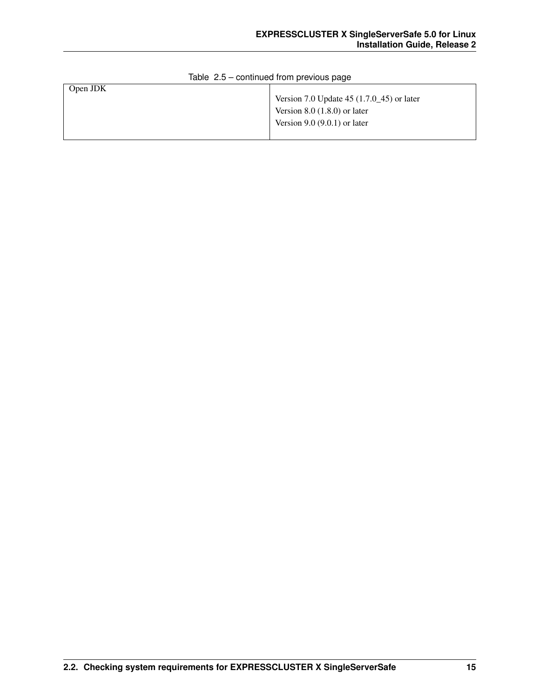| Open JDK |                                                       |
|----------|-------------------------------------------------------|
|          | Version 7.0 Update 45 $(1.7.0 \text{--} 45)$ or later |
|          | Version $8.0$ $(1.8.0)$ or later                      |
|          | Version $9.0 (9.0.1)$ or later                        |
|          |                                                       |

### Table 2.5 – continued from previous page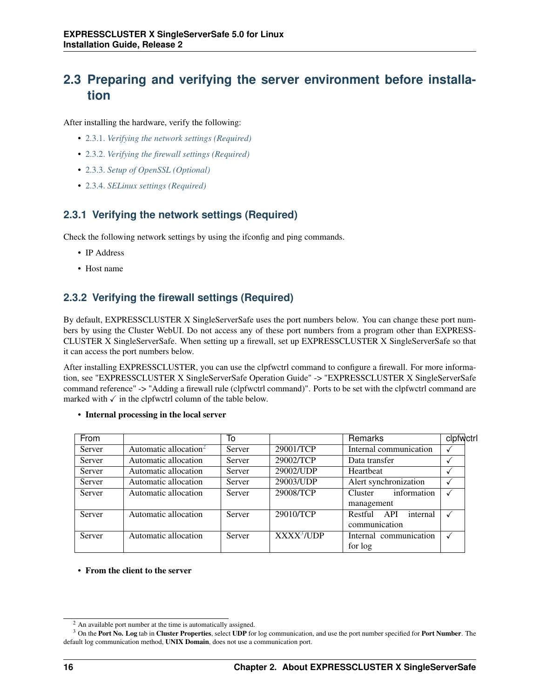## <span id="page-19-0"></span>**2.3 Preparing and verifying the server environment before installation**

After installing the hardware, verify the following:

- [2.3.1.](#page-19-1) *[Verifying the network settings \(Required\)](#page-19-1)*
- [2.3.2.](#page-19-2) *[Verifying the firewall settings \(Required\)](#page-19-2)*
- [2.3.3.](#page-20-0) *[Setup of OpenSSL \(Optional\)](#page-20-0)*
- [2.3.4.](#page-20-1) *[SELinux settings \(Required\)](#page-20-1)*

### <span id="page-19-1"></span>**2.3.1 Verifying the network settings (Required)**

Check the following network settings by using the ifconfig and ping commands.

- IP Address
- Host name

## <span id="page-19-2"></span>**2.3.2 Verifying the firewall settings (Required)**

By default, EXPRESSCLUSTER X SingleServerSafe uses the port numbers below. You can change these port numbers by using the Cluster WebUI. Do not access any of these port numbers from a program other than EXPRESS-CLUSTER X SingleServerSafe. When setting up a firewall, set up EXPRESSCLUSTER X SingleServerSafe so that it can access the port numbers below.

After installing EXPRESSCLUSTER, you can use the clpfwctrl command to configure a firewall. For more information, see "EXPRESSCLUSTER X SingleServerSafe Operation Guide" -> "EXPRESSCLUSTER X SingleServerSafe command reference" -> "Adding a firewall rule (clpfwctrl command)". Ports to be set with the clpfwctrl command are marked with  $\checkmark$  in the clpfwctrl column of the table below.

| From   |                                   | To     |                        | Remarks                    | clpfwctrl |
|--------|-----------------------------------|--------|------------------------|----------------------------|-----------|
| Server | Automatic allocation <sup>2</sup> | Server | 29001/TCP              | Internal communication     |           |
| Server | Automatic allocation              | Server | 29002/TCP              | Data transfer              |           |
| Server | Automatic allocation              | Server | 29002/UDP              | Heartbeat                  |           |
| Server | Automatic allocation              | Server | 29003/UDP              | Alert synchronization      |           |
| Server | Automatic allocation              | Server | 29008/TCP              | information<br>Cluster     |           |
|        |                                   |        |                        | management                 |           |
| Server | Automatic allocation              | Server | 29010/TCP              | internal<br>API<br>Restful | √         |
|        |                                   |        |                        | communication              |           |
| Server | Automatic allocation              | Server | XXXX <sup>3</sup> /UDP | Internal communication     |           |
|        |                                   |        |                        | for log                    |           |

• Internal processing in the local server

• From the client to the server

<span id="page-19-3"></span><sup>2</sup> An available port number at the time is automatically assigned.

<span id="page-19-4"></span> $3$  On the Port No. Log tab in Cluster Properties, select UDP for log communication, and use the port number specified for Port Number. The default log communication method, UNIX Domain, does not use a communication port.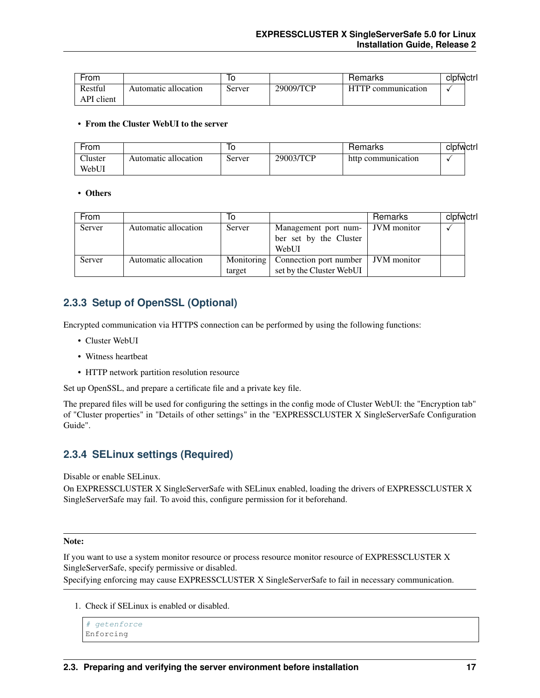| From       |                      | ١O     |           | Hemarks       | ciptwctri |  |
|------------|----------------------|--------|-----------|---------------|-----------|--|
| Restful    | Automatic allocation | Server | 29009/TCP | communication |           |  |
| API client |                      |        |           |               |           |  |

#### • From the Cluster WebUI to the server

| From    |                      | ιu     |           | Remarks            | clofwctrl |
|---------|----------------------|--------|-----------|--------------------|-----------|
| Cluster | Automatic allocation | Server | 29003/TCP | http communication |           |
| WebUI   |                      |        |           |                    |           |

### • Others

| <b>From</b> |                      | 10         |                          | Remarks            | clpfwctrl |
|-------------|----------------------|------------|--------------------------|--------------------|-----------|
| Server      | Automatic allocation | Server     | Management port num-     | <b>JVM</b> monitor |           |
|             |                      |            | ber set by the Cluster   |                    |           |
|             |                      |            | WebUI                    |                    |           |
| Server      | Automatic allocation | Monitoring | Connection port number   | JVM monitor        |           |
|             |                      | target     | set by the Cluster WebUI |                    |           |

### <span id="page-20-0"></span>**2.3.3 Setup of OpenSSL (Optional)**

Encrypted communication via HTTPS connection can be performed by using the following functions:

- Cluster WebUI
- Witness heartbeat
- HTTP network partition resolution resource

Set up OpenSSL, and prepare a certificate file and a private key file.

The prepared files will be used for configuring the settings in the config mode of Cluster WebUI: the "Encryption tab" of "Cluster properties" in "Details of other settings" in the "EXPRESSCLUSTER X SingleServerSafe Configuration Guide".

### <span id="page-20-1"></span>**2.3.4 SELinux settings (Required)**

Disable or enable SELinux.

On EXPRESSCLUSTER X SingleServerSafe with SELinux enabled, loading the drivers of EXPRESSCLUSTER X SingleServerSafe may fail. To avoid this, configure permission for it beforehand.

#### Note:

If you want to use a system monitor resource or process resource monitor resource of EXPRESSCLUSTER X SingleServerSafe, specify permissive or disabled.

Specifying enforcing may cause EXPRESSCLUSTER X SingleServerSafe to fail in necessary communication.

1. Check if SELinux is enabled or disabled.

```
# getenforce
Enforcing
```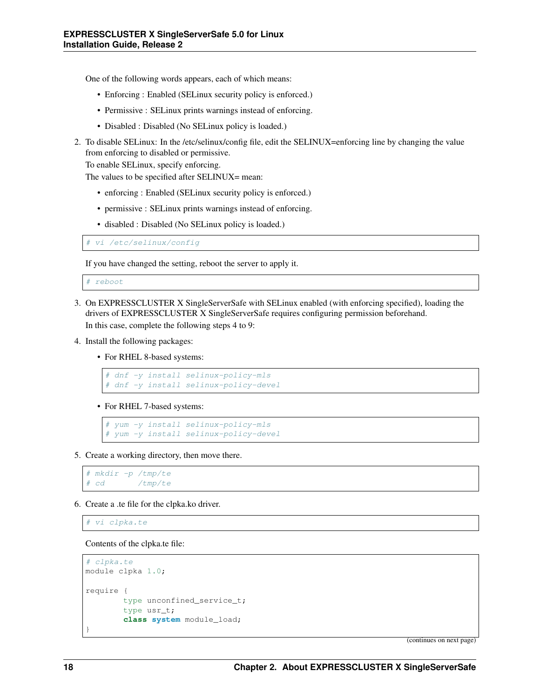One of the following words appears, each of which means:

- Enforcing : Enabled (SELinux security policy is enforced.)
- Permissive : SELinux prints warnings instead of enforcing.
- Disabled : Disabled (No SELinux policy is loaded.)
- 2. To disable SELinux: In the /etc/selinux/config file, edit the SELINUX=enforcing line by changing the value from enforcing to disabled or permissive.

To enable SELinux, specify enforcing.

The values to be specified after SELINUX= mean:

- enforcing : Enabled (SELinux security policy is enforced.)
- permissive : SELinux prints warnings instead of enforcing.
- disabled : Disabled (No SELinux policy is loaded.)

vi /etc/selinux/config

If you have changed the setting, reboot the server to apply it.

reboot

- 3. On EXPRESSCLUSTER X SingleServerSafe with SELinux enabled (with enforcing specified), loading the drivers of EXPRESSCLUSTER X SingleServerSafe requires configuring permission beforehand. In this case, complete the following steps 4 to 9:
- 4. Install the following packages:
	- For RHEL 8-based systems:

```
# dnf -y install selinux-policy-mls
# dnf -y install selinux-policy-devel
```
• For RHEL 7-based systems:

```
# yum -y install selinux-policy-mls
# yum -y install selinux-policy-devel
```
5. Create a working directory, then move there.

```
# mkdir -p /tmp/te
# cd /tmp/te
```
6. Create a .te file for the clpka.ko driver.

# vi clpka.te

Contents of the clpka.te file:

```
# clpka.te
module clpka 1.0;
require {
        type unconfined_service_t;
        type usr_t;
        class system module_load;
}
```
(continues on next page)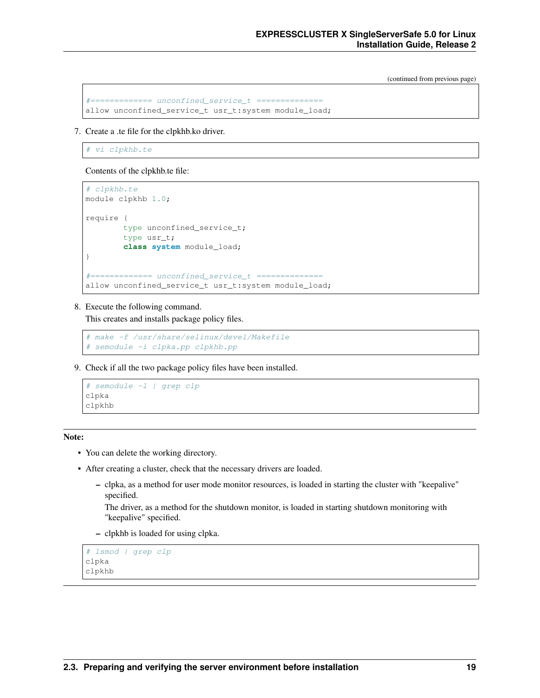(continued from previous page)

```
#============= unconfined_service_t ==============
allow unconfined_service_t usr_t:system module_load;
```
7. Create a .te file for the clpkhb.ko driver.

vi clpkhb.te

Contents of the clpkhb.te file:

```
# clpkhb.te
module clpkhb 1.0;
require {
        type unconfined_service_t;
        type usr_t;
        class system module_load;
}
#============= unconfined_service_t ==============
allow unconfined_service_t usr_t:system module_load;
```
8. Execute the following command.

This creates and installs package policy files.

```
# make -f /usr/share/selinux/devel/Makefile
# semodule -i clpka.pp clpkhb.pp
```
9. Check if all the two package policy files have been installed.

```
# semodule -l | grep clp
clpka
clpkhb
```
#### Note:

- You can delete the working directory.
- After creating a cluster, check that the necessary drivers are loaded.
	- clpka, as a method for user mode monitor resources, is loaded in starting the cluster with "keepalive" specified.

The driver, as a method for the shutdown monitor, is loaded in starting shutdown monitoring with "keepalive" specified.

– clpkhb is loaded for using clpka.

```
# lsmod | grep clp
clpka
clpkhb
```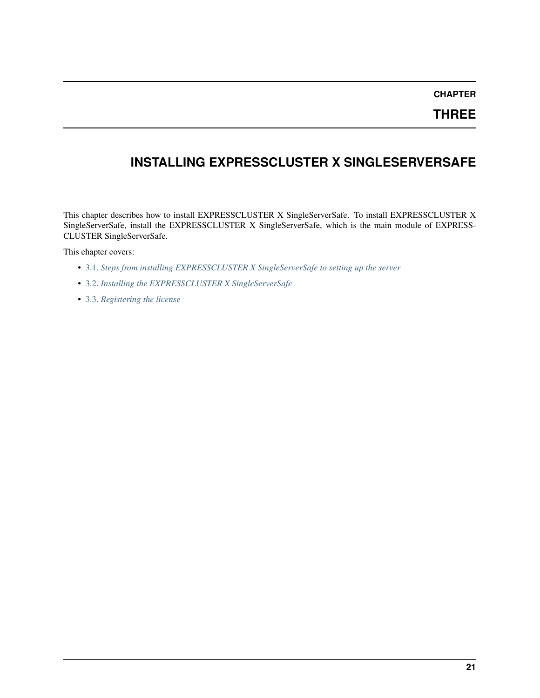## **CHAPTER**

**THREE**

## <span id="page-24-0"></span>**INSTALLING EXPRESSCLUSTER X SINGLESERVERSAFE**

This chapter describes how to install EXPRESSCLUSTER X SingleServerSafe. To install EXPRESSCLUSTER X SingleServerSafe, install the EXPRESSCLUSTER X SingleServerSafe, which is the main module of EXPRESS-CLUSTER SingleServerSafe.

This chapter covers:

- [3.1.](#page-25-0) *[Steps from installing EXPRESSCLUSTER X SingleServerSafe to setting up the server](#page-25-0)*
- [3.2.](#page-26-0) *[Installing the EXPRESSCLUSTER X SingleServerSafe](#page-26-0)*
- [3.3.](#page-30-0) *[Registering the license](#page-30-0)*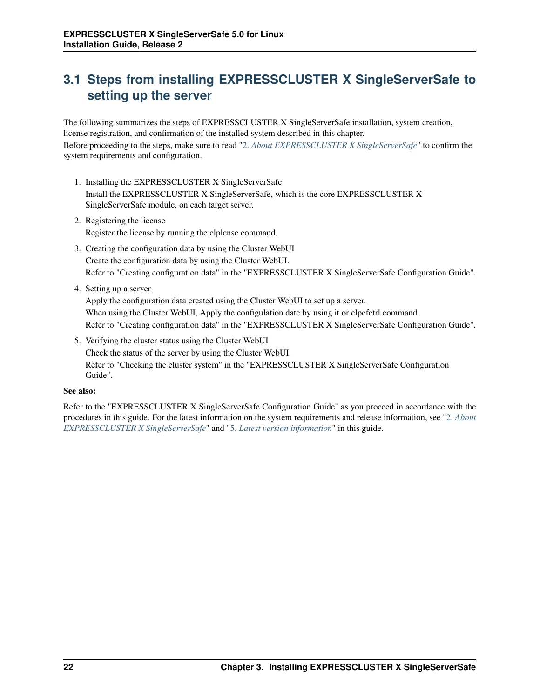## <span id="page-25-0"></span>**3.1 Steps from installing EXPRESSCLUSTER X SingleServerSafe to setting up the server**

The following summarizes the steps of EXPRESSCLUSTER X SingleServerSafe installation, system creation, license registration, and confirmation of the installed system described in this chapter. Before proceeding to the steps, make sure to read ["2.](#page-10-0) *[About EXPRESSCLUSTER X SingleServerSafe](#page-10-0)*" to confirm the system requirements and configuration.

- 1. Installing the EXPRESSCLUSTER X SingleServerSafe Install the EXPRESSCLUSTER X SingleServerSafe, which is the core EXPRESSCLUSTER X SingleServerSafe module, on each target server.
- 2. Registering the license Register the license by running the clplcnsc command.
- 3. Creating the configuration data by using the Cluster WebUI Create the configuration data by using the Cluster WebUI. Refer to "Creating configuration data" in the "EXPRESSCLUSTER X SingleServerSafe Configuration Guide".
- 4. Setting up a server

Apply the configuration data created using the Cluster WebUI to set up a server. When using the Cluster WebUI, Apply the configulation date by using it or clpcfctrl command. Refer to "Creating configuration data" in the "EXPRESSCLUSTER X SingleServerSafe Configuration Guide".

5. Verifying the cluster status using the Cluster WebUI Check the status of the server by using the Cluster WebUI. Refer to "Checking the cluster system" in the "EXPRESSCLUSTER X SingleServerSafe Configuration Guide".

### See also:

Refer to the "EXPRESSCLUSTER X SingleServerSafe Configuration Guide" as you proceed in accordance with the procedures in this guide. For the latest information on the system requirements and release information, see ["2.](#page-10-0) *[About](#page-10-0) [EXPRESSCLUSTER X SingleServerSafe](#page-10-0)*" and ["5.](#page-48-0) *[Latest version information](#page-48-0)*" in this guide.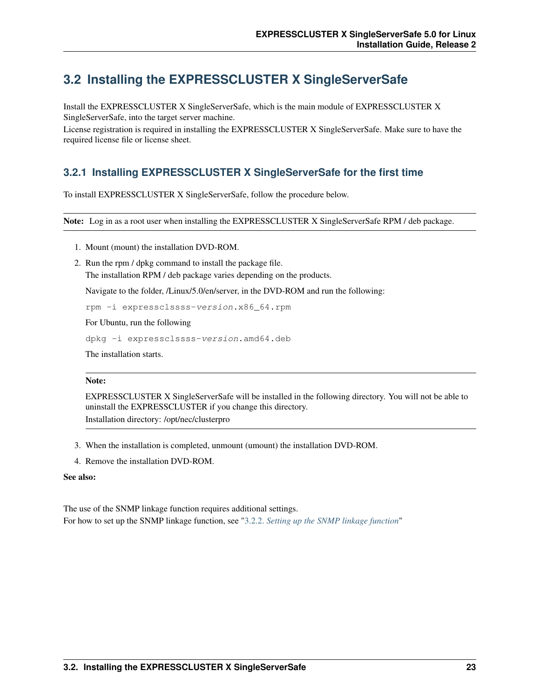## <span id="page-26-0"></span>**3.2 Installing the EXPRESSCLUSTER X SingleServerSafe**

Install the EXPRESSCLUSTER X SingleServerSafe, which is the main module of EXPRESSCLUSTER X SingleServerSafe, into the target server machine.

License registration is required in installing the EXPRESSCLUSTER X SingleServerSafe. Make sure to have the required license file or license sheet.

## **3.2.1 Installing EXPRESSCLUSTER X SingleServerSafe for the first time**

To install EXPRESSCLUSTER X SingleServerSafe, follow the procedure below.

Note: Log in as a root user when installing the EXPRESSCLUSTER X SingleServerSafe RPM / deb package.

- 1. Mount (mount) the installation DVD-ROM.
- 2. Run the rpm / dpkg command to install the package file. The installation RPM / deb package varies depending on the products.

Navigate to the folder, /Linux/5.0/en/server, in the DVD-ROM and run the following:

rpm -i expressclssss-version.x86\_64.rpm

For Ubuntu, run the following

```
dpkg -i expressclssss-version.amd64.deb
```
The installation starts.

### Note:

EXPRESSCLUSTER X SingleServerSafe will be installed in the following directory. You will not be able to uninstall the EXPRESSCLUSTER if you change this directory. Installation directory: /opt/nec/clusterpro

- 3. When the installation is completed, unmount (umount) the installation DVD-ROM.
- 4. Remove the installation DVD-ROM.

#### See also:

The use of the SNMP linkage function requires additional settings. For how to set up the SNMP linkage function, see ["3.2.2.](#page-27-0) *[Setting up the SNMP linkage function](#page-27-0)*"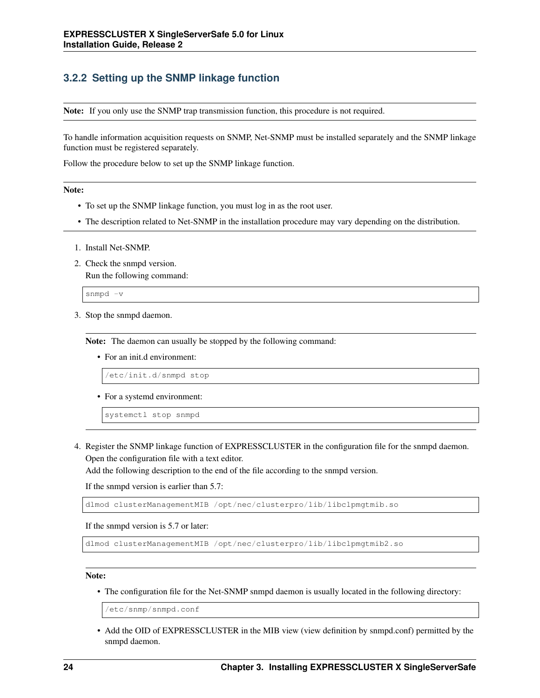## <span id="page-27-0"></span>**3.2.2 Setting up the SNMP linkage function**

Note: If you only use the SNMP trap transmission function, this procedure is not required.

To handle information acquisition requests on SNMP, Net-SNMP must be installed separately and the SNMP linkage function must be registered separately.

Follow the procedure below to set up the SNMP linkage function.

#### Note:

- To set up the SNMP linkage function, you must log in as the root user.
- The description related to Net-SNMP in the installation procedure may vary depending on the distribution.
- 1. Install Net-SNMP.
- 2. Check the snmpd version.

Run the following command:

snmpd -v

3. Stop the snmpd daemon.

Note: The daemon can usually be stopped by the following command:

• For an init.d environment:

/etc/init.d/snmpd stop

• For a systemd environment:

systemctl stop snmpd

4. Register the SNMP linkage function of EXPRESSCLUSTER in the configuration file for the snmpd daemon. Open the configuration file with a text editor.

Add the following description to the end of the file according to the snmpd version.

If the snmpd version is earlier than 5.7:

dlmod clusterManagementMIB /opt/nec/clusterpro/lib/libclpmgtmib.so

If the snmpd version is 5.7 or later:

dlmod clusterManagementMIB /opt/nec/clusterpro/lib/libclpmgtmib2.so

#### Note:

• The configuration file for the Net-SNMP snmpd daemon is usually located in the following directory:

/etc/snmp/snmpd.conf

• Add the OID of EXPRESSCLUSTER in the MIB view (view definition by snmpd.conf) permitted by the snmpd daemon.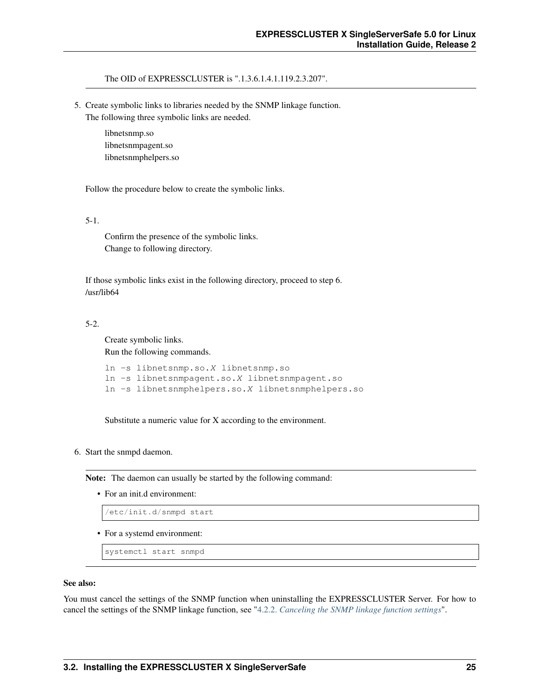The OID of EXPRESSCLUSTER is ".1.3.6.1.4.1.119.2.3.207".

5. Create symbolic links to libraries needed by the SNMP linkage function. The following three symbolic links are needed.

> libnetsnmp.so libnetsnmpagent.so libnetsnmphelpers.so

Follow the procedure below to create the symbolic links.

5-1.

Confirm the presence of the symbolic links. Change to following directory.

If those symbolic links exist in the following directory, proceed to step 6. /usr/lib64

#### 5-2.

Create symbolic links. Run the following commands.

```
ln -s libnetsnmp.so.X libnetsnmp.so
ln -s libnetsnmpagent.so.X libnetsnmpagent.so
ln -s libnetsnmphelpers.so.X libnetsnmphelpers.so
```
Substitute a numeric value for X according to the environment.

### 6. Start the snmpd daemon.

Note: The daemon can usually be started by the following command:

• For an init.d environment:

/etc/init.d/snmpd start

• For a systemd environment:

systemctl start snmpd

#### See also:

You must cancel the settings of the SNMP function when uninstalling the EXPRESSCLUSTER Server. For how to cancel the settings of the SNMP linkage function, see ["4.2.2.](#page-43-1) *[Canceling the SNMP linkage function settings](#page-43-1)*".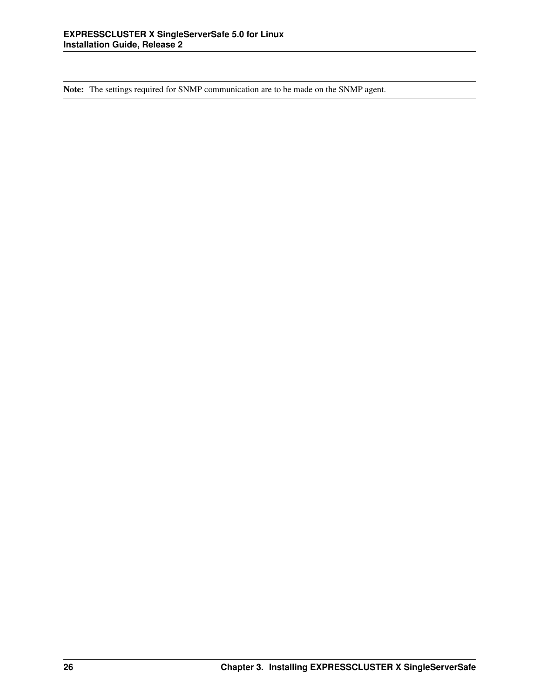Note: The settings required for SNMP communication are to be made on the SNMP agent.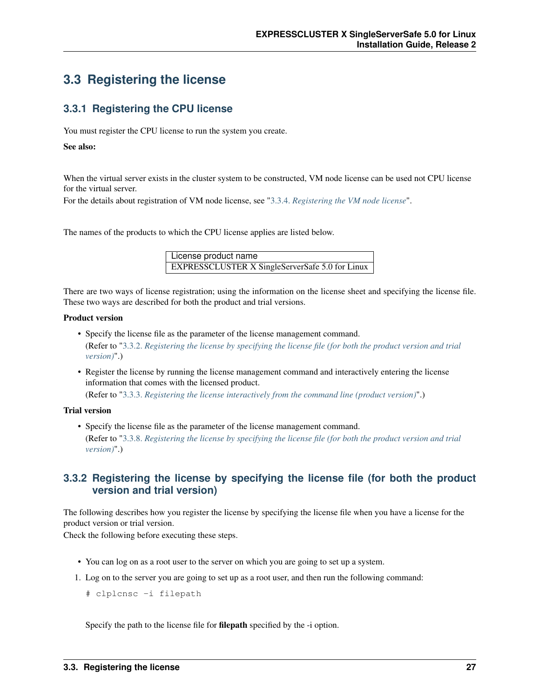## <span id="page-30-0"></span>**3.3 Registering the license**

## **3.3.1 Registering the CPU license**

You must register the CPU license to run the system you create.

### See also:

When the virtual server exists in the cluster system to be constructed, VM node license can be used not CPU license for the virtual server.

For the details about registration of VM node license, see ["3.3.4.](#page-32-0) *[Registering the VM node license](#page-32-0)*".

The names of the products to which the CPU license applies are listed below.

License product name EXPRESSCLUSTER X SingleServerSafe 5.0 for Linux

There are two ways of license registration; using the information on the license sheet and specifying the license file. These two ways are described for both the product and trial versions.

### Product version

- Specify the license file as the parameter of the license management command. (Refer to ["3.3.2.](#page-30-1) *[Registering the license by specifying the license file \(for both the product version and trial](#page-30-1) [version\)](#page-30-1)*".)
- Register the license by running the license management command and interactively entering the license information that comes with the licensed product.

(Refer to ["3.3.3.](#page-31-0) *[Registering the license interactively from the command line \(product version\)](#page-31-0)*".)

### Trial version

• Specify the license file as the parameter of the license management command. (Refer to ["3.3.8.](#page-35-0) *[Registering the license by specifying the license file \(for both the product version and trial](#page-35-0) [version\)](#page-35-0)*".)

### <span id="page-30-1"></span>**3.3.2 Registering the license by specifying the license file (for both the product version and trial version)**

The following describes how you register the license by specifying the license file when you have a license for the product version or trial version.

Check the following before executing these steps.

- You can log on as a root user to the server on which you are going to set up a system.
- 1. Log on to the server you are going to set up as a root user, and then run the following command:
	- # clplcnsc -i filepath

Specify the path to the license file for filepath specified by the -i option.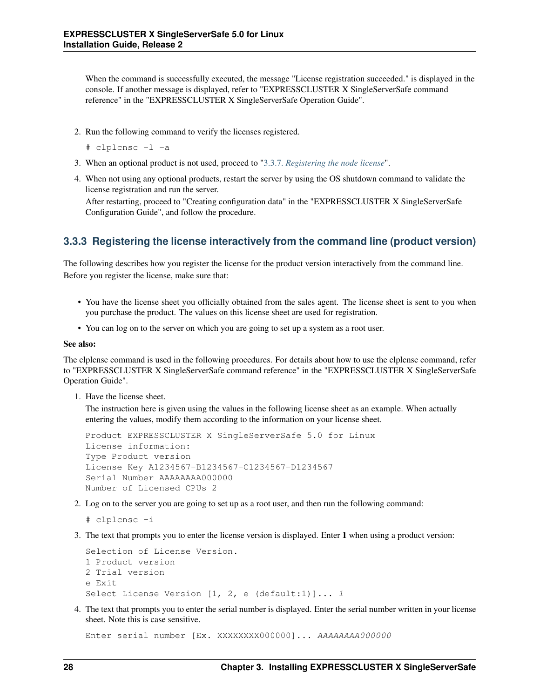When the command is successfully executed, the message "License registration succeeded." is displayed in the console. If another message is displayed, refer to "EXPRESSCLUSTER X SingleServerSafe command reference" in the "EXPRESSCLUSTER X SingleServerSafe Operation Guide".

- 2. Run the following command to verify the licenses registered.
	- # clplcnsc -l -a
- 3. When an optional product is not used, proceed to ["3.3.7.](#page-34-0) *[Registering the node license](#page-34-0)*".
- 4. When not using any optional products, restart the server by using the OS shutdown command to validate the license registration and run the server.

After restarting, proceed to "Creating configuration data" in the "EXPRESSCLUSTER X SingleServerSafe Configuration Guide", and follow the procedure.

### <span id="page-31-0"></span>**3.3.3 Registering the license interactively from the command line (product version)**

The following describes how you register the license for the product version interactively from the command line. Before you register the license, make sure that:

- You have the license sheet you officially obtained from the sales agent. The license sheet is sent to you when you purchase the product. The values on this license sheet are used for registration.
- You can log on to the server on which you are going to set up a system as a root user.

#### See also:

The clplcnsc command is used in the following procedures. For details about how to use the clplcnsc command, refer to "EXPRESSCLUSTER X SingleServerSafe command reference" in the "EXPRESSCLUSTER X SingleServerSafe Operation Guide".

1. Have the license sheet.

The instruction here is given using the values in the following license sheet as an example. When actually entering the values, modify them according to the information on your license sheet.

```
Product EXPRESSCLUSTER X SingleServerSafe 5.0 for Linux
License information:
Type Product version
License Key A1234567-B1234567-C1234567-D1234567
Serial Number AAAAAAAA000000
Number of Licensed CPUs 2
```
2. Log on to the server you are going to set up as a root user, and then run the following command:

```
# clplcnsc -i
```
3. The text that prompts you to enter the license version is displayed. Enter 1 when using a product version:

```
Selection of License Version.
1 Product version
2 Trial version
e Exit
Select License Version [1, 2, e (default:1)]... 1
```
4. The text that prompts you to enter the serial number is displayed. Enter the serial number written in your license sheet. Note this is case sensitive.

Enter serial number [Ex. XXXXXXXX000000]... AAAAAAAA000000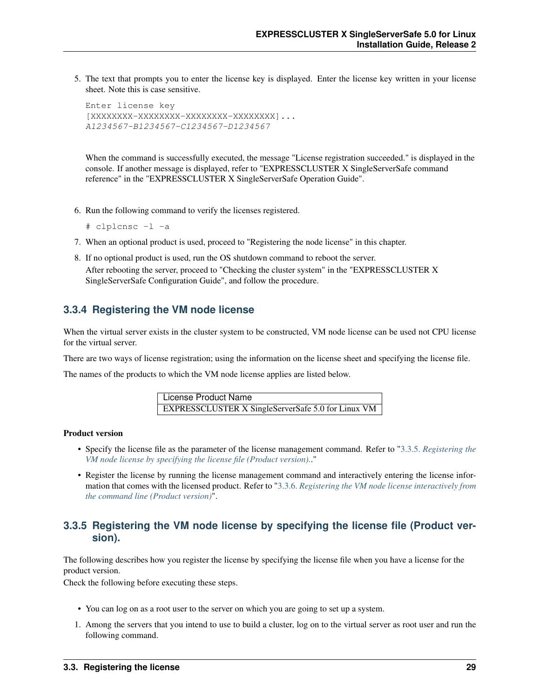5. The text that prompts you to enter the license key is displayed. Enter the license key written in your license sheet. Note this is case sensitive.

```
Enter license key
[XXXXXXXX-XXXXXXXX-XXXXXXXX-XXXXXXXX]...
A1234567-B1234567-C1234567-D1234567
```
When the command is successfully executed, the message "License registration succeeded." is displayed in the console. If another message is displayed, refer to "EXPRESSCLUSTER X SingleServerSafe command reference" in the "EXPRESSCLUSTER X SingleServerSafe Operation Guide".

- 6. Run the following command to verify the licenses registered.
	- # clplcnsc -l -a
- 7. When an optional product is used, proceed to "Registering the node license" in this chapter.
- 8. If no optional product is used, run the OS shutdown command to reboot the server. After rebooting the server, proceed to "Checking the cluster system" in the "EXPRESSCLUSTER X SingleServerSafe Configuration Guide", and follow the procedure.

### <span id="page-32-0"></span>**3.3.4 Registering the VM node license**

When the virtual server exists in the cluster system to be constructed, VM node license can be used not CPU license for the virtual server.

There are two ways of license registration; using the information on the license sheet and specifying the license file.

The names of the products to which the VM node license applies are listed below.

License Product Name EXPRESSCLUSTER X SingleServerSafe 5.0 for Linux VM

### Product version

- Specify the license file as the parameter of the license management command. Refer to ["3.3.5.](#page-32-1) *[Registering the](#page-32-1) [VM node license by specifying the license file \(Product version\).](#page-32-1)*."
- Register the license by running the license management command and interactively entering the license information that comes with the licensed product. Refer to ["3.3.6.](#page-33-0) *[Registering the VM node license interactively from](#page-33-0) [the command line \(Product version\)](#page-33-0)*".

### <span id="page-32-1"></span>**3.3.5 Registering the VM node license by specifying the license file (Product version).**

The following describes how you register the license by specifying the license file when you have a license for the product version.

Check the following before executing these steps.

- You can log on as a root user to the server on which you are going to set up a system.
- 1. Among the servers that you intend to use to build a cluster, log on to the virtual server as root user and run the following command.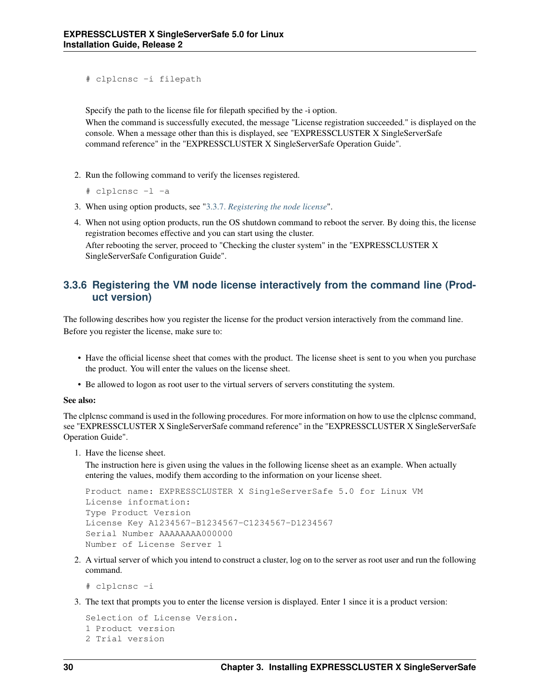```
# clplcnsc -i filepath
```
Specify the path to the license file for filepath specified by the -i option.

When the command is successfully executed, the message "License registration succeeded." is displayed on the console. When a message other than this is displayed, see "EXPRESSCLUSTER X SingleServerSafe command reference" in the "EXPRESSCLUSTER X SingleServerSafe Operation Guide".

2. Run the following command to verify the licenses registered.

```
# clplcnsc -l -a
```
- 3. When using option products, see ["3.3.7.](#page-34-0) *[Registering the node license](#page-34-0)*".
- 4. When not using option products, run the OS shutdown command to reboot the server. By doing this, the license registration becomes effective and you can start using the cluster.

After rebooting the server, proceed to "Checking the cluster system" in the "EXPRESSCLUSTER X SingleServerSafe Configuration Guide".

### <span id="page-33-0"></span>**3.3.6 Registering the VM node license interactively from the command line (Product version)**

The following describes how you register the license for the product version interactively from the command line. Before you register the license, make sure to:

- Have the official license sheet that comes with the product. The license sheet is sent to you when you purchase the product. You will enter the values on the license sheet.
- Be allowed to logon as root user to the virtual servers of servers constituting the system.

#### See also:

The clplcnsc command is used in the following procedures. For more information on how to use the clplcnsc command, see "EXPRESSCLUSTER X SingleServerSafe command reference" in the "EXPRESSCLUSTER X SingleServerSafe Operation Guide".

1. Have the license sheet.

The instruction here is given using the values in the following license sheet as an example. When actually entering the values, modify them according to the information on your license sheet.

```
Product name: EXPRESSCLUSTER X SingleServerSafe 5.0 for Linux VM
License information:
Type Product Version
License Key A1234567-B1234567-C1234567-D1234567
Serial Number AAAAAAAA000000
Number of License Server 1
```
2. A virtual server of which you intend to construct a cluster, log on to the server as root user and run the following command.

# clplcnsc -i

3. The text that prompts you to enter the license version is displayed. Enter 1 since it is a product version:

```
Selection of License Version.
1 Product version
2 Trial version
```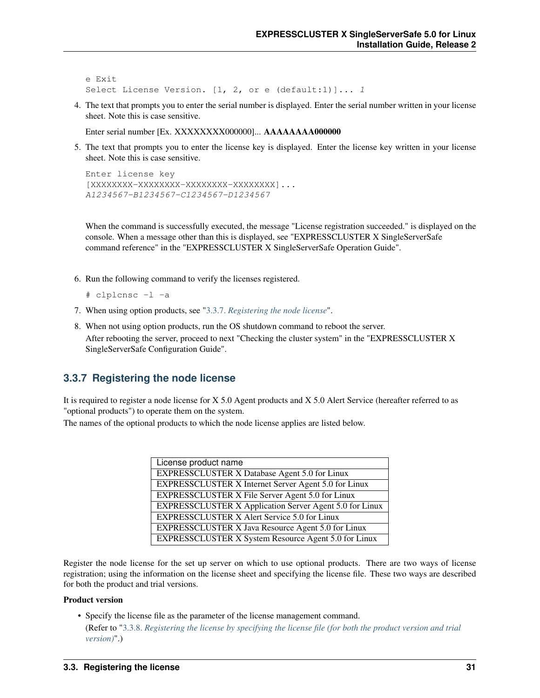```
e Exit
Select License Version. [1, 2, or e (default:1)]... 1
```
4. The text that prompts you to enter the serial number is displayed. Enter the serial number written in your license sheet. Note this is case sensitive.

Enter serial number [Ex. XXXXXXXX000000]... AAAAAAAA000000

5. The text that prompts you to enter the license key is displayed. Enter the license key written in your license sheet. Note this is case sensitive.

```
Enter license key
[XXXXXXXX-XXXXXXXX-XXXXXXXX-XXXXXXXX]...
A1234567-B1234567-C1234567-D1234567
```
When the command is successfully executed, the message "License registration succeeded." is displayed on the console. When a message other than this is displayed, see "EXPRESSCLUSTER X SingleServerSafe command reference" in the "EXPRESSCLUSTER X SingleServerSafe Operation Guide".

6. Run the following command to verify the licenses registered.

```
# clplcnsc -l -a
```
- 7. When using option products, see ["3.3.7.](#page-34-0) *[Registering the node license](#page-34-0)*".
- 8. When not using option products, run the OS shutdown command to reboot the server. After rebooting the server, proceed to next "Checking the cluster system" in the "EXPRESSCLUSTER X SingleServerSafe Configuration Guide".

### <span id="page-34-0"></span>**3.3.7 Registering the node license**

It is required to register a node license for X 5.0 Agent products and X 5.0 Alert Service (hereafter referred to as "optional products") to operate them on the system.

The names of the optional products to which the node license applies are listed below.

| License product name                                           |
|----------------------------------------------------------------|
| <b>EXPRESSCLUSTER X Database Agent 5.0 for Linux</b>           |
| EXPRESSCLUSTER X Internet Server Agent 5.0 for Linux           |
| <b>EXPRESSCLUSTER X File Server Agent 5.0 for Linux</b>        |
| <b>EXPRESSCLUSTER X Application Server Agent 5.0 for Linux</b> |
| <b>EXPRESSCLUSTER X Alert Service 5.0 for Linux</b>            |
| EXPRESSCLUSTER X Java Resource Agent 5.0 for Linux             |
| EXPRESSCLUSTER X System Resource Agent 5.0 for Linux           |

Register the node license for the set up server on which to use optional products. There are two ways of license registration; using the information on the license sheet and specifying the license file. These two ways are described for both the product and trial versions.

#### Product version

• Specify the license file as the parameter of the license management command.

(Refer to ["3.3.8.](#page-35-0) *[Registering the license by specifying the license file \(for both the product version and trial](#page-35-0) [version\)](#page-35-0)*".)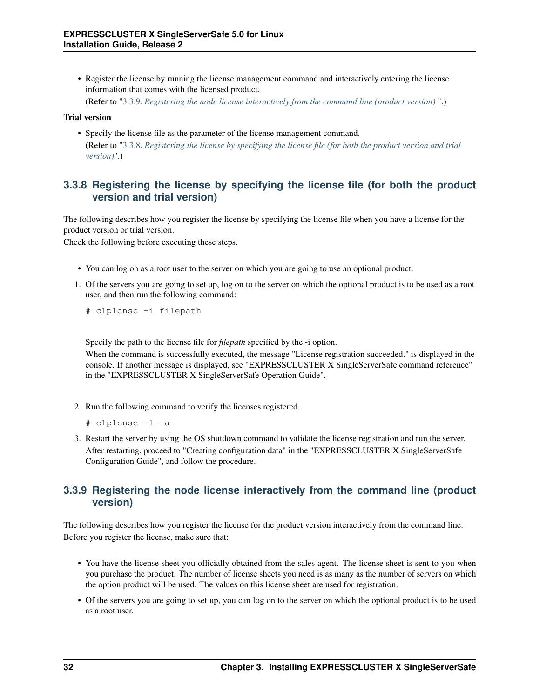• Register the license by running the license management command and interactively entering the license information that comes with the licensed product.

(Refer to ["3.3.9.](#page-35-1) *[Registering the node license interactively from the command line \(product version\)](#page-35-1)* ".)

### Trial version

• Specify the license file as the parameter of the license management command. (Refer to ["3.3.8.](#page-35-0) *[Registering the license by specifying the license file \(for both the product version and trial](#page-35-0) [version\)](#page-35-0)*".)

## <span id="page-35-0"></span>**3.3.8 Registering the license by specifying the license file (for both the product version and trial version)**

The following describes how you register the license by specifying the license file when you have a license for the product version or trial version.

Check the following before executing these steps.

- You can log on as a root user to the server on which you are going to use an optional product.
- 1. Of the servers you are going to set up, log on to the server on which the optional product is to be used as a root user, and then run the following command:
	- # clplcnsc -i filepath

Specify the path to the license file for *filepath* specified by the -i option.

When the command is successfully executed, the message "License registration succeeded." is displayed in the console. If another message is displayed, see "EXPRESSCLUSTER X SingleServerSafe command reference" in the "EXPRESSCLUSTER X SingleServerSafe Operation Guide".

- 2. Run the following command to verify the licenses registered.
	- # clplcnsc -l -a
- 3. Restart the server by using the OS shutdown command to validate the license registration and run the server. After restarting, proceed to "Creating configuration data" in the "EXPRESSCLUSTER X SingleServerSafe Configuration Guide", and follow the procedure.

### <span id="page-35-1"></span>**3.3.9 Registering the node license interactively from the command line (product version)**

The following describes how you register the license for the product version interactively from the command line. Before you register the license, make sure that:

- You have the license sheet you officially obtained from the sales agent. The license sheet is sent to you when you purchase the product. The number of license sheets you need is as many as the number of servers on which the option product will be used. The values on this license sheet are used for registration.
- Of the servers you are going to set up, you can log on to the server on which the optional product is to be used as a root user.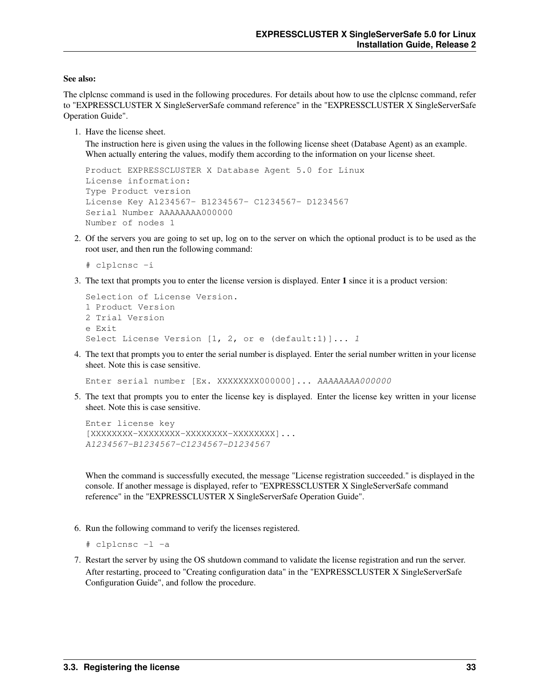#### See also:

The clplcnsc command is used in the following procedures. For details about how to use the clplcnsc command, refer to "EXPRESSCLUSTER X SingleServerSafe command reference" in the "EXPRESSCLUSTER X SingleServerSafe Operation Guide".

1. Have the license sheet.

The instruction here is given using the values in the following license sheet (Database Agent) as an example. When actually entering the values, modify them according to the information on your license sheet.

```
Product EXPRESSCLUSTER X Database Agent 5.0 for Linux
License information:
Type Product version
License Key A1234567- B1234567- C1234567- D1234567
Serial Number AAAAAAAA000000
Number of nodes 1
```
2. Of the servers you are going to set up, log on to the server on which the optional product is to be used as the root user, and then run the following command:

```
# clplcnsc -i
```
3. The text that prompts you to enter the license version is displayed. Enter 1 since it is a product version:

```
Selection of License Version.
1 Product Version
2 Trial Version
e Exit
Select License Version [1, 2, or e (default:1)]... 1
```
4. The text that prompts you to enter the serial number is displayed. Enter the serial number written in your license sheet. Note this is case sensitive.

Enter serial number [Ex. XXXXXXXX000000]... AAAAAAAA000000

5. The text that prompts you to enter the license key is displayed. Enter the license key written in your license sheet. Note this is case sensitive.

```
Enter license key
[XXXXXXXX-XXXXXXXX-XXXXXXXX-XXXXXXXX]...
A1234567-B1234567-C1234567-D1234567
```
When the command is successfully executed, the message "License registration succeeded." is displayed in the console. If another message is displayed, refer to "EXPRESSCLUSTER X SingleServerSafe command reference" in the "EXPRESSCLUSTER X SingleServerSafe Operation Guide".

6. Run the following command to verify the licenses registered.

```
# clplcnsc -l -a
```
7. Restart the server by using the OS shutdown command to validate the license registration and run the server. After restarting, proceed to "Creating configuration data" in the "EXPRESSCLUSTER X SingleServerSafe Configuration Guide", and follow the procedure.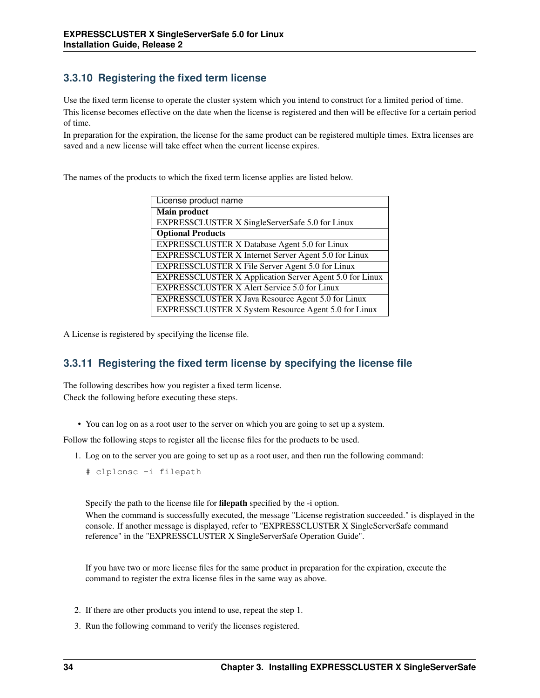## **3.3.10 Registering the fixed term license**

Use the fixed term license to operate the cluster system which you intend to construct for a limited period of time. This license becomes effective on the date when the license is registered and then will be effective for a certain period of time.

In preparation for the expiration, the license for the same product can be registered multiple times. Extra licenses are saved and a new license will take effect when the current license expires.

The names of the products to which the fixed term license applies are listed below.

| License product name                                    |
|---------------------------------------------------------|
| <b>Main product</b>                                     |
| EXPRESSCLUSTER X SingleServerSafe 5.0 for Linux         |
| <b>Optional Products</b>                                |
| EXPRESSCLUSTER X Database Agent 5.0 for Linux           |
| EXPRESSCLUSTER X Internet Server Agent 5.0 for Linux    |
| <b>EXPRESSCLUSTER X File Server Agent 5.0 for Linux</b> |
| EXPRESSCLUSTER X Application Server Agent 5.0 for Linux |
| <b>EXPRESSCLUSTER X Alert Service 5.0 for Linux</b>     |
| EXPRESSCLUSTER X Java Resource Agent 5.0 for Linux      |
| EXPRESSCLUSTER X System Resource Agent 5.0 for Linux    |

A License is registered by specifying the license file.

### **3.3.11 Registering the fixed term license by specifying the license file**

The following describes how you register a fixed term license. Check the following before executing these steps.

• You can log on as a root user to the server on which you are going to set up a system.

Follow the following steps to register all the license files for the products to be used.

1. Log on to the server you are going to set up as a root user, and then run the following command:

# clplcnsc -i filepath

Specify the path to the license file for filepath specified by the -i option.

When the command is successfully executed, the message "License registration succeeded." is displayed in the console. If another message is displayed, refer to "EXPRESSCLUSTER X SingleServerSafe command reference" in the "EXPRESSCLUSTER X SingleServerSafe Operation Guide".

If you have two or more license files for the same product in preparation for the expiration, execute the command to register the extra license files in the same way as above.

- 2. If there are other products you intend to use, repeat the step 1.
- 3. Run the following command to verify the licenses registered.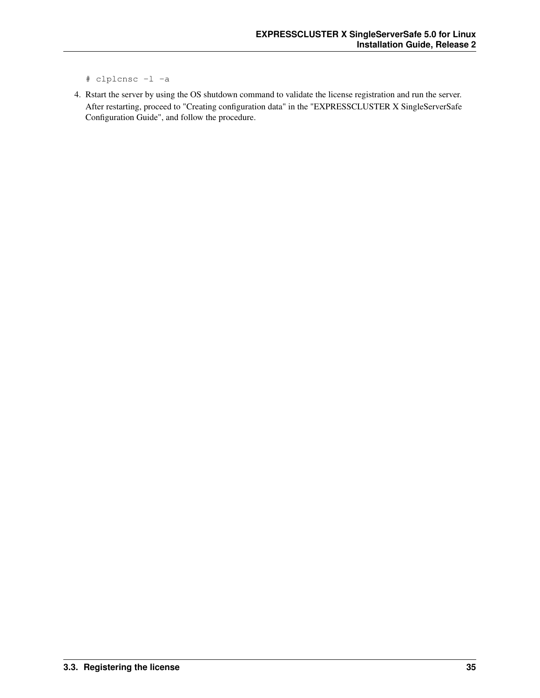- # clplcnsc -l -a
- 4. Rstart the server by using the OS shutdown command to validate the license registration and run the server. After restarting, proceed to "Creating configuration data" in the "EXPRESSCLUSTER X SingleServerSafe Configuration Guide", and follow the procedure.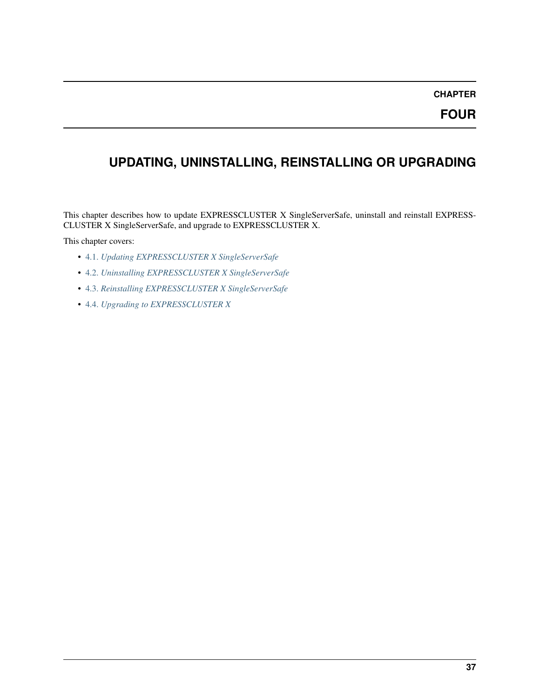**FOUR**

# **UPDATING, UNINSTALLING, REINSTALLING OR UPGRADING**

This chapter describes how to update EXPRESSCLUSTER X SingleServerSafe, uninstall and reinstall EXPRESS-CLUSTER X SingleServerSafe, and upgrade to EXPRESSCLUSTER X.

This chapter covers:

- [4.1.](#page-41-0) *[Updating EXPRESSCLUSTER X SingleServerSafe](#page-41-0)*
- [4.2.](#page-43-0) *[Uninstalling EXPRESSCLUSTER X SingleServerSafe](#page-43-0)*
- [4.3.](#page-45-0) *[Reinstalling EXPRESSCLUSTER X SingleServerSafe](#page-45-0)*
- [4.4.](#page-46-0) *[Upgrading to EXPRESSCLUSTER X](#page-46-0)*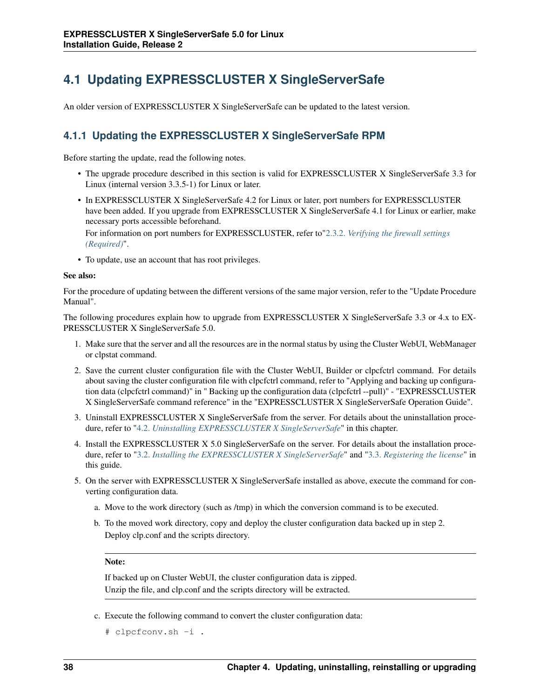# <span id="page-41-0"></span>**4.1 Updating EXPRESSCLUSTER X SingleServerSafe**

An older version of EXPRESSCLUSTER X SingleServerSafe can be updated to the latest version.

## <span id="page-41-1"></span>**4.1.1 Updating the EXPRESSCLUSTER X SingleServerSafe RPM**

Before starting the update, read the following notes.

- The upgrade procedure described in this section is valid for EXPRESSCLUSTER X SingleServerSafe 3.3 for Linux (internal version 3.3.5-1) for Linux or later.
- In EXPRESSCLUSTER X SingleServerSafe 4.2 for Linux or later, port numbers for EXPRESSCLUSTER have been added. If you upgrade from EXPRESSCLUSTER X SingleServerSafe 4.1 for Linux or earlier, make necessary ports accessible beforehand.

For information on port numbers for EXPRESSCLUSTER, refer to["2.3.2.](#page-19-0) *[Verifying the firewall settings](#page-19-0) [\(Required\)](#page-19-0)*".

• To update, use an account that has root privileges.

#### See also:

For the procedure of updating between the different versions of the same major version, refer to the "Update Procedure Manual".

The following procedures explain how to upgrade from EXPRESSCLUSTER X SingleServerSafe 3.3 or 4.x to EX-PRESSCLUSTER X SingleServerSafe 5.0.

- 1. Make sure that the server and all the resources are in the normal status by using the Cluster WebUI, WebManager or clpstat command.
- 2. Save the current cluster configuration file with the Cluster WebUI, Builder or clpcfctrl command. For details about saving the cluster configuration file with clpcfctrl command, refer to "Applying and backing up configuration data (clpcfctrl command)" in " Backing up the configuration data (clpcfctrl --pull)" - "EXPRESSCLUSTER X SingleServerSafe command reference" in the "EXPRESSCLUSTER X SingleServerSafe Operation Guide".
- 3. Uninstall EXPRESSCLUSTER X SingleServerSafe from the server. For details about the uninstallation procedure, refer to ["4.2.](#page-43-0) *[Uninstalling EXPRESSCLUSTER X SingleServerSafe](#page-43-0)*" in this chapter.
- 4. Install the EXPRESSCLUSTER X 5.0 SingleServerSafe on the server. For details about the installation procedure, refer to ["3.2.](#page-26-0) *[Installing the EXPRESSCLUSTER X SingleServerSafe](#page-26-0)*" and ["3.3.](#page-30-0) *[Registering the license](#page-30-0)*" in this guide.
- 5. On the server with EXPRESSCLUSTER X SingleServerSafe installed as above, execute the command for converting configuration data.
	- a. Move to the work directory (such as /tmp) in which the conversion command is to be executed.
	- b. To the moved work directory, copy and deploy the cluster configuration data backed up in step 2. Deploy clp.conf and the scripts directory.

#### Note:

If backed up on Cluster WebUI, the cluster configuration data is zipped. Unzip the file, and clp.conf and the scripts directory will be extracted.

c. Execute the following command to convert the cluster configuration data:

```
# clpcfconv.sh -i .
```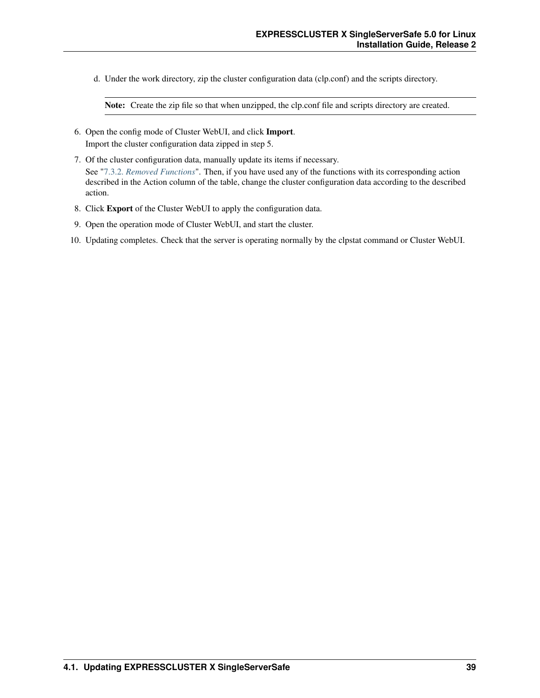d. Under the work directory, zip the cluster configuration data (clp.conf) and the scripts directory.

Note: Create the zip file so that when unzipped, the clp.conf file and scripts directory are created.

- 6. Open the config mode of Cluster WebUI, and click Import. Import the cluster configuration data zipped in step 5.
- 7. Of the cluster configuration data, manually update its items if necessary. See ["7.3.2.](#page-68-0) *[Removed Functions](#page-68-0)*". Then, if you have used any of the functions with its corresponding action described in the Action column of the table, change the cluster configuration data according to the described action.
- 8. Click Export of the Cluster WebUI to apply the configuration data.
- 9. Open the operation mode of Cluster WebUI, and start the cluster.
- 10. Updating completes. Check that the server is operating normally by the clpstat command or Cluster WebUI.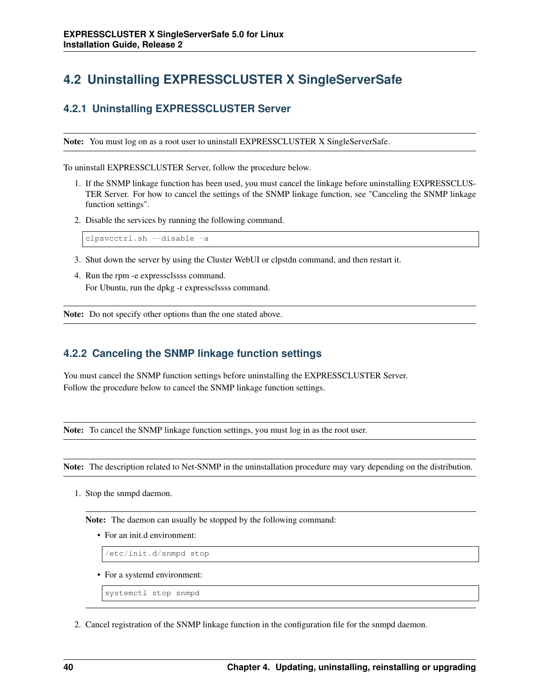# <span id="page-43-0"></span>**4.2 Uninstalling EXPRESSCLUSTER X SingleServerSafe**

## <span id="page-43-1"></span>**4.2.1 Uninstalling EXPRESSCLUSTER Server**

Note: You must log on as a root user to uninstall EXPRESSCLUSTER X SingleServerSafe.

To uninstall EXPRESSCLUSTER Server, follow the procedure below.

- 1. If the SNMP linkage function has been used, you must cancel the linkage before uninstalling EXPRESSCLUS-TER Server. For how to cancel the settings of the SNMP linkage function, see "Canceling the SNMP linkage function settings".
- 2. Disable the services by running the following command.

clpsvcctrl.sh --disable -a

- 3. Shut down the server by using the Cluster WebUI or clpstdn command, and then restart it.
- 4. Run the rpm -e expressclssss command. For Ubuntu, run the dpkg -r expressclssss command.

Note: Do not specify other options than the one stated above.

### **4.2.2 Canceling the SNMP linkage function settings**

You must cancel the SNMP function settings before uninstalling the EXPRESSCLUSTER Server. Follow the procedure below to cancel the SNMP linkage function settings.

Note: To cancel the SNMP linkage function settings, you must log in as the root user.

Note: The description related to Net-SNMP in the uninstallation procedure may vary depending on the distribution.

1. Stop the snmpd daemon.

Note: The daemon can usually be stopped by the following command:

• For an init.d environment:

/etc/init.d/snmpd stop

- For a systemd environment:
	- systemctl stop snmpd
- 2. Cancel registration of the SNMP linkage function in the configuration file for the snmpd daemon.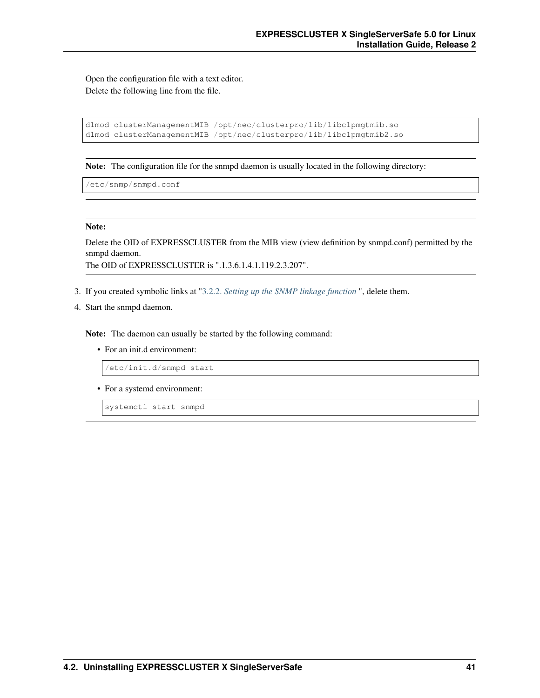Open the configuration file with a text editor. Delete the following line from the file.

```
dlmod clusterManagementMIB /opt/nec/clusterpro/lib/libclpmgtmib.so
dlmod clusterManagementMIB /opt/nec/clusterpro/lib/libclpmgtmib2.so
```
Note: The configuration file for the snmpd daemon is usually located in the following directory:

/etc/snmp/snmpd.conf

#### Note:

Delete the OID of EXPRESSCLUSTER from the MIB view (view definition by snmpd.conf) permitted by the snmpd daemon.

The OID of EXPRESSCLUSTER is ".1.3.6.1.4.1.119.2.3.207".

- 3. If you created symbolic links at ["3.2.2.](#page-27-0) *[Setting up the SNMP linkage function](#page-27-0)* ", delete them.
- 4. Start the snmpd daemon.

Note: The daemon can usually be started by the following command:

• For an init.d environment:

/etc/init.d/snmpd start

• For a systemd environment:

systemctl start snmpd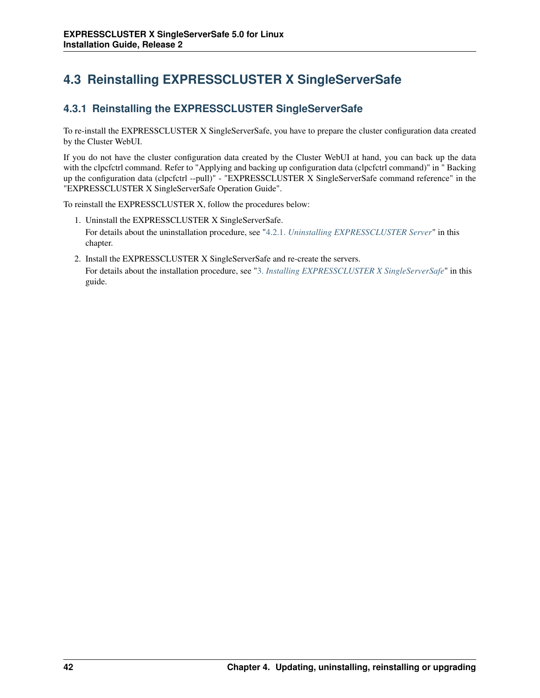# <span id="page-45-0"></span>**4.3 Reinstalling EXPRESSCLUSTER X SingleServerSafe**

## **4.3.1 Reinstalling the EXPRESSCLUSTER SingleServerSafe**

To re-install the EXPRESSCLUSTER X SingleServerSafe, you have to prepare the cluster configuration data created by the Cluster WebUI.

If you do not have the cluster configuration data created by the Cluster WebUI at hand, you can back up the data with the clpcfctrl command. Refer to "Applying and backing up configuration data (clpcfctrl command)" in " Backing up the configuration data (clpcfctrl --pull)" - "EXPRESSCLUSTER X SingleServerSafe command reference" in the "EXPRESSCLUSTER X SingleServerSafe Operation Guide".

To reinstall the EXPRESSCLUSTER X, follow the procedures below:

- 1. Uninstall the EXPRESSCLUSTER X SingleServerSafe. For details about the uninstallation procedure, see ["4.2.1.](#page-43-1) *[Uninstalling EXPRESSCLUSTER Server](#page-43-1)*" in this chapter.
- 2. Install the EXPRESSCLUSTER X SingleServerSafe and re-create the servers. For details about the installation procedure, see ["3.](#page-24-0) *[Installing EXPRESSCLUSTER X SingleServerSafe](#page-24-0)*" in this guide.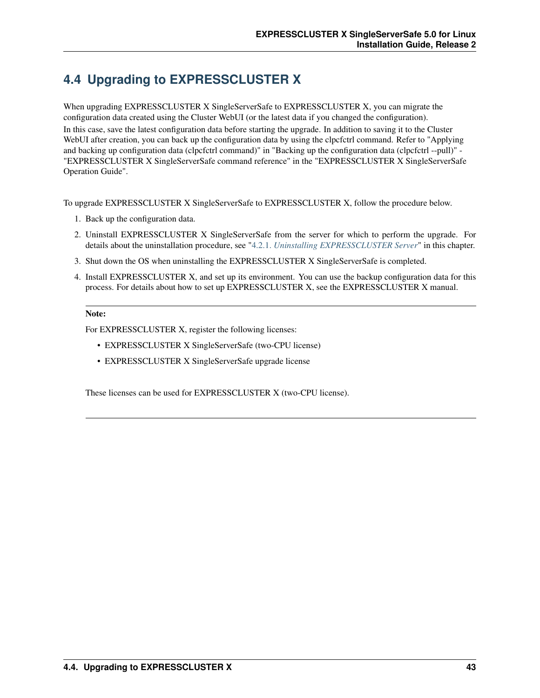# <span id="page-46-0"></span>**4.4 Upgrading to EXPRESSCLUSTER X**

When upgrading EXPRESSCLUSTER X SingleServerSafe to EXPRESSCLUSTER X, you can migrate the configuration data created using the Cluster WebUI (or the latest data if you changed the configuration). In this case, save the latest configuration data before starting the upgrade. In addition to saving it to the Cluster WebUI after creation, you can back up the configuration data by using the clpcfctrl command. Refer to "Applying and backing up configuration data (clpcfctrl command)" in "Backing up the configuration data (clpcfctrl --pull)" - "EXPRESSCLUSTER X SingleServerSafe command reference" in the "EXPRESSCLUSTER X SingleServerSafe Operation Guide".

To upgrade EXPRESSCLUSTER X SingleServerSafe to EXPRESSCLUSTER X, follow the procedure below.

- 1. Back up the configuration data.
- 2. Uninstall EXPRESSCLUSTER X SingleServerSafe from the server for which to perform the upgrade. For details about the uninstallation procedure, see ["4.2.1.](#page-43-1) *[Uninstalling EXPRESSCLUSTER Server](#page-43-1)*" in this chapter.
- 3. Shut down the OS when uninstalling the EXPRESSCLUSTER X SingleServerSafe is completed.
- 4. Install EXPRESSCLUSTER X, and set up its environment. You can use the backup configuration data for this process. For details about how to set up EXPRESSCLUSTER X, see the EXPRESSCLUSTER X manual.

#### Note:

For EXPRESSCLUSTER X, register the following licenses:

- EXPRESSCLUSTER X SingleServerSafe (two-CPU license)
- EXPRESSCLUSTER X SingleServerSafe upgrade license

These licenses can be used for EXPRESSCLUSTER X (two-CPU license).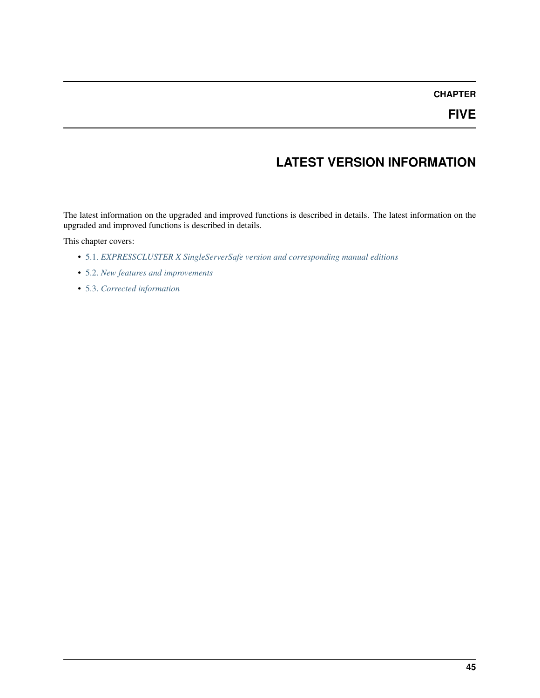# **LATEST VERSION INFORMATION**

The latest information on the upgraded and improved functions is described in details. The latest information on the upgraded and improved functions is described in details.

This chapter covers:

- [5.1.](#page-49-0) *[EXPRESSCLUSTER X SingleServerSafe version and corresponding manual editions](#page-49-0)*
- [5.2.](#page-50-0) *[New features and improvements](#page-50-0)*
- [5.3.](#page-52-0) *[Corrected information](#page-52-0)*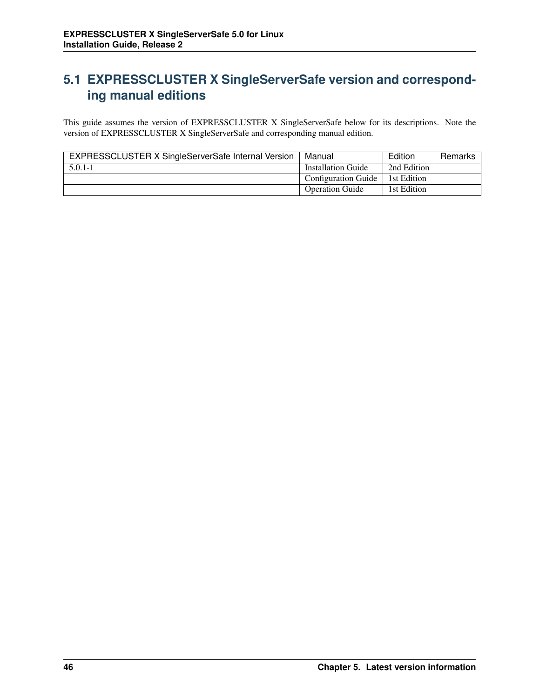# <span id="page-49-0"></span>**5.1 EXPRESSCLUSTER X SingleServerSafe version and corresponding manual editions**

This guide assumes the version of EXPRESSCLUSTER X SingleServerSafe below for its descriptions. Note the version of EXPRESSCLUSTER X SingleServerSafe and corresponding manual edition.

| EXPRESSCLUSTER X SingleServerSafe Internal Version | Manual                     | Edition     | Remarks |
|----------------------------------------------------|----------------------------|-------------|---------|
| $5.0.1 - 1$                                        | Installation Guide         | 2nd Edition |         |
|                                                    | <b>Configuration Guide</b> | 1st Edition |         |
|                                                    | <b>Operation Guide</b>     | 1st Edition |         |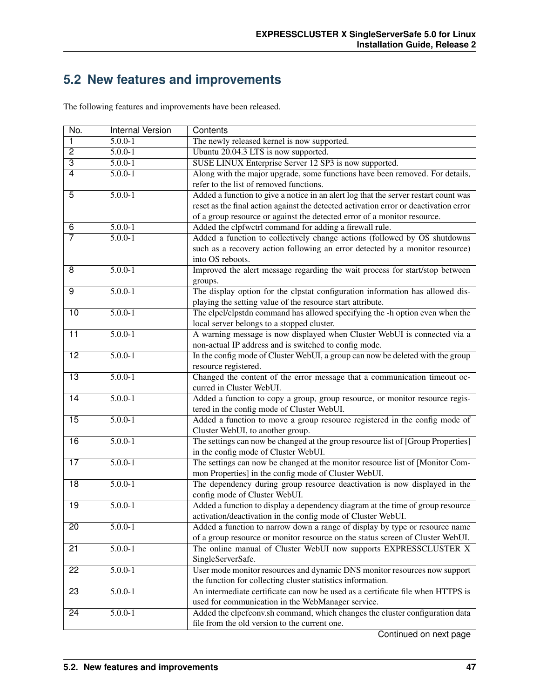# <span id="page-50-0"></span>**5.2 New features and improvements**

The following features and improvements have been released.

| No.             | Internal Version | Contents                                                                              |  |  |
|-----------------|------------------|---------------------------------------------------------------------------------------|--|--|
| 1               | $5.0.0 - 1$      | The newly released kernel is now supported.                                           |  |  |
| $\overline{2}$  | $5.0.0 - 1$      | Ubuntu 20.04.3 LTS is now supported.                                                  |  |  |
| $\overline{3}$  | $5.0.0 - 1$      | SUSE LINUX Enterprise Server 12 SP3 is now supported.                                 |  |  |
| $\overline{4}$  | $5.0.0 - 1$      | Along with the major upgrade, some functions have been removed. For details,          |  |  |
|                 |                  | refer to the list of removed functions.                                               |  |  |
| $\overline{5}$  | $5.0.0 - 1$      | Added a function to give a notice in an alert log that the server restart count was   |  |  |
|                 |                  | reset as the final action against the detected activation error or deactivation error |  |  |
|                 |                  | of a group resource or against the detected error of a monitor resource.              |  |  |
| $\overline{6}$  | $5.0.0 - 1$      | Added the clpfwctrl command for adding a firewall rule.                               |  |  |
| $\overline{7}$  | $5.0.0 - 1$      | Added a function to collectively change actions (followed by OS shutdowns             |  |  |
|                 |                  | such as a recovery action following an error detected by a monitor resource)          |  |  |
|                 |                  | into OS reboots.                                                                      |  |  |
| $\overline{8}$  | $5.0.0 - 1$      | Improved the alert message regarding the wait process for start/stop between          |  |  |
|                 |                  | groups.                                                                               |  |  |
| $\overline{9}$  | $5.0.0 - 1$      | The display option for the clpstat configuration information has allowed dis-         |  |  |
|                 |                  | playing the setting value of the resource start attribute.                            |  |  |
| 10              | $5.0.0 - 1$      | The clpcl/clpstdn command has allowed specifying the -h option even when the          |  |  |
|                 |                  | local server belongs to a stopped cluster.                                            |  |  |
| $\overline{11}$ | $5.0.0 - 1$      | A warning message is now displayed when Cluster WebUI is connected via a              |  |  |
|                 |                  | non-actual IP address and is switched to config mode.                                 |  |  |
| $\overline{12}$ | $5.0.0 - 1$      | In the config mode of Cluster WebUI, a group can now be deleted with the group        |  |  |
|                 |                  | resource registered.                                                                  |  |  |
| $\overline{13}$ | $5.0.0 - 1$      | Changed the content of the error message that a communication timeout oc-             |  |  |
|                 |                  | curred in Cluster WebUI.                                                              |  |  |
| 14              | $5.0.0 - 1$      | Added a function to copy a group, group resource, or monitor resource regis-          |  |  |
|                 |                  | tered in the config mode of Cluster WebUI.                                            |  |  |
| 15              | $5.0.0 - 1$      | Added a function to move a group resource registered in the config mode of            |  |  |
|                 |                  | Cluster WebUI, to another group.                                                      |  |  |
| 16              | $5.0.0 - 1$      | The settings can now be changed at the group resource list of [Group Properties]      |  |  |
|                 |                  | in the config mode of Cluster WebUI.                                                  |  |  |
| $\overline{17}$ | $5.0.0 - 1$      | The settings can now be changed at the monitor resource list of [Monitor Com-         |  |  |
|                 |                  | mon Properties] in the config mode of Cluster WebUI.                                  |  |  |
| $\overline{18}$ | $5.0.0 - 1$      | The dependency during group resource deactivation is now displayed in the             |  |  |
|                 |                  | config mode of Cluster WebUI.                                                         |  |  |
| $\overline{19}$ | $5.0.0 - 1$      | Added a function to display a dependency diagram at the time of group resource        |  |  |
|                 |                  | activation/deactivation in the config mode of Cluster WebUI.                          |  |  |
| 20              | $5.0.0 - 1$      | Added a function to narrow down a range of display by type or resource name           |  |  |
|                 |                  | of a group resource or monitor resource on the status screen of Cluster WebUI.        |  |  |
| 21              | $5.0.0 - 1$      | The online manual of Cluster WebUI now supports EXPRESSCLUSTER X                      |  |  |
|                 |                  | SingleServerSafe.                                                                     |  |  |
| $\overline{22}$ | $5.0.0 - 1$      | User mode monitor resources and dynamic DNS monitor resources now support             |  |  |
|                 |                  | the function for collecting cluster statistics information.                           |  |  |
| $\overline{23}$ | $5.0.0 - 1$      | An intermediate certificate can now be used as a certificate file when HTTPS is       |  |  |
|                 |                  | used for communication in the WebManager service.                                     |  |  |
| 24              | $5.0.0 - 1$      | Added the clpcfconv.sh command, which changes the cluster configuration data          |  |  |
|                 |                  | file from the old version to the current one.                                         |  |  |
|                 |                  |                                                                                       |  |  |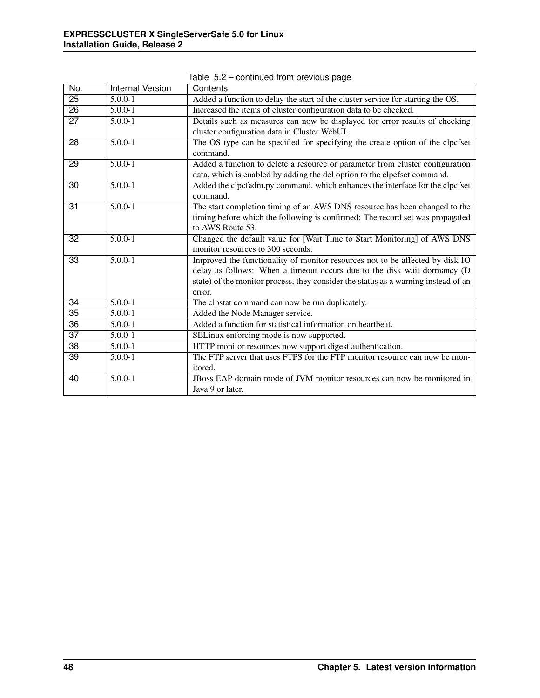| No.             | <b>Internal Version</b> | Contents                                                                                 |
|-----------------|-------------------------|------------------------------------------------------------------------------------------|
| 25              | $5.0.0 - 1$             | Added a function to delay the start of the cluster service for starting the OS.          |
| $\overline{26}$ | $5.0.0 - 1$             | Increased the items of cluster configuration data to be checked.                         |
| 27              | $5.0.0 - 1$             | Details such as measures can now be displayed for error results of checking              |
|                 |                         | cluster configuration data in Cluster WebUI.                                             |
| $\overline{28}$ | $5.0.0 - 1$             | The OS type can be specified for specifying the create option of the clpcfset            |
|                 |                         | command.                                                                                 |
| $\overline{29}$ | $5.0.0 - 1$             | Added a function to delete a resource or parameter from cluster configuration            |
|                 |                         | data, which is enabled by adding the del option to the clpcfset command.                 |
| 30              | $5.0.0 - 1$             | Added the clpcfadm.py command, which enhances the interface for the clpcfset<br>command. |
| $\overline{31}$ | $5.0.0 - 1$             | The start completion timing of an AWS DNS resource has been changed to the               |
|                 |                         | timing before which the following is confirmed: The record set was propagated            |
|                 |                         | to AWS Route 53.                                                                         |
| 32              | $5.0.0 - 1$             | Changed the default value for [Wait Time to Start Monitoring] of AWS DNS                 |
|                 |                         | monitor resources to 300 seconds.                                                        |
| $\overline{33}$ | $5.0.0 - 1$             | Improved the functionality of monitor resources not to be affected by disk IO            |
|                 |                         | delay as follows: When a timeout occurs due to the disk wait dormancy (D                 |
|                 |                         | state) of the monitor process, they consider the status as a warning instead of an       |
|                 |                         | error.                                                                                   |
| $\overline{34}$ | $5.0.0 - 1$             | The clpstat command can now be run duplicately.                                          |
| 35              | $5.0.0 - 1$             | Added the Node Manager service.                                                          |
| $\overline{36}$ | $5.0.0 - 1$             | Added a function for statistical information on heartbeat.                               |
| $\overline{37}$ | $5.0.0 - 1$             | SELinux enforcing mode is now supported.                                                 |
| $\overline{38}$ | $\overline{5.0.0}$ -1   | HTTP monitor resources now support digest authentication.                                |
| $\overline{39}$ | $5.0.0 - 1$             | The FTP server that uses FTPS for the FTP monitor resource can now be mon-               |
|                 |                         | itored.                                                                                  |
| 40              | $5.0.0 - 1$             | JBoss EAP domain mode of JVM monitor resources can now be monitored in                   |
|                 |                         | Java 9 or later.                                                                         |

Table 5.2 – continued from previous page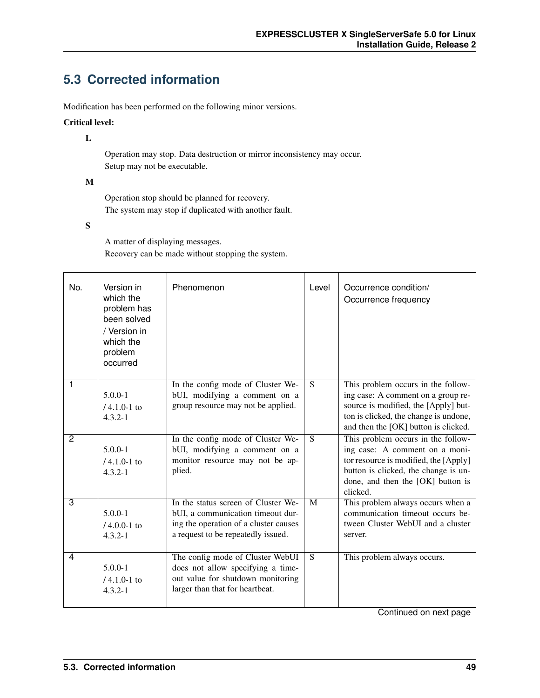# <span id="page-52-0"></span>**5.3 Corrected information**

Modification has been performed on the following minor versions.

#### Critical level:

L

Operation may stop. Data destruction or mirror inconsistency may occur. Setup may not be executable.

#### M

Operation stop should be planned for recovery. The system may stop if duplicated with another fault.

#### S

A matter of displaying messages. Recovery can be made without stopping the system.

| No. | Version in<br>which the<br>problem has<br>been solved<br>/ Version in<br>which the<br>problem<br>occurred | Phenomenon                                                                                                                                              | Level | Occurrence condition/<br>Occurrence frequency                                                                                                                                                          |
|-----|-----------------------------------------------------------------------------------------------------------|---------------------------------------------------------------------------------------------------------------------------------------------------------|-------|--------------------------------------------------------------------------------------------------------------------------------------------------------------------------------------------------------|
| 1   | $5.0.0 - 1$<br>$14.1.0 - 1$ to<br>$4.3.2 - 1$                                                             | In the config mode of Cluster We-<br>bUI, modifying a comment on a<br>group resource may not be applied.                                                | S.    | This problem occurs in the follow-<br>ing case: A comment on a group re-<br>source is modified, the [Apply] but-<br>ton is clicked, the change is undone,<br>and then the [OK] button is clicked.      |
| 2   | $5.0.0 - 1$<br>$/4.1.0 - 1$ to<br>$4.3.2 - 1$                                                             | In the config mode of Cluster We-<br>bUI, modifying a comment on a<br>monitor resource may not be ap-<br>plied.                                         | S     | This problem occurs in the follow-<br>ing case: A comment on a moni-<br>tor resource is modified, the [Apply]<br>button is clicked, the change is un-<br>done, and then the [OK] button is<br>clicked. |
| 3   | $5.0.0 - 1$<br>$/4.0.0 - 1$ to<br>$4.3.2 - 1$                                                             | In the status screen of Cluster We-<br>bUI, a communication timeout dur-<br>ing the operation of a cluster causes<br>a request to be repeatedly issued. | M     | This problem always occurs when a<br>communication timeout occurs be-<br>tween Cluster WebUI and a cluster<br>server.                                                                                  |
| 4   | $5.0.0 - 1$<br>$/4.1.0 - 1$ to<br>$4.3.2 - 1$                                                             | The config mode of Cluster WebUI<br>does not allow specifying a time-<br>out value for shutdown monitoring<br>larger than that for heartbeat.           | S.    | This problem always occurs.                                                                                                                                                                            |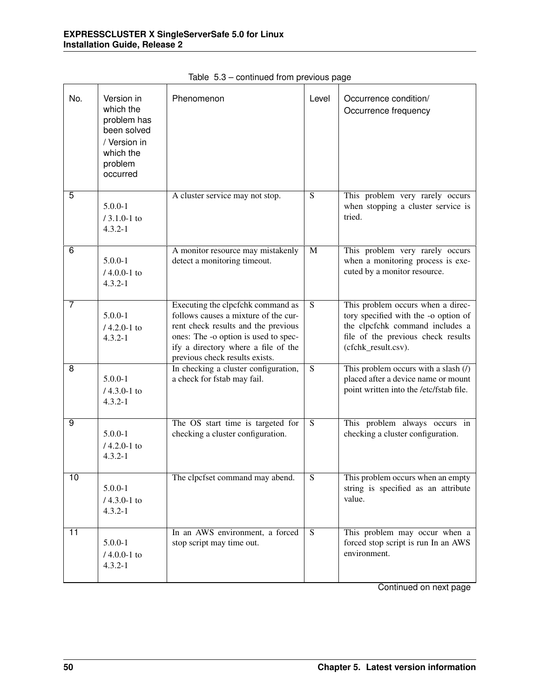| No.             | Version in<br>which the<br>problem has<br>been solved<br>/ Version in<br>which the<br>problem<br>occurred | Phenomenon                                                                                                                                                                                                                        | Level                   | Occurrence condition/<br>Occurrence frequency                                                                                                                             |
|-----------------|-----------------------------------------------------------------------------------------------------------|-----------------------------------------------------------------------------------------------------------------------------------------------------------------------------------------------------------------------------------|-------------------------|---------------------------------------------------------------------------------------------------------------------------------------------------------------------------|
| 5               | $5.0.0 - 1$<br>$/ 3.1.0 - 1$ to<br>$4.3.2 - 1$                                                            | A cluster service may not stop.                                                                                                                                                                                                   | $\overline{S}$          | This problem very rarely occurs<br>when stopping a cluster service is<br>tried.                                                                                           |
| 6               | $5.0.0 - 1$<br>$/4.0.0 - 1$ to<br>$4.3.2 - 1$                                                             | A monitor resource may mistakenly<br>detect a monitoring timeout.                                                                                                                                                                 | M                       | This problem very rarely occurs<br>when a monitoring process is exe-<br>cuted by a monitor resource.                                                                      |
| 7               | $5.0.0 - 1$<br>$/4.2.0 - 1$ to<br>$4.3.2 - 1$                                                             | Executing the clpcfchk command as<br>follows causes a mixture of the cur-<br>rent check results and the previous<br>ones: The -o option is used to spec-<br>ify a directory where a file of the<br>previous check results exists. | $\overline{S}$          | This problem occurs when a direc-<br>tory specified with the -o option of<br>the clpcfchk command includes a<br>file of the previous check results<br>(cfchk_result.csv). |
| 8               | $5.0.0 - 1$<br>$/4.3.0 - 1$ to<br>$4.3.2 - 1$                                                             | In checking a cluster configuration,<br>a check for fstab may fail.                                                                                                                                                               | $\overline{S}$          | This problem occurs with a slash $(1)$<br>placed after a device name or mount<br>point written into the /etc/fstab file.                                                  |
| 9               | $5.0.0 - 1$<br>$/4.2.0 - 1$ to<br>$4.3.2 - 1$                                                             | The OS start time is targeted for<br>checking a cluster configuration.                                                                                                                                                            | $\overline{S}$          | This problem always occurs in<br>checking a cluster configuration.                                                                                                        |
| $\overline{10}$ | $5.0.0 - 1$<br>$/4.3.0 - 1$ to<br>$4.3.2 - 1$                                                             | The clpcfset command may abend.                                                                                                                                                                                                   | $\overline{\mathbf{S}}$ | This problem occurs when an empty<br>string is specified as an attribute<br>value.                                                                                        |
| 11              | $5.0.0 - 1$<br>$/4.0.0-1$ to<br>$4.3.2 - 1$                                                               | In an AWS environment, a forced<br>stop script may time out.                                                                                                                                                                      | S                       | This problem may occur when a<br>forced stop script is run In an AWS<br>environment.                                                                                      |

Table 5.3 – continued from previous page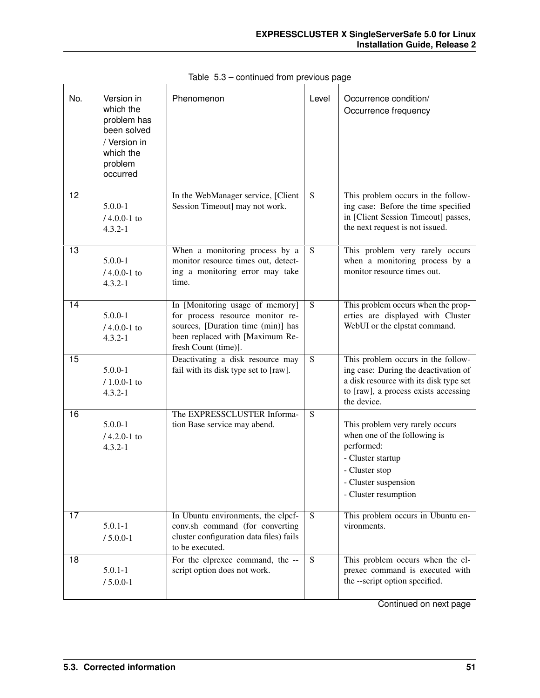| No.             | Version in<br>which the<br>problem has<br>been solved<br>/ Version in<br>which the<br>problem<br>occurred | Phenomenon                                                                                                                                                           | Level          | Occurrence condition/<br>Occurrence frequency                                                                                                                               |
|-----------------|-----------------------------------------------------------------------------------------------------------|----------------------------------------------------------------------------------------------------------------------------------------------------------------------|----------------|-----------------------------------------------------------------------------------------------------------------------------------------------------------------------------|
| 12              | $5.0.0 - 1$<br>$/4.0.0 - 1$ to<br>$4.3.2 - 1$                                                             | In the WebManager service, [Client<br>Session Timeout] may not work.                                                                                                 | ${\bf S}$      | This problem occurs in the follow-<br>ing case: Before the time specified<br>in [Client Session Timeout] passes,<br>the next request is not issued.                         |
| 13              | $5.0.0 - 1$<br>$/4.0.0 - 1$ to<br>$4.3.2 - 1$                                                             | When a monitoring process by a<br>monitor resource times out, detect-<br>ing a monitoring error may take<br>time.                                                    | $\overline{S}$ | This problem very rarely occurs<br>when a monitoring process by a<br>monitor resource times out.                                                                            |
| $\overline{14}$ | $5.0.0 - 1$<br>$/4.0.0 - 1$ to<br>$4.3.2 - 1$                                                             | In [Monitoring usage of memory]<br>for process resource monitor re-<br>sources, [Duration time (min)] has<br>been replaced with [Maximum Re-<br>fresh Count (time)]. | $\overline{S}$ | This problem occurs when the prop-<br>erties are displayed with Cluster<br>WebUI or the clpstat command.                                                                    |
| 15              | $5.0.0 - 1$<br>$/ 1.0.0 - 1$ to<br>$4.3.2 - 1$                                                            | Deactivating a disk resource may<br>fail with its disk type set to [raw].                                                                                            | $\overline{S}$ | This problem occurs in the follow-<br>ing case: During the deactivation of<br>a disk resource with its disk type set<br>to [raw], a process exists accessing<br>the device. |
| 16              | $5.0.0 - 1$<br>$/4.2.0 - 1$ to<br>$4.3.2 - 1$                                                             | The EXPRESSCLUSTER Informa-<br>tion Base service may abend.                                                                                                          | S              | This problem very rarely occurs<br>when one of the following is<br>performed:<br>- Cluster startup<br>- Cluster stop<br>- Cluster suspension<br>- Cluster resumption        |
| 17              | $5.0.1 - 1$<br>$/ 5.0.0 - 1$                                                                              | In Ubuntu environments, the clpcf-<br>conv.sh command (for converting<br>cluster configuration data files) fails<br>to be executed.                                  | <sub>S</sub>   | This problem occurs in Ubuntu en-<br>vironments.                                                                                                                            |
| 18              | $5.0.1 - 1$<br>$/ 5.0.0 - 1$                                                                              | For the clprexec command, the --<br>script option does not work.                                                                                                     | S              | This problem occurs when the cl-<br>prexec command is executed with<br>the --script option specified.                                                                       |

Table 5.3 – continued from previous page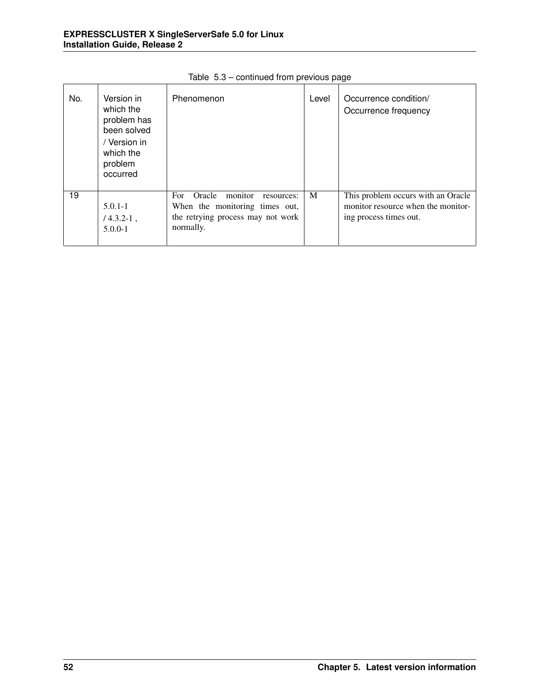| No. | Version in<br>which the<br>problem has<br>been solved<br>/ Version in<br>which the<br>problem<br>occurred | Phenomenon                                                                                                                  | Level | Occurrence condition/<br>Occurrence frequency                                                      |
|-----|-----------------------------------------------------------------------------------------------------------|-----------------------------------------------------------------------------------------------------------------------------|-------|----------------------------------------------------------------------------------------------------|
| 19  | $5.0.1 - 1$<br>$/4.3.2 - 1$ ,<br>$5.0.0 - 1$                                                              | monitor<br>Oracle<br>For.<br>resources:<br>When the monitoring times out,<br>the retrying process may not work<br>normally. | M     | This problem occurs with an Oracle<br>monitor resource when the monitor-<br>ing process times out. |

Table 5.3 – continued from previous page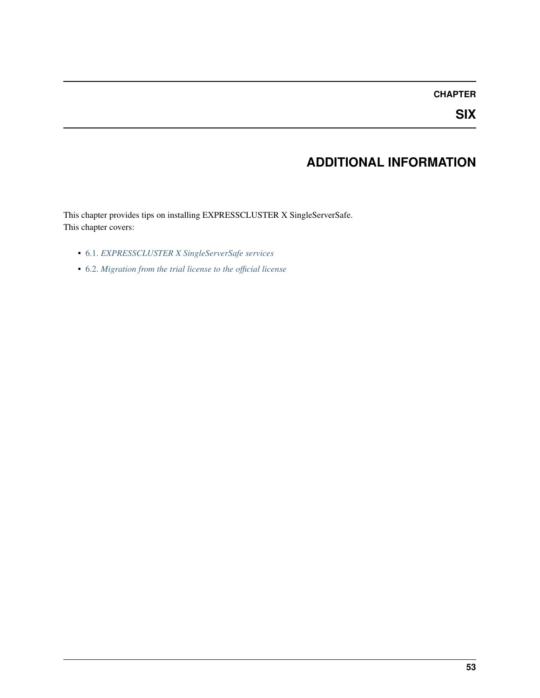#### **CHAPTER**

**SIX**

# **ADDITIONAL INFORMATION**

This chapter provides tips on installing EXPRESSCLUSTER X SingleServerSafe. This chapter covers:

- [6.1.](#page-57-0) *[EXPRESSCLUSTER X SingleServerSafe services](#page-57-0)*
- [6.2.](#page-58-0) *[Migration from the trial license to the official license](#page-58-0)*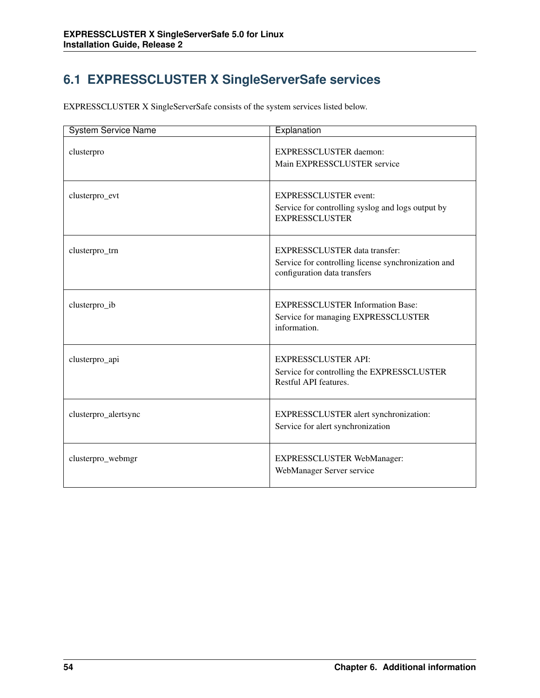# <span id="page-57-0"></span>**6.1 EXPRESSCLUSTER X SingleServerSafe services**

EXPRESSCLUSTER X SingleServerSafe consists of the system services listed below.

| <b>System Service Name</b> | Explanation                                                                                                                 |
|----------------------------|-----------------------------------------------------------------------------------------------------------------------------|
| clusterpro                 | <b>EXPRESSCLUSTER</b> daemon:<br>Main EXPRESSCLUSTER service                                                                |
| clusterpro_evt             | <b>EXPRESSCLUSTER</b> event:<br>Service for controlling syslog and logs output by<br><b>EXPRESSCLUSTER</b>                  |
| clusterpro_trn             | <b>EXPRESSCLUSTER</b> data transfer:<br>Service for controlling license synchronization and<br>configuration data transfers |
| clusterpro_ib              | <b>EXPRESSCLUSTER Information Base:</b><br>Service for managing EXPRESSCLUSTER<br>information.                              |
| clusterpro_api             | <b>EXPRESSCLUSTER API:</b><br>Service for controlling the EXPRESSCLUSTER<br>Restful API features.                           |
| clusterpro_alertsync       | EXPRESSCLUSTER alert synchronization:<br>Service for alert synchronization                                                  |
| clusterpro_webmgr          | <b>EXPRESSCLUSTER WebManager:</b><br>WebManager Server service                                                              |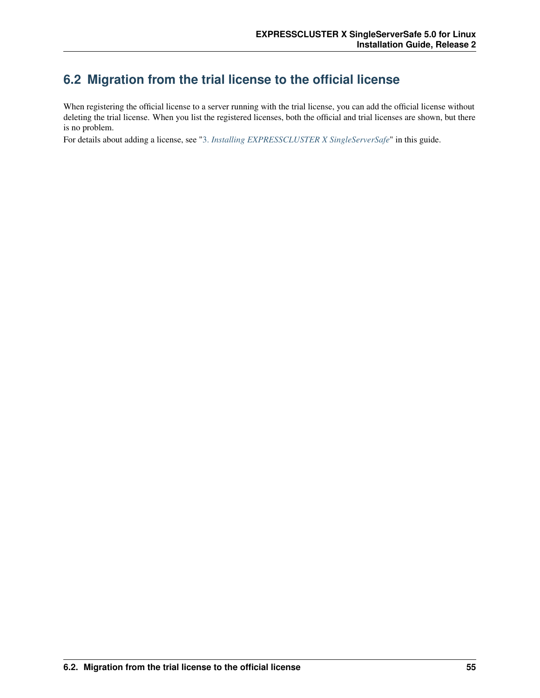## <span id="page-58-0"></span>**6.2 Migration from the trial license to the official license**

When registering the official license to a server running with the trial license, you can add the official license without deleting the trial license. When you list the registered licenses, both the official and trial licenses are shown, but there is no problem.

For details about adding a license, see ["3.](#page-24-0) *[Installing EXPRESSCLUSTER X SingleServerSafe](#page-24-0)*" in this guide.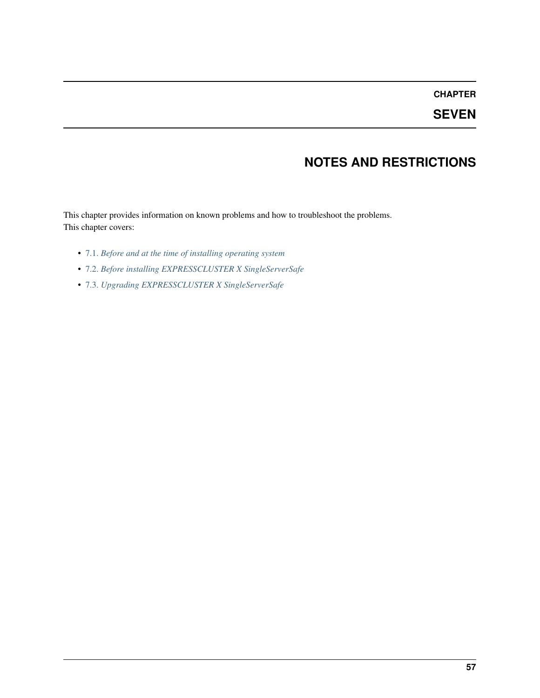## **CHAPTER**

**SEVEN**

# **NOTES AND RESTRICTIONS**

This chapter provides information on known problems and how to troubleshoot the problems. This chapter covers:

- [7.1.](#page-61-0) *[Before and at the time of installing operating system](#page-61-0)*
- [7.2.](#page-63-0) *[Before installing EXPRESSCLUSTER X SingleServerSafe](#page-63-0)*
- [7.3.](#page-68-1) *[Upgrading EXPRESSCLUSTER X SingleServerSafe](#page-68-1)*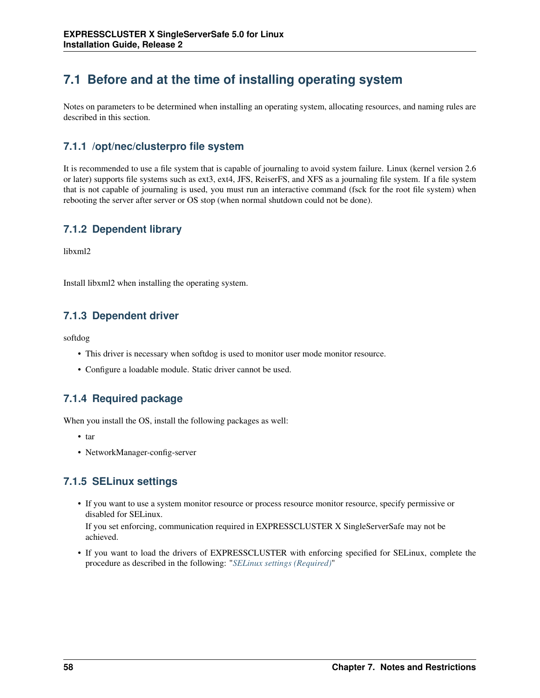# <span id="page-61-0"></span>**7.1 Before and at the time of installing operating system**

Notes on parameters to be determined when installing an operating system, allocating resources, and naming rules are described in this section.

### **7.1.1 /opt/nec/clusterpro file system**

It is recommended to use a file system that is capable of journaling to avoid system failure. Linux (kernel version 2.6 or later) supports file systems such as ext3, ext4, JFS, ReiserFS, and XFS as a journaling file system. If a file system that is not capable of journaling is used, you must run an interactive command (fsck for the root file system) when rebooting the server after server or OS stop (when normal shutdown could not be done).

## **7.1.2 Dependent library**

libxml2

Install libxml2 when installing the operating system.

## **7.1.3 Dependent driver**

softdog

- This driver is necessary when softdog is used to monitor user mode monitor resource.
- Configure a loadable module. Static driver cannot be used.

## **7.1.4 Required package**

When you install the OS, install the following packages as well:

- tar
- NetworkManager-config-server

## **7.1.5 SELinux settings**

• If you want to use a system monitor resource or process resource monitor resource, specify permissive or disabled for SELinux.

If you set enforcing, communication required in EXPRESSCLUSTER X SingleServerSafe may not be achieved.

• If you want to load the drivers of EXPRESSCLUSTER with enforcing specified for SELinux, complete the procedure as described in the following: "*[SELinux settings \(Required\)](#page-20-0)*"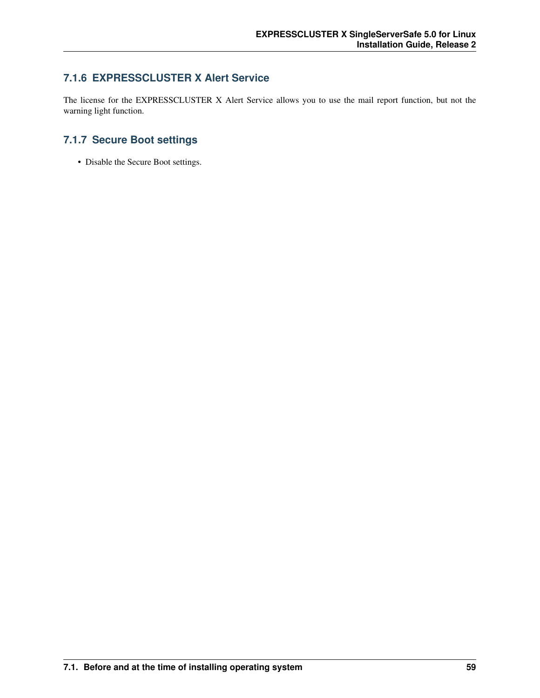### **7.1.6 EXPRESSCLUSTER X Alert Service**

The license for the EXPRESSCLUSTER X Alert Service allows you to use the mail report function, but not the warning light function.

## **7.1.7 Secure Boot settings**

• Disable the Secure Boot settings.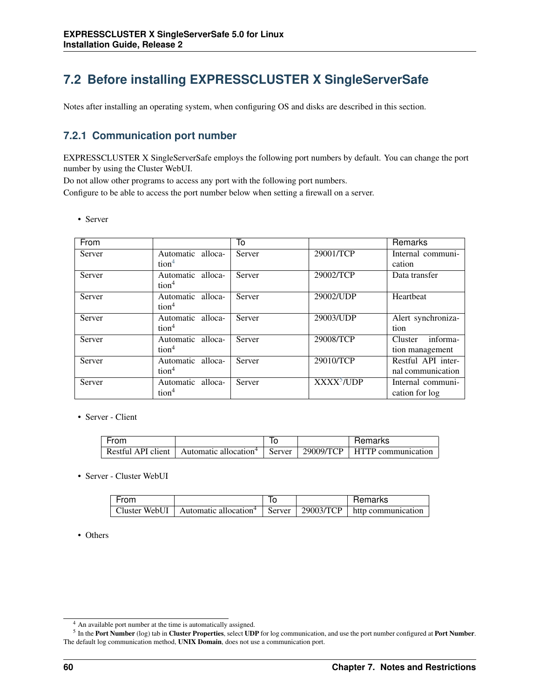# <span id="page-63-0"></span>**7.2 Before installing EXPRESSCLUSTER X SingleServerSafe**

Notes after installing an operating system, when configuring OS and disks are described in this section.

### **7.2.1 Communication port number**

EXPRESSCLUSTER X SingleServerSafe employs the following port numbers by default. You can change the port number by using the Cluster WebUI.

Do not allow other programs to access any port with the following port numbers.

Configure to be able to access the port number below when setting a firewall on a server.

• Server

| From   |                                        | To     |                             | Remarks                                 |
|--------|----------------------------------------|--------|-----------------------------|-----------------------------------------|
| Server | Automatic alloca-                      | Server | 29001/TCP                   | Internal communi-                       |
|        | tion <sup>4</sup>                      |        |                             | cation                                  |
| Server | Automatic alloca-<br>tion <sup>4</sup> | Server | 29002/TCP                   | Data transfer                           |
| Server | Automatic alloca-<br>tion <sup>4</sup> | Server | 29002/UDP                   | Heartheat                               |
| Server | Automatic alloca-<br>tion <sup>4</sup> | Server | 29003/UDP                   | Alert synchroniza-<br>tion              |
| Server | Automatic alloca-<br>tion <sup>4</sup> | Server | 29008/TCP                   | informa-<br>Cluster<br>tion management  |
| Server | Automatic alloca-<br>tion <sup>4</sup> | Server | 29010/TCP                   | Restful API inter-<br>nal communication |
| Server | Automatic alloca-<br>tion <sup>4</sup> | Server | <b>XXXX<sup>5</sup>/UDP</b> | Internal communi-<br>cation for log     |

• Server - Client

| From               |                                   | ıc     |           | Remarks            |
|--------------------|-----------------------------------|--------|-----------|--------------------|
| Restful API client | Automatic allocation <sup>4</sup> | Server | 29009/TCP | HTTP communication |

• Server - Cluster WebUI

| From          |                                            |           | Remarks            |
|---------------|--------------------------------------------|-----------|--------------------|
| Cluster WebUI | Automatic allocation <sup>4</sup>   Server | 29003/TCP | http communication |

• Others

<span id="page-63-1"></span><sup>4</sup> An available port number at the time is automatically assigned.

<span id="page-63-2"></span> $<sup>5</sup>$  In the Port Number (log) tab in Cluster Properties, select UDP for log communication, and use the port number configured at Port Number.</sup> The default log communication method, UNIX Domain, does not use a communication port.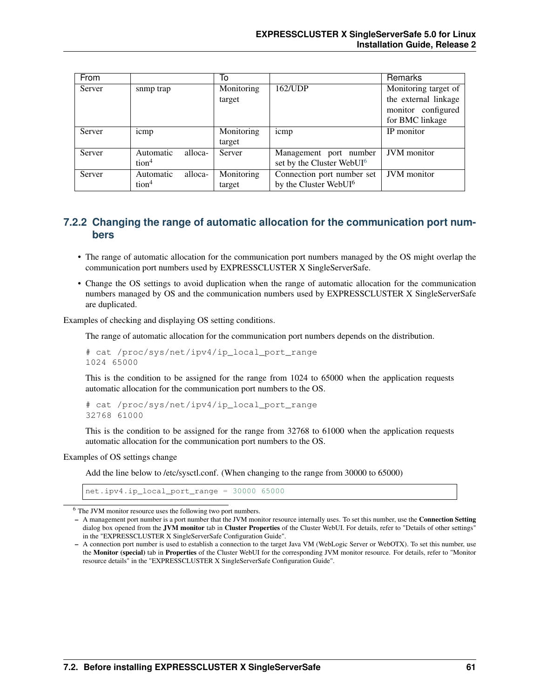| From   |                      | To         |                                       | Remarks              |
|--------|----------------------|------------|---------------------------------------|----------------------|
| Server | snmp trap            | Monitoring | 162/UDP                               | Monitoring target of |
|        |                      | target     |                                       | the external linkage |
|        |                      |            |                                       | monitor configured   |
|        |                      |            |                                       | for BMC linkage      |
| Server | icmp                 | Monitoring | icmp                                  | IP monitor           |
|        |                      | target     |                                       |                      |
| Server | alloca-<br>Automatic | Server     | Management port number                | <b>JVM</b> monitor   |
|        | tion <sup>4</sup>    |            | set by the Cluster WebUI <sup>6</sup> |                      |
| Server | alloca-<br>Automatic | Monitoring | Connection port number set            | <b>JVM</b> monitor   |
|        | tion <sup>4</sup>    | target     | by the Cluster WebUI <sup>6</sup>     |                      |

#### **7.2.2 Changing the range of automatic allocation for the communication port numbers**

- The range of automatic allocation for the communication port numbers managed by the OS might overlap the communication port numbers used by EXPRESSCLUSTER X SingleServerSafe.
- Change the OS settings to avoid duplication when the range of automatic allocation for the communication numbers managed by OS and the communication numbers used by EXPRESSCLUSTER X SingleServerSafe are duplicated.

Examples of checking and displaying OS setting conditions.

The range of automatic allocation for the communication port numbers depends on the distribution.

```
# cat /proc/sys/net/ipv4/ip_local_port_range
1024 65000
```
This is the condition to be assigned for the range from 1024 to 65000 when the application requests automatic allocation for the communication port numbers to the OS.

```
# cat /proc/sys/net/ipv4/ip_local_port_range
32768 61000
```
This is the condition to be assigned for the range from 32768 to 61000 when the application requests automatic allocation for the communication port numbers to the OS.

#### Examples of OS settings change

Add the line below to /etc/sysctl.conf. (When changing to the range from 30000 to 65000)

net.ipv4.ip\_local\_port\_range = 30000 65000

<span id="page-64-0"></span><sup>6</sup> The JVM monitor resource uses the following two port numbers.

<sup>–</sup> A management port number is a port number that the JVM monitor resource internally uses. To set this number, use the **Connection Setting** dialog box opened from the JVM monitor tab in Cluster Properties of the Cluster WebUI. For details, refer to "Details of other settings" in the "EXPRESSCLUSTER X SingleServerSafe Configuration Guide".

<sup>–</sup> A connection port number is used to establish a connection to the target Java VM (WebLogic Server or WebOTX). To set this number, use the Monitor (special) tab in Properties of the Cluster WebUI for the corresponding JVM monitor resource. For details, refer to "Monitor resource details" in the "EXPRESSCLUSTER X SingleServerSafe Configuration Guide".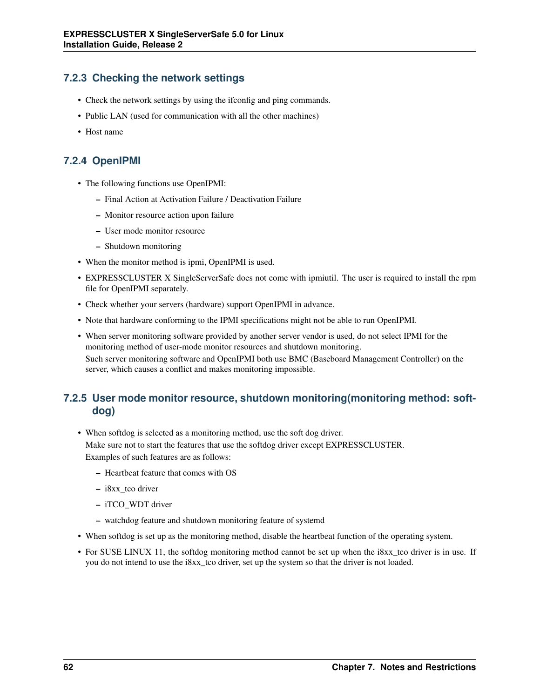## **7.2.3 Checking the network settings**

- Check the network settings by using the ifconfig and ping commands.
- Public LAN (used for communication with all the other machines)
- Host name

### **7.2.4 OpenIPMI**

- The following functions use OpenIPMI:
	- Final Action at Activation Failure / Deactivation Failure
	- Monitor resource action upon failure
	- User mode monitor resource
	- Shutdown monitoring
- When the monitor method is ipmi, OpenIPMI is used.
- EXPRESSCLUSTER X SingleServerSafe does not come with ipmiutil. The user is required to install the rpm file for OpenIPMI separately.
- Check whether your servers (hardware) support OpenIPMI in advance.
- Note that hardware conforming to the IPMI specifications might not be able to run OpenIPMI.
- When server monitoring software provided by another server vendor is used, do not select IPMI for the monitoring method of user-mode monitor resources and shutdown monitoring. Such server monitoring software and OpenIPMI both use BMC (Baseboard Management Controller) on the server, which causes a conflict and makes monitoring impossible.

### **7.2.5 User mode monitor resource, shutdown monitoring(monitoring method: softdog)**

• When softdog is selected as a monitoring method, use the soft dog driver.

Make sure not to start the features that use the softdog driver except EXPRESSCLUSTER. Examples of such features are as follows:

- Heartbeat feature that comes with OS
- i8xx\_tco driver
- iTCO\_WDT driver
- watchdog feature and shutdown monitoring feature of systemd
- When softdog is set up as the monitoring method, disable the heartbeat function of the operating system.
- For SUSE LINUX 11, the softdog monitoring method cannot be set up when the i8xx\_tco driver is in use. If you do not intend to use the i8xx\_tco driver, set up the system so that the driver is not loaded.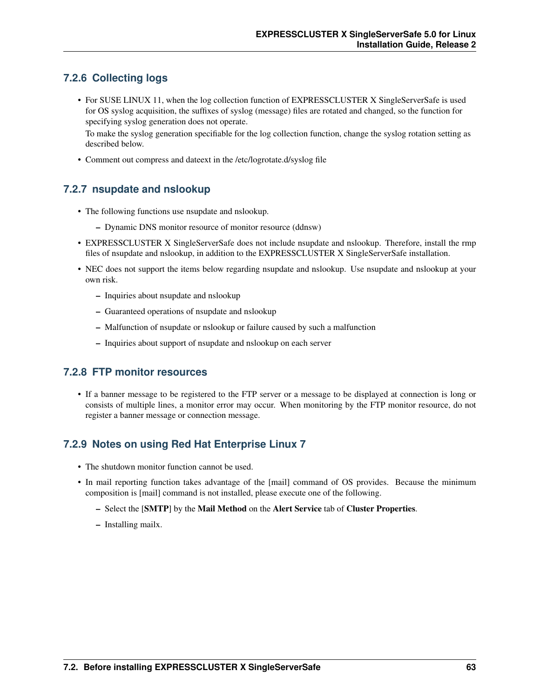## **7.2.6 Collecting logs**

• For SUSE LINUX 11, when the log collection function of EXPRESSCLUSTER X SingleServerSafe is used for OS syslog acquisition, the suffixes of syslog (message) files are rotated and changed, so the function for specifying syslog generation does not operate.

To make the syslog generation specifiable for the log collection function, change the syslog rotation setting as described below.

• Comment out compress and dateext in the /etc/logrotate.d/syslog file

### **7.2.7 nsupdate and nslookup**

- The following functions use nsupdate and nslookup.
	- Dynamic DNS monitor resource of monitor resource (ddnsw)
- EXPRESSCLUSTER X SingleServerSafe does not include nsupdate and nslookup. Therefore, install the rmp files of nsupdate and nslookup, in addition to the EXPRESSCLUSTER X SingleServerSafe installation.
- NEC does not support the items below regarding nsupdate and nslookup. Use nsupdate and nslookup at your own risk.
	- Inquiries about nsupdate and nslookup
	- Guaranteed operations of nsupdate and nslookup
	- Malfunction of nsupdate or nslookup or failure caused by such a malfunction
	- Inquiries about support of nsupdate and nslookup on each server

#### **7.2.8 FTP monitor resources**

• If a banner message to be registered to the FTP server or a message to be displayed at connection is long or consists of multiple lines, a monitor error may occur. When monitoring by the FTP monitor resource, do not register a banner message or connection message.

### **7.2.9 Notes on using Red Hat Enterprise Linux 7**

- The shutdown monitor function cannot be used.
- In mail reporting function takes advantage of the [mail] command of OS provides. Because the minimum composition is [mail] command is not installed, please execute one of the following.
	- Select the [SMTP] by the Mail Method on the Alert Service tab of Cluster Properties.
	- Installing mailx.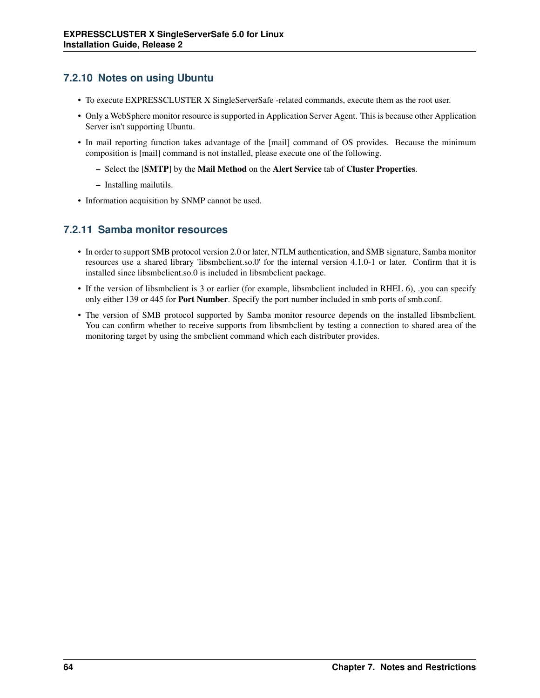## **7.2.10 Notes on using Ubuntu**

- To execute EXPRESSCLUSTER X SingleServerSafe -related commands, execute them as the root user.
- Only a WebSphere monitor resource is supported in Application Server Agent. This is because other Application Server isn't supporting Ubuntu.
- In mail reporting function takes advantage of the [mail] command of OS provides. Because the minimum composition is [mail] command is not installed, please execute one of the following.
	- Select the [SMTP] by the Mail Method on the Alert Service tab of Cluster Properties.
	- Installing mailutils.
- Information acquisition by SNMP cannot be used.

### **7.2.11 Samba monitor resources**

- In order to support SMB protocol version 2.0 or later, NTLM authentication, and SMB signature, Samba monitor resources use a shared library 'libsmbclient.so.0' for the internal version 4.1.0-1 or later. Confirm that it is installed since libsmbclient.so.0 is included in libsmbclient package.
- If the version of libsmbclient is 3 or earlier (for example, libsmbclient included in RHEL 6), .you can specify only either 139 or 445 for Port Number. Specify the port number included in smb ports of smb.conf.
- The version of SMB protocol supported by Samba monitor resource depends on the installed libsmbclient. You can confirm whether to receive supports from libsmbclient by testing a connection to shared area of the monitoring target by using the smbclient command which each distributer provides.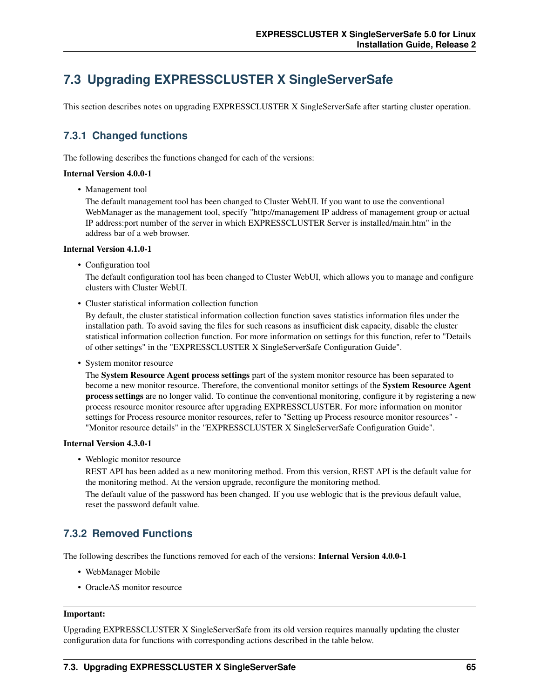# <span id="page-68-1"></span>**7.3 Upgrading EXPRESSCLUSTER X SingleServerSafe**

This section describes notes on upgrading EXPRESSCLUSTER X SingleServerSafe after starting cluster operation.

## **7.3.1 Changed functions**

The following describes the functions changed for each of the versions:

#### Internal Version 4.0.0-1

• Management tool

The default management tool has been changed to Cluster WebUI. If you want to use the conventional WebManager as the management tool, specify "http://management IP address of management group or actual IP address:port number of the server in which EXPRESSCLUSTER Server is installed/main.htm" in the address bar of a web browser.

#### Internal Version 4.1.0-1

• Configuration tool

The default configuration tool has been changed to Cluster WebUI, which allows you to manage and configure clusters with Cluster WebUI.

• Cluster statistical information collection function

By default, the cluster statistical information collection function saves statistics information files under the installation path. To avoid saving the files for such reasons as insufficient disk capacity, disable the cluster statistical information collection function. For more information on settings for this function, refer to "Details of other settings" in the "EXPRESSCLUSTER X SingleServerSafe Configuration Guide".

• System monitor resource

The System Resource Agent process settings part of the system monitor resource has been separated to become a new monitor resource. Therefore, the conventional monitor settings of the System Resource Agent process settings are no longer valid. To continue the conventional monitoring, configure it by registering a new process resource monitor resource after upgrading EXPRESSCLUSTER. For more information on monitor settings for Process resource monitor resources, refer to "Setting up Process resource monitor resources" - "Monitor resource details" in the "EXPRESSCLUSTER X SingleServerSafe Configuration Guide".

#### Internal Version 4.3.0-1

• Weblogic monitor resource

REST API has been added as a new monitoring method. From this version, REST API is the default value for the monitoring method. At the version upgrade, reconfigure the monitoring method. The default value of the password has been changed. If you use weblogic that is the previous default value, reset the password default value.

### <span id="page-68-0"></span>**7.3.2 Removed Functions**

The following describes the functions removed for each of the versions: Internal Version 4.0.0-1

- WebManager Mobile
- OracleAS monitor resource

#### Important:

Upgrading EXPRESSCLUSTER X SingleServerSafe from its old version requires manually updating the cluster configuration data for functions with corresponding actions described in the table below.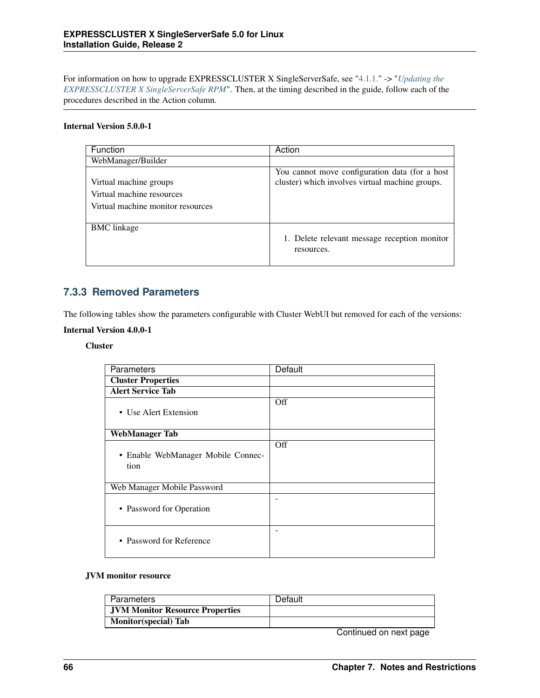For information on how to upgrade EXPRESSCLUSTER X SingleServerSafe, see ["4.1.1."](#page-41-1) -> "*[Updating the](#page-41-1) [EXPRESSCLUSTER X SingleServerSafe RPM](#page-41-1)*". Then, at the timing described in the guide, follow each of the procedures described in the Action column.

#### Internal Version 5.0.0-1

| Function                                                                                 | Action                                                                                             |
|------------------------------------------------------------------------------------------|----------------------------------------------------------------------------------------------------|
| WebManager/Builder                                                                       |                                                                                                    |
| Virtual machine groups<br>Virtual machine resources<br>Virtual machine monitor resources | You cannot move configuration data (for a host)<br>cluster) which involves virtual machine groups. |
| <b>BMC</b> linkage                                                                       | 1. Delete relevant message reception monitor<br>resources.                                         |

### **7.3.3 Removed Parameters**

The following tables show the parameters configurable with Cluster WebUI but removed for each of the versions:

#### Internal Version 4.0.0-1

#### Cluster

| Parameters                                 | <b>Default</b> |
|--------------------------------------------|----------------|
| <b>Cluster Properties</b>                  |                |
| <b>Alert Service Tab</b>                   |                |
| • Use Alert Extension                      | Off            |
| <b>WebManager Tab</b>                      |                |
| • Enable WebManager Mobile Connec-<br>tion | Off            |
| Web Manager Mobile Password                |                |
| • Password for Operation                   | -              |
| • Password for Reference                   |                |

#### JVM monitor resource

| Parameters                             | Default |
|----------------------------------------|---------|
| <b>JVM Monitor Resource Properties</b> |         |
| <b>Monitor</b> (special) Tab           |         |
|                                        |         |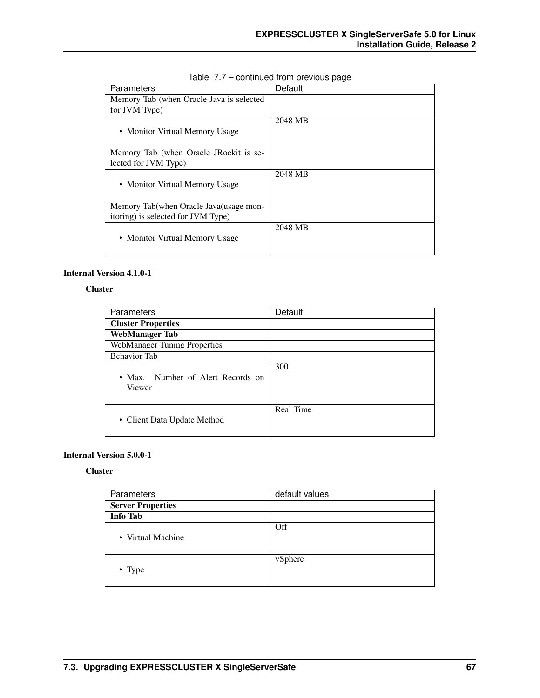| Parameters                               | <b>Default</b> |  |
|------------------------------------------|----------------|--|
| Memory Tab (when Oracle Java is selected |                |  |
| for JVM Type)                            |                |  |
|                                          | 2048 MB        |  |
| • Monitor Virtual Memory Usage           |                |  |
|                                          |                |  |
| Memory Tab (when Oracle JRockit is se-   |                |  |
| lected for JVM Type)                     |                |  |
|                                          | 2048 MB        |  |
| • Monitor Virtual Memory Usage           |                |  |
|                                          |                |  |
| Memory Tab (when Oracle Java (usage mon- |                |  |
| itoring) is selected for JVM Type)       |                |  |
|                                          | 2048 MB        |  |
| • Monitor Virtual Memory Usage           |                |  |
|                                          |                |  |

#### Table 7.7 – continued from previous page

#### Internal Version 4.1.0-1

#### Cluster

| Parameters                                  | Default   |
|---------------------------------------------|-----------|
| <b>Cluster Properties</b>                   |           |
| <b>WebManager Tab</b>                       |           |
| <b>WebManager Tuning Properties</b>         |           |
| <b>Behavior Tab</b>                         |           |
| • Max. Number of Alert Records on<br>Viewer | 300       |
| • Client Data Update Method                 | Real Time |

#### Internal Version 5.0.0-1

#### **Cluster**

| Parameters               | default values |  |
|--------------------------|----------------|--|
| <b>Server Properties</b> |                |  |
| <b>Info Tab</b>          |                |  |
| • Virtual Machine        | Off            |  |
| • Type                   | vSphere        |  |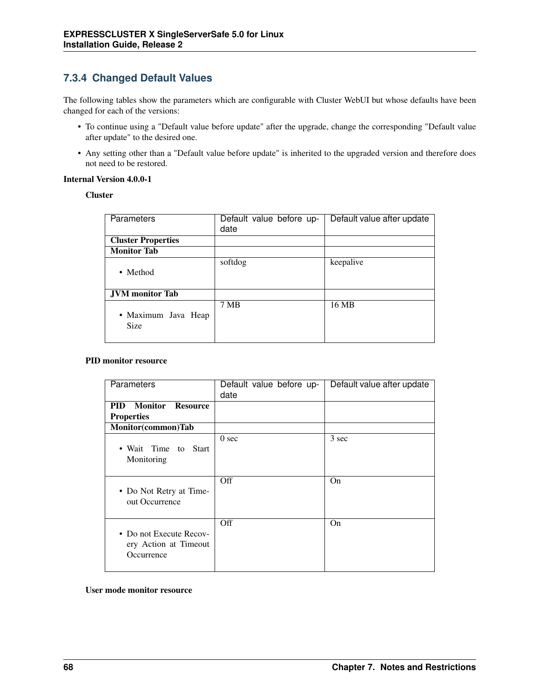## **7.3.4 Changed Default Values**

The following tables show the parameters which are configurable with Cluster WebUI but whose defaults have been changed for each of the versions:

- To continue using a "Default value before update" after the upgrade, change the corresponding "Default value after update" to the desired one.
- Any setting other than a "Default value before update" is inherited to the upgraded version and therefore does not need to be restored.

#### Internal Version 4.0.0-1

**Cluster** 

| <b>Parameters</b>         | Default value before up- | Default value after update |
|---------------------------|--------------------------|----------------------------|
|                           | date                     |                            |
| <b>Cluster Properties</b> |                          |                            |
| <b>Monitor Tab</b>        |                          |                            |
|                           | softdog                  | keepalive                  |
| • Method                  |                          |                            |
|                           |                          |                            |
| <b>JVM</b> monitor Tab    |                          |                            |
|                           | 7 MB                     | 16 MB                      |
| • Maximum Java Heap       |                          |                            |
| <b>Size</b>               |                          |                            |
|                           |                          |                            |

#### PID monitor resource

| Parameters                                                     | Default value before up-<br>date | Default value after update |
|----------------------------------------------------------------|----------------------------------|----------------------------|
| <b>Monitor</b><br>PID<br><b>Resource</b>                       |                                  |                            |
| <b>Properties</b>                                              |                                  |                            |
| Monitor(common)Tab                                             |                                  |                            |
| • Wait Time to Start<br>Monitoring                             | 0 <sub>sec</sub>                 | 3 sec                      |
| • Do Not Retry at Time-<br>out Occurrence                      | Off                              | O <sub>n</sub>             |
| • Do not Execute Recov-<br>ery Action at Timeout<br>Occurrence | Off                              | On.                        |

User mode monitor resource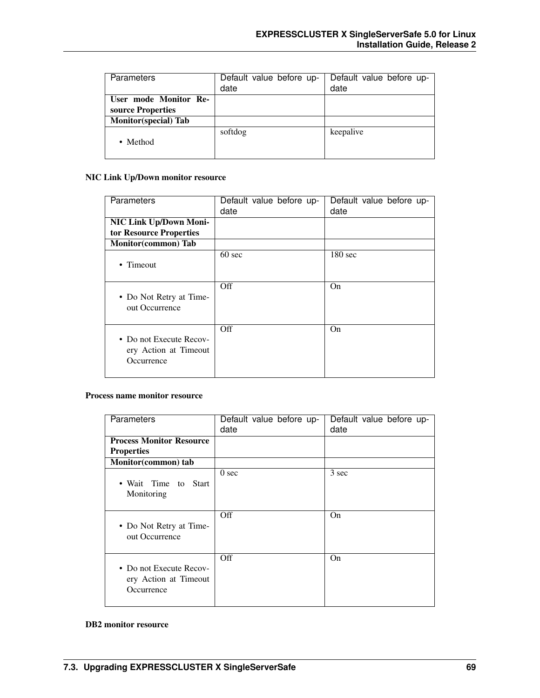| Parameters                                 | Default value before up-<br>date | Default value before up-<br>date |
|--------------------------------------------|----------------------------------|----------------------------------|
| User mode Monitor Re-<br>source Properties |                                  |                                  |
| <b>Monitor</b> (special) Tab               |                                  |                                  |
| • Method                                   | softdog                          | keepalive                        |

## NIC Link Up/Down monitor resource

| <b>Parameters</b>                                              | Default value before up-<br>date | Default value before up-<br>date |
|----------------------------------------------------------------|----------------------------------|----------------------------------|
| NIC Link Up/Down Moni-<br>tor Resource Properties              |                                  |                                  |
| Monitor(common) Tab                                            |                                  |                                  |
| • Timeout                                                      | $60 \text{ sec}$                 | $180 \text{ sec}$                |
| • Do Not Retry at Time-<br>out Occurrence                      | Off                              | O <sub>n</sub>                   |
| • Do not Execute Recov-<br>ery Action at Timeout<br>Occurrence | Off                              | On.                              |

### Process name monitor resource

| Parameters                                                     | Default value before up-<br>date | Default value before up-<br>date |
|----------------------------------------------------------------|----------------------------------|----------------------------------|
| <b>Process Monitor Resource</b><br><b>Properties</b>           |                                  |                                  |
| Monitor(common) tab                                            |                                  |                                  |
| • Wait Time to Start<br>Monitoring                             | 0 <sub>sec</sub>                 | 3 sec                            |
| • Do Not Retry at Time-<br>out Occurrence                      | Off                              | O <sub>n</sub>                   |
| • Do not Execute Recov-<br>ery Action at Timeout<br>Occurrence | Off                              | O <sub>n</sub>                   |

#### DB2 monitor resource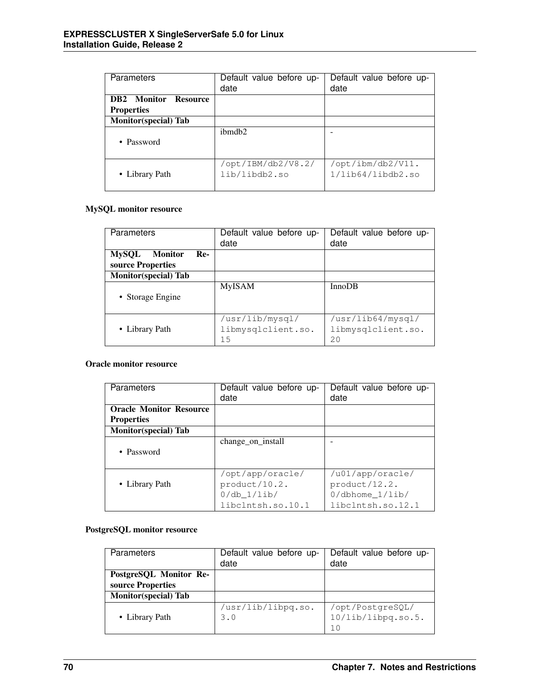| <b>Parameters</b>                                | Default value before up-<br>date    | Default value before up-<br>date      |
|--------------------------------------------------|-------------------------------------|---------------------------------------|
| <b>DB2</b> Monitor Resource<br><b>Properties</b> |                                     |                                       |
| <b>Monitor</b> (special) Tab                     |                                     |                                       |
| • Password                                       | ibmdb2                              |                                       |
| • Library Path                                   | /opt/IBM/db2/V8.2/<br>lib/libdb2.so | /opt/ibm/db2/V11.<br>1/lib64/libdb2so |

## MySQL monitor resource

| <b>Parameters</b>                                          | Default value before up-<br>date            | Default value before up-<br>date              |
|------------------------------------------------------------|---------------------------------------------|-----------------------------------------------|
| <b>MySQL</b><br><b>Monitor</b><br>Re-<br>source Properties |                                             |                                               |
| <b>Monitor</b> (special) Tab                               |                                             |                                               |
| • Storage Engine                                           | <b>MyISAM</b>                               | InnoDB                                        |
| • Library Path                                             | /usr/lib/mysql/<br>libmysqlclient.so.<br>15 | /usr/lib64/mysql/<br>libmysqlclient.so.<br>20 |

## Oracle monitor resource

| Parameters                     | Default value before up- | Default value before up- |
|--------------------------------|--------------------------|--------------------------|
|                                | date                     | date                     |
| <b>Oracle Monitor Resource</b> |                          |                          |
| <b>Properties</b>              |                          |                          |
| <b>Monitor</b> (special) Tab   |                          |                          |
|                                | change_on_install        |                          |
| • Password                     |                          |                          |
|                                |                          |                          |
|                                | /opt/app/oracle/         | /u01/app/oracle/         |
| • Library Path                 | product/10.2.            | product/12.2.            |
|                                | $0/db_1/lib/$            | $0/dbhome_1/lib/$        |
|                                | libclntsh.so.10.1        | libclntsh.so.12.1        |

## PostgreSQL monitor resource

| Parameters                   | Default value before up-<br>date | Default value before up-<br>date |
|------------------------------|----------------------------------|----------------------------------|
| PostgreSQL Monitor Re-       |                                  |                                  |
| source Properties            |                                  |                                  |
| <b>Monitor</b> (special) Tab |                                  |                                  |
|                              | /usr/lib/libpq.so.               | /opt/PostgreSQL/                 |
| • Library Path               | 3.0                              | 10/lib/libpq.so.5.               |
|                              |                                  | 1 <sub>0</sub>                   |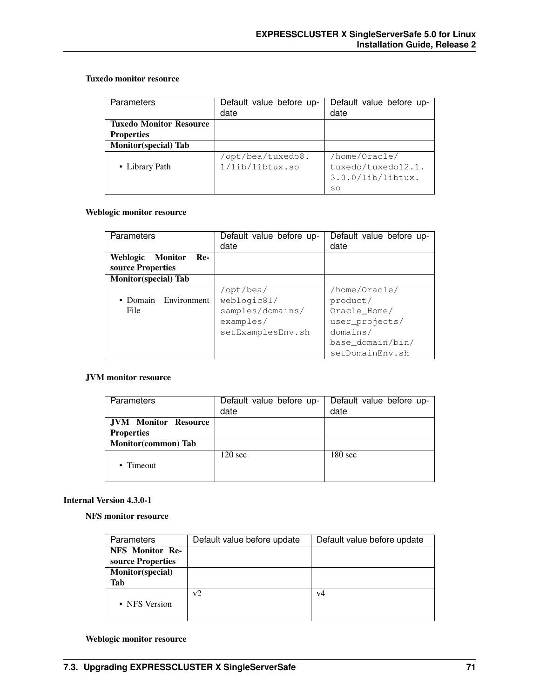## Tuxedo monitor resource

| Parameters                     | Default value before up-<br>date | Default value before up-<br>date |
|--------------------------------|----------------------------------|----------------------------------|
| <b>Tuxedo Monitor Resource</b> |                                  |                                  |
| <b>Properties</b>              |                                  |                                  |
| <b>Monitor</b> (special) Tab   |                                  |                                  |
|                                | /opt/bea/tuxedo8.                | /home/Oracle/                    |
| • Library Path                 | 1/lib/libtux.so                  | tuxedo/tuxedo12.1.               |
|                                |                                  | $3.0.0/lib/library$ .            |
|                                |                                  | SO                               |

#### Weblogic monitor resource

| Parameters                                      | Default value before up-<br>date                                               | Default value before up-<br>date                                                                               |
|-------------------------------------------------|--------------------------------------------------------------------------------|----------------------------------------------------------------------------------------------------------------|
| Weblogic<br>Monitor<br>Re-<br>source Properties |                                                                                |                                                                                                                |
| <b>Monitor</b> (special) Tab                    |                                                                                |                                                                                                                |
| Environment<br>• Domain<br>File                 | /opt/bea/<br>weblogic81/<br>samples/domains/<br>examples/<br>setExamplesEnv.sh | /home/Oracle/<br>product/<br>Oracle Home/<br>user_projects/<br>domains/<br>base_domain/bin/<br>setDomainEnv.sh |

#### JVM monitor resource

| Parameters                  | Default value before up-<br>date | Default value before up-<br>date |
|-----------------------------|----------------------------------|----------------------------------|
| <b>JVM</b> Monitor Resource |                                  |                                  |
| <b>Properties</b>           |                                  |                                  |
| Monitor(common) Tab         |                                  |                                  |
| • Timeout                   | $120 \text{ sec}$                | $180 \text{ sec}$                |

### Internal Version 4.3.0-1

NFS monitor resource

| <b>Parameters</b> | Default value before update | Default value before update |
|-------------------|-----------------------------|-----------------------------|
| NFS Monitor Re-   |                             |                             |
| source Properties |                             |                             |
| Monitor(special)  |                             |                             |
| Tab               |                             |                             |
|                   | v2                          | v4                          |
| • NFS Version     |                             |                             |
|                   |                             |                             |

#### Weblogic monitor resource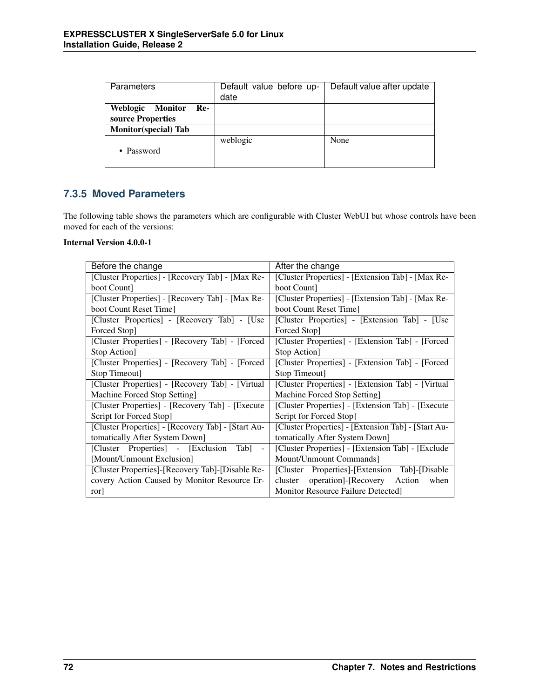| Parameters                        | Default value before up- | Default value after update |
|-----------------------------------|--------------------------|----------------------------|
|                                   | date                     |                            |
| Weblogic<br><b>Monitor</b><br>Re- |                          |                            |
| source Properties                 |                          |                            |
| <b>Monitor(special) Tab</b>       |                          |                            |
| • Password                        | weblogic                 | None                       |

## **7.3.5 Moved Parameters**

The following table shows the parameters which are configurable with Cluster WebUI but whose controls have been moved for each of the versions:

## Internal Version 4.0.0-1

| Before the change                                            | After the change                                    |  |
|--------------------------------------------------------------|-----------------------------------------------------|--|
| [Cluster Properties] - [Recovery Tab] - [Max Re-             | [Cluster Properties] - [Extension Tab] - [Max Re-   |  |
| boot Count                                                   | boot Count                                          |  |
| [Cluster Properties] - [Recovery Tab] - [Max Re-             | [Cluster Properties] - [Extension Tab] - [Max Re-   |  |
| boot Count Reset Time]                                       | boot Count Reset Time                               |  |
| [Cluster Properties] - [Recovery Tab] - [Use                 | [Cluster Properties] - [Extension Tab] - [Use]      |  |
| Forced Stop]                                                 | Forced Stop]                                        |  |
| [Cluster Properties] - [Recovery Tab] - [Forced              | [Cluster Properties] - [Extension Tab] - [Forced    |  |
| Stop Action]                                                 | Stop Action]                                        |  |
| [Cluster Properties] - [Recovery Tab] - [Forced              | [Cluster Properties] - [Extension Tab] - [Forced]   |  |
| Stop Timeout]                                                | Stop Timeout]                                       |  |
| [Cluster Properties] - [Recovery Tab] - [Virtual             | [Cluster Properties] - [Extension Tab] - [Virtual   |  |
| Machine Forced Stop Setting]                                 | Machine Forced Stop Setting]                        |  |
| [Cluster Properties] - [Recovery Tab] - [Execute]            | [Cluster Properties] - [Extension Tab] - [Execute]  |  |
| Script for Forced Stop]                                      | Script for Forced Stop]                             |  |
| [Cluster Properties] - [Recovery Tab] - [Start Au-           | [Cluster Properties] - [Extension Tab] - [Start Au- |  |
| tomatically After System Down]                               | tomatically After System Down]                      |  |
| [Cluster Properties] - [Exclusion]<br>Tab]<br>$\blacksquare$ | [Cluster Properties] - [Extension Tab] - [Exclude]  |  |
| [Mount/Unmount Exclusion]                                    | Mount/Unmount Commands]                             |  |
| [Cluster Properties]-[Recovery Tab]-[Disable Re-             | [Cluster Properties]-[Extension Tab]-[Disable       |  |
| covery Action Caused by Monitor Resource Er-                 | operation]-[Recovery Action<br>when<br>cluster      |  |
| ror                                                          | Monitor Resource Failure Detected]                  |  |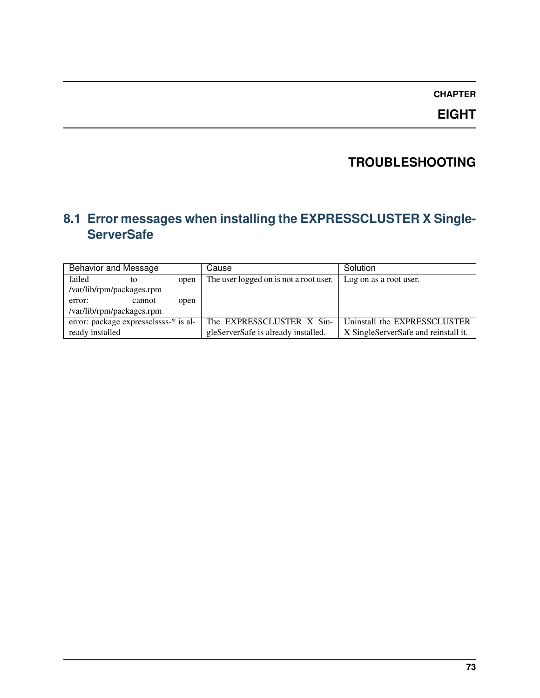## **CHAPTER**

**EIGHT**

# **TROUBLESHOOTING**

# **8.1 Error messages when installing the EXPRESSCLUSTER X Single-ServerSafe**

| <b>Behavior and Message</b> |                                       |      | Cause                                  | Solution                             |
|-----------------------------|---------------------------------------|------|----------------------------------------|--------------------------------------|
| failed                      | to                                    | open | The user logged on is not a root user. | Log on as a root user.               |
|                             | /var/lib/rpm/packages.rpm             |      |                                        |                                      |
| error:                      | cannot                                | open |                                        |                                      |
|                             | /var/lib/rpm/packages.rpm             |      |                                        |                                      |
|                             | error: package expressclssss-* is al- |      | The EXPRESSCLUSTER X Sin-              | Uninstall the EXPRESSCLUSTER         |
| ready installed             |                                       |      | gleServerSafe is already installed.    | X SingleServerSafe and reinstall it. |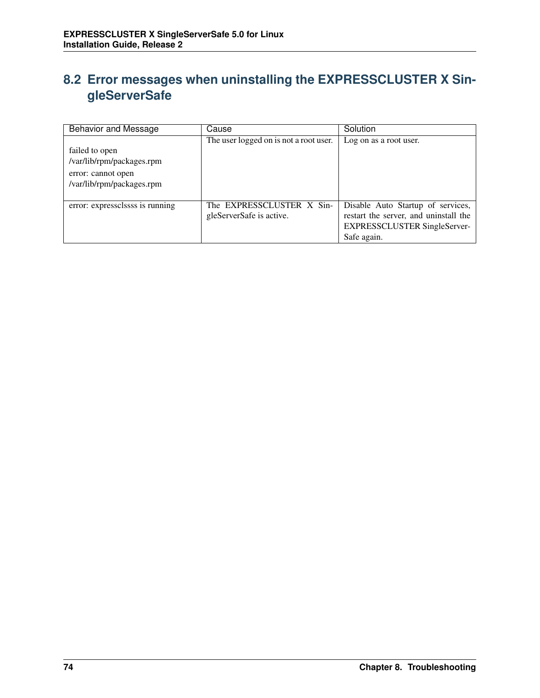## **8.2 Error messages when uninstalling the EXPRESSCLUSTER X SingleServerSafe**

| <b>Behavior and Message</b>                                                                    | Cause                                                 | Solution                                                                                                                         |
|------------------------------------------------------------------------------------------------|-------------------------------------------------------|----------------------------------------------------------------------------------------------------------------------------------|
| failed to open<br>/var/lib/rpm/packages.rpm<br>error: cannot open<br>/var/lib/rpm/packages.rpm | The user logged on is not a root user.                | Log on as a root user.                                                                                                           |
| error: expressclssss is running                                                                | The EXPRESSCLUSTER X Sin-<br>gleServerSafe is active. | Disable Auto Startup of services,<br>restart the server, and uninstall the<br><b>EXPRESSCLUSTER SingleServer-</b><br>Safe again. |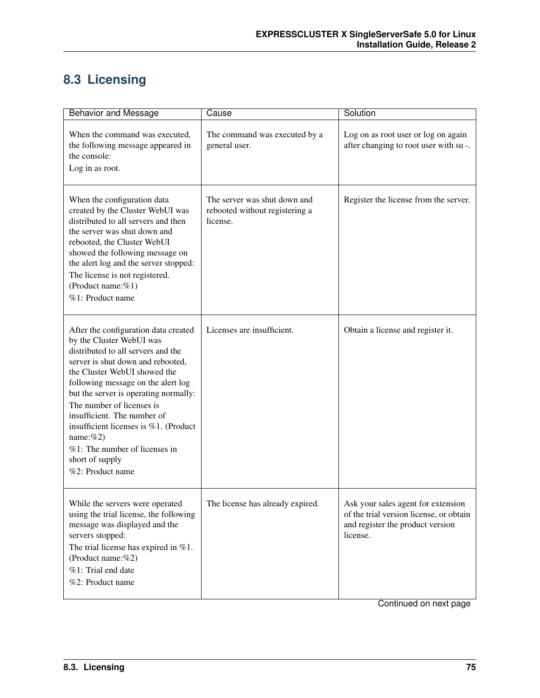# **8.3 Licensing**

| <b>Behavior and Message</b>                                                                                                                                                                                                                                                                                                                                                                                                                               | Cause                                                                      | Solution                                                                                                                      |
|-----------------------------------------------------------------------------------------------------------------------------------------------------------------------------------------------------------------------------------------------------------------------------------------------------------------------------------------------------------------------------------------------------------------------------------------------------------|----------------------------------------------------------------------------|-------------------------------------------------------------------------------------------------------------------------------|
| When the command was executed,<br>the following message appeared in<br>the console:<br>Log in as root.                                                                                                                                                                                                                                                                                                                                                    | The command was executed by a<br>general user.                             | Log on as root user or log on again<br>after changing to root user with su -.                                                 |
| When the configuration data<br>created by the Cluster WebUI was<br>distributed to all servers and then<br>the server was shut down and<br>rebooted, the Cluster WebUI<br>showed the following message on<br>the alert log and the server stopped:<br>The license is not registered.<br>(Product name:%1)<br>%1: Product name                                                                                                                              | The server was shut down and<br>rebooted without registering a<br>license. | Register the license from the server.                                                                                         |
| After the configuration data created<br>by the Cluster WebUI was<br>distributed to all servers and the<br>server is shut down and rebooted,<br>the Cluster WebUI showed the<br>following message on the alert log<br>but the server is operating normally:<br>The number of licenses is<br>insufficient. The number of<br>insufficient licenses is $%1$ . (Product<br>name: $%2)$<br>%1: The number of licenses in<br>short of supply<br>%2: Product name | Licenses are insufficient.                                                 | Obtain a license and register it.                                                                                             |
| While the servers were operated<br>using the trial license, the following<br>message was displayed and the<br>servers stopped:<br>The trial license has expired in $%1$ .<br>(Product name:%2)<br>%1: Trial end date<br>%2: Product name                                                                                                                                                                                                                  | The license has already expired.                                           | Ask your sales agent for extension<br>of the trial version license, or obtain<br>and register the product version<br>license. |

Continued on next page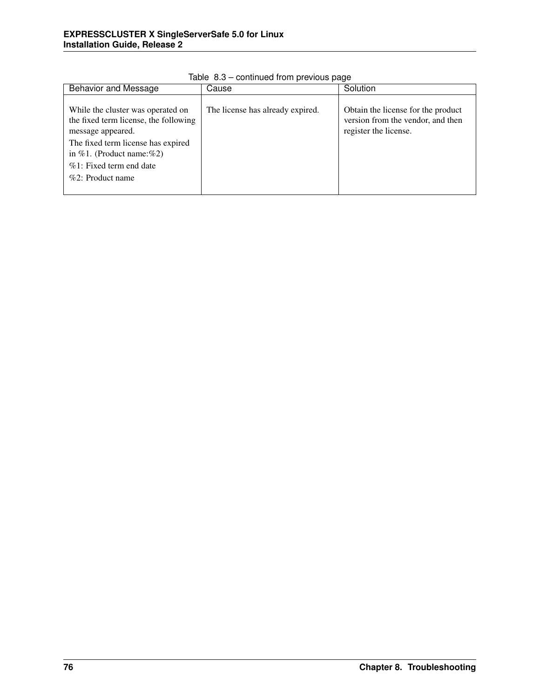| <b>Behavior and Message</b>                                                                                                                                                                                                  | Cause                            | Solution                                                                                         |
|------------------------------------------------------------------------------------------------------------------------------------------------------------------------------------------------------------------------------|----------------------------------|--------------------------------------------------------------------------------------------------|
| While the cluster was operated on<br>the fixed term license, the following<br>message appeared.<br>The fixed term license has expired<br>in $%1$ . (Product name: $%2$ )<br>$%1$ : Fixed term end date<br>$%2:$ Product name | The license has already expired. | Obtain the license for the product<br>version from the vendor, and then<br>register the license. |

Table 8.3 – continued from previous page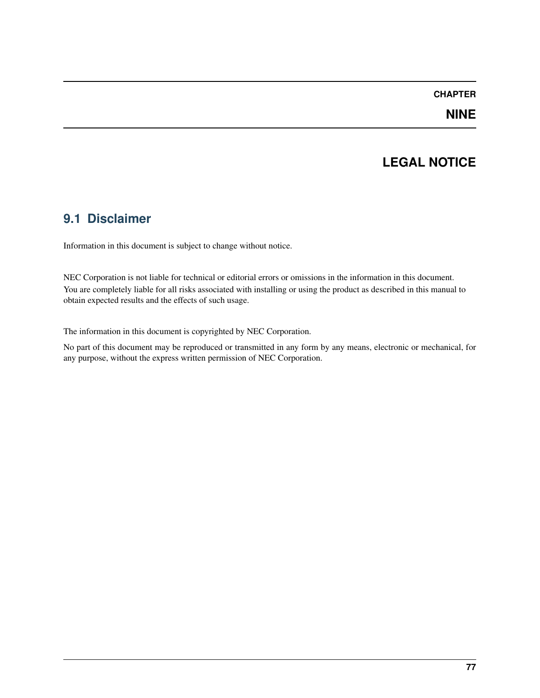## **CHAPTER**

## **LEGAL NOTICE**

## **9.1 Disclaimer**

Information in this document is subject to change without notice.

NEC Corporation is not liable for technical or editorial errors or omissions in the information in this document. You are completely liable for all risks associated with installing or using the product as described in this manual to obtain expected results and the effects of such usage.

The information in this document is copyrighted by NEC Corporation.

No part of this document may be reproduced or transmitted in any form by any means, electronic or mechanical, for any purpose, without the express written permission of NEC Corporation.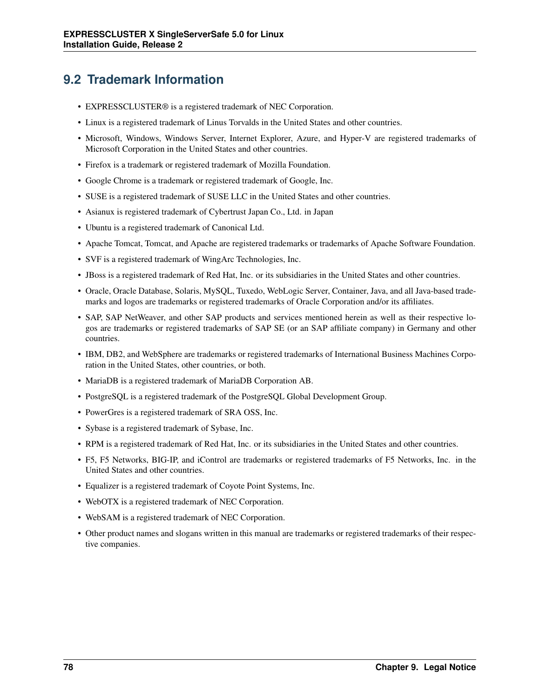## **9.2 Trademark Information**

- EXPRESSCLUSTER® is a registered trademark of NEC Corporation.
- Linux is a registered trademark of Linus Torvalds in the United States and other countries.
- Microsoft, Windows, Windows Server, Internet Explorer, Azure, and Hyper-V are registered trademarks of Microsoft Corporation in the United States and other countries.
- Firefox is a trademark or registered trademark of Mozilla Foundation.
- Google Chrome is a trademark or registered trademark of Google, Inc.
- SUSE is a registered trademark of SUSE LLC in the United States and other countries.
- Asianux is registered trademark of Cybertrust Japan Co., Ltd. in Japan
- Ubuntu is a registered trademark of Canonical Ltd.
- Apache Tomcat, Tomcat, and Apache are registered trademarks or trademarks of Apache Software Foundation.
- SVF is a registered trademark of WingArc Technologies, Inc.
- JBoss is a registered trademark of Red Hat, Inc. or its subsidiaries in the United States and other countries.
- Oracle, Oracle Database, Solaris, MySQL, Tuxedo, WebLogic Server, Container, Java, and all Java-based trademarks and logos are trademarks or registered trademarks of Oracle Corporation and/or its affiliates.
- SAP, SAP NetWeaver, and other SAP products and services mentioned herein as well as their respective logos are trademarks or registered trademarks of SAP SE (or an SAP affiliate company) in Germany and other countries.
- IBM, DB2, and WebSphere are trademarks or registered trademarks of International Business Machines Corporation in the United States, other countries, or both.
- MariaDB is a registered trademark of MariaDB Corporation AB.
- PostgreSQL is a registered trademark of the PostgreSQL Global Development Group.
- PowerGres is a registered trademark of SRA OSS, Inc.
- Sybase is a registered trademark of Sybase, Inc.
- RPM is a registered trademark of Red Hat, Inc. or its subsidiaries in the United States and other countries.
- F5, F5 Networks, BIG-IP, and iControl are trademarks or registered trademarks of F5 Networks, Inc. in the United States and other countries.
- Equalizer is a registered trademark of Coyote Point Systems, Inc.
- WebOTX is a registered trademark of NEC Corporation.
- WebSAM is a registered trademark of NEC Corporation.
- Other product names and slogans written in this manual are trademarks or registered trademarks of their respective companies.